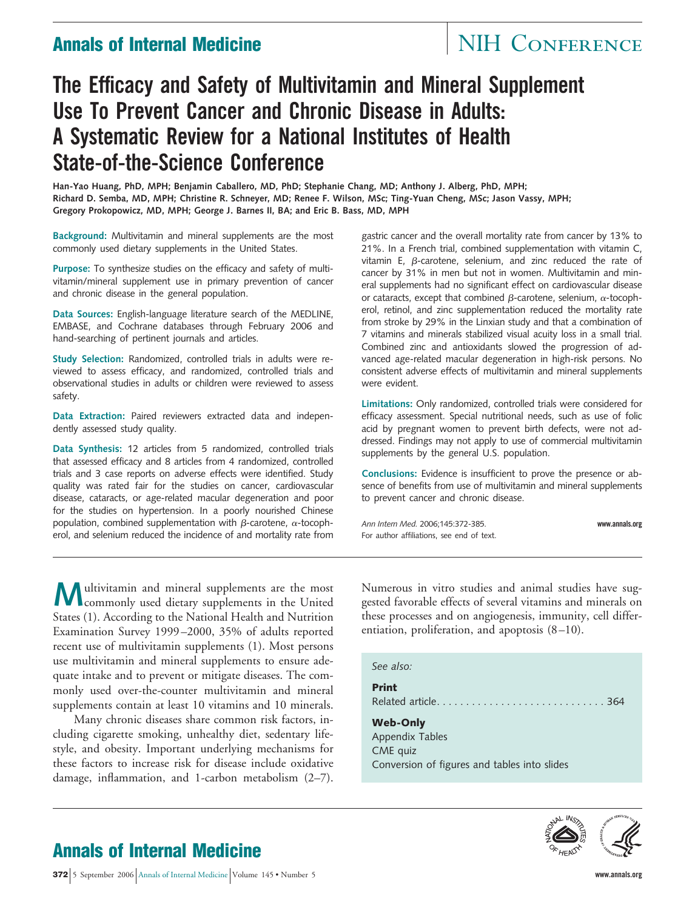# **Annals of Internal Medicine** NIH CONFERENCE

# **The Efficacy and Safety of Multivitamin and Mineral Supplement Use To Prevent Cancer and Chronic Disease in Adults: A Systematic Review for a National Institutes of Health State-of-the-Science Conference**

**Han-Yao Huang, PhD, MPH; Benjamin Caballero, MD, PhD; Stephanie Chang, MD; Anthony J. Alberg, PhD, MPH; Richard D. Semba, MD, MPH; Christine R. Schneyer, MD; Renee F. Wilson, MSc; Ting-Yuan Cheng, MSc; Jason Vassy, MPH; Gregory Prokopowicz, MD, MPH; George J. Barnes II, BA; and Eric B. Bass, MD, MPH**

**Background:** Multivitamin and mineral supplements are the most commonly used dietary supplements in the United States.

**Purpose:** To synthesize studies on the efficacy and safety of multivitamin/mineral supplement use in primary prevention of cancer and chronic disease in the general population.

**Data Sources:** English-language literature search of the MEDLINE, EMBASE, and Cochrane databases through February 2006 and hand-searching of pertinent journals and articles.

**Study Selection:** Randomized, controlled trials in adults were reviewed to assess efficacy, and randomized, controlled trials and observational studies in adults or children were reviewed to assess safety.

**Data Extraction:** Paired reviewers extracted data and independently assessed study quality.

**Data Synthesis:** 12 articles from 5 randomized, controlled trials that assessed efficacy and 8 articles from 4 randomized, controlled trials and 3 case reports on adverse effects were identified. Study quality was rated fair for the studies on cancer, cardiovascular disease, cataracts, or age-related macular degeneration and poor for the studies on hypertension. In a poorly nourished Chinese population, combined supplementation with  $\beta$ -carotene,  $\alpha$ -tocopherol, and selenium reduced the incidence of and mortality rate from gastric cancer and the overall mortality rate from cancer by 13% to 21%. In a French trial, combined supplementation with vitamin C, vitamin E,  $\beta$ -carotene, selenium, and zinc reduced the rate of cancer by 31% in men but not in women. Multivitamin and mineral supplements had no significant effect on cardiovascular disease or cataracts, except that combined  $\beta$ -carotene, selenium,  $\alpha$ -tocopherol, retinol, and zinc supplementation reduced the mortality rate from stroke by 29% in the Linxian study and that a combination of 7 vitamins and minerals stabilized visual acuity loss in a small trial. Combined zinc and antioxidants slowed the progression of advanced age-related macular degeneration in high-risk persons. No consistent adverse effects of multivitamin and mineral supplements were evident.

**Limitations:** Only randomized, controlled trials were considered for efficacy assessment. Special nutritional needs, such as use of folic acid by pregnant women to prevent birth defects, were not addressed. Findings may not apply to use of commercial multivitamin supplements by the general U.S. population.

**Conclusions:** Evidence is insufficient to prove the presence or absence of benefits from use of multivitamin and mineral supplements to prevent cancer and chronic disease.

*Ann Intern Med.* 2006;145:372-385. **www.annals.org** For author affiliations, see end of text.

**M**ultivitamin and mineral supplements are the most commonly used dietary supplements in the United States (1). According to the National Health and Nutrition Examination Survey 1999–2000, 35% of adults reported recent use of multivitamin supplements (1). Most persons use multivitamin and mineral supplements to ensure adequate intake and to prevent or mitigate diseases. The commonly used over-the-counter multivitamin and mineral supplements contain at least 10 vitamins and 10 minerals.

Many chronic diseases share common risk factors, including cigarette smoking, unhealthy diet, sedentary lifestyle, and obesity. Important underlying mechanisms for these factors to increase risk for disease include oxidative damage, inflammation, and 1-carbon metabolism (2–7).

Numerous in vitro studies and animal studies have suggested favorable effects of several vitamins and minerals on these processes and on angiogenesis, immunity, cell differentiation, proliferation, and apoptosis (8–10).

*See also:* **Print** Related article. . . . . . . . . . . . . . . . . . . . . . . . . . . . . 364 **Web-Only** Appendix Tables CME quiz

Conversion of figures and tables into slides



# **Annals of Internal Medicine**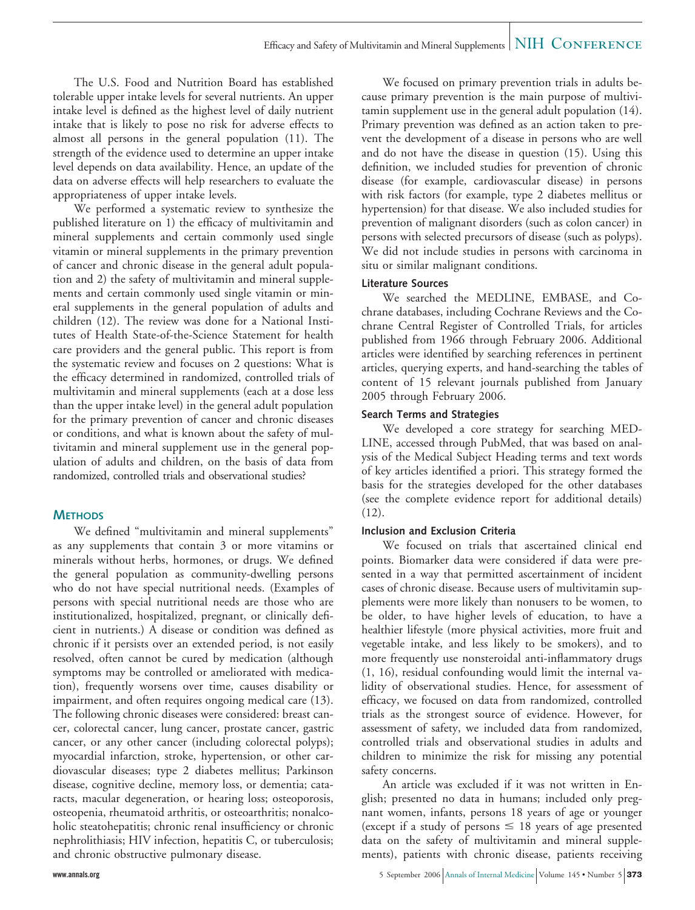The U.S. Food and Nutrition Board has established tolerable upper intake levels for several nutrients. An upper intake level is defined as the highest level of daily nutrient intake that is likely to pose no risk for adverse effects to almost all persons in the general population (11). The strength of the evidence used to determine an upper intake level depends on data availability. Hence, an update of the data on adverse effects will help researchers to evaluate the appropriateness of upper intake levels.

We performed a systematic review to synthesize the published literature on 1) the efficacy of multivitamin and mineral supplements and certain commonly used single vitamin or mineral supplements in the primary prevention of cancer and chronic disease in the general adult population and 2) the safety of multivitamin and mineral supplements and certain commonly used single vitamin or mineral supplements in the general population of adults and children (12). The review was done for a National Institutes of Health State-of-the-Science Statement for health care providers and the general public. This report is from the systematic review and focuses on 2 questions: What is the efficacy determined in randomized, controlled trials of multivitamin and mineral supplements (each at a dose less than the upper intake level) in the general adult population for the primary prevention of cancer and chronic diseases or conditions, and what is known about the safety of multivitamin and mineral supplement use in the general population of adults and children, on the basis of data from randomized, controlled trials and observational studies?

## **METHODS**

We defined "multivitamin and mineral supplements" as any supplements that contain 3 or more vitamins or minerals without herbs, hormones, or drugs. We defined the general population as community-dwelling persons who do not have special nutritional needs. (Examples of persons with special nutritional needs are those who are institutionalized, hospitalized, pregnant, or clinically deficient in nutrients.) A disease or condition was defined as chronic if it persists over an extended period, is not easily resolved, often cannot be cured by medication (although symptoms may be controlled or ameliorated with medication), frequently worsens over time, causes disability or impairment, and often requires ongoing medical care (13). The following chronic diseases were considered: breast cancer, colorectal cancer, lung cancer, prostate cancer, gastric cancer, or any other cancer (including colorectal polyps); myocardial infarction, stroke, hypertension, or other cardiovascular diseases; type 2 diabetes mellitus; Parkinson disease, cognitive decline, memory loss, or dementia; cataracts, macular degeneration, or hearing loss; osteoporosis, osteopenia, rheumatoid arthritis, or osteoarthritis; nonalcoholic steatohepatitis; chronic renal insufficiency or chronic nephrolithiasis; HIV infection, hepatitis C, or tuberculosis; and chronic obstructive pulmonary disease.

We focused on primary prevention trials in adults because primary prevention is the main purpose of multivitamin supplement use in the general adult population (14). Primary prevention was defined as an action taken to prevent the development of a disease in persons who are well and do not have the disease in question (15). Using this definition, we included studies for prevention of chronic disease (for example, cardiovascular disease) in persons with risk factors (for example, type 2 diabetes mellitus or hypertension) for that disease. We also included studies for prevention of malignant disorders (such as colon cancer) in persons with selected precursors of disease (such as polyps). We did not include studies in persons with carcinoma in situ or similar malignant conditions.

### **Literature Sources**

We searched the MEDLINE, EMBASE, and Cochrane databases, including Cochrane Reviews and the Cochrane Central Register of Controlled Trials, for articles published from 1966 through February 2006. Additional articles were identified by searching references in pertinent articles, querying experts, and hand-searching the tables of content of 15 relevant journals published from January 2005 through February 2006.

### **Search Terms and Strategies**

We developed a core strategy for searching MED-LINE, accessed through PubMed, that was based on analysis of the Medical Subject Heading terms and text words of key articles identified a priori. This strategy formed the basis for the strategies developed for the other databases (see the complete evidence report for additional details) (12).

### **Inclusion and Exclusion Criteria**

We focused on trials that ascertained clinical end points. Biomarker data were considered if data were presented in a way that permitted ascertainment of incident cases of chronic disease. Because users of multivitamin supplements were more likely than nonusers to be women, to be older, to have higher levels of education, to have a healthier lifestyle (more physical activities, more fruit and vegetable intake, and less likely to be smokers), and to more frequently use nonsteroidal anti-inflammatory drugs (1, 16), residual confounding would limit the internal validity of observational studies. Hence, for assessment of efficacy, we focused on data from randomized, controlled trials as the strongest source of evidence. However, for assessment of safety, we included data from randomized, controlled trials and observational studies in adults and children to minimize the risk for missing any potential safety concerns.

An article was excluded if it was not written in English; presented no data in humans; included only pregnant women, infants, persons 18 years of age or younger (except if a study of persons  $\leq 18$  years of age presented data on the safety of multivitamin and mineral supplements), patients with chronic disease, patients receiving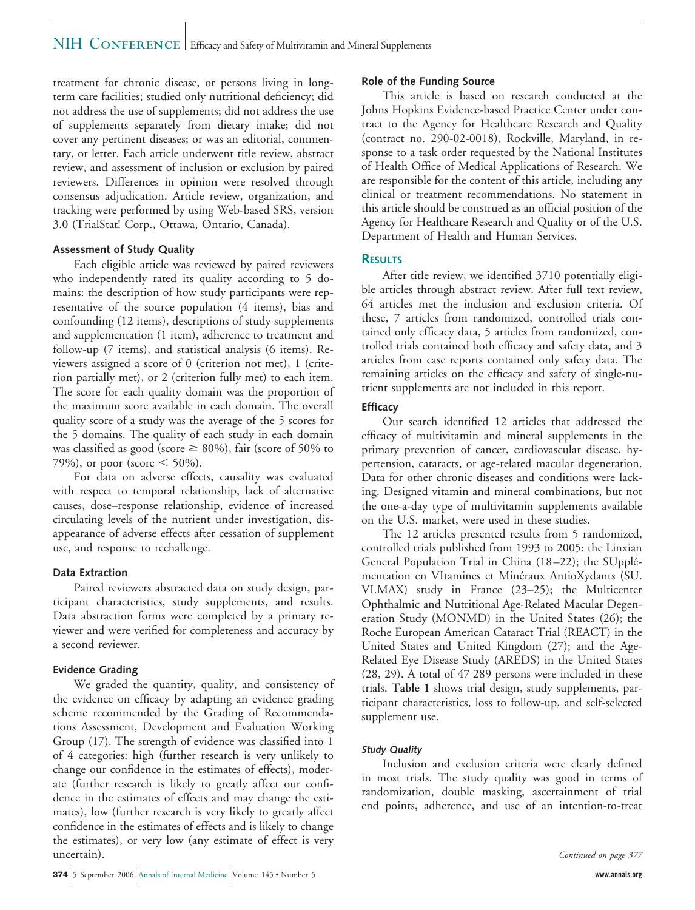# NIH CONFERENCE | Efficacy and Safety of Multivitamin and Mineral Supplements

treatment for chronic disease, or persons living in longterm care facilities; studied only nutritional deficiency; did not address the use of supplements; did not address the use of supplements separately from dietary intake; did not cover any pertinent diseases; or was an editorial, commentary, or letter. Each article underwent title review, abstract review, and assessment of inclusion or exclusion by paired reviewers. Differences in opinion were resolved through consensus adjudication. Article review, organization, and tracking were performed by using Web-based SRS, version 3.0 (TrialStat! Corp., Ottawa, Ontario, Canada).

#### **Assessment of Study Quality**

Each eligible article was reviewed by paired reviewers who independently rated its quality according to 5 domains: the description of how study participants were representative of the source population (4 items), bias and confounding (12 items), descriptions of study supplements and supplementation (1 item), adherence to treatment and follow-up (7 items), and statistical analysis (6 items). Reviewers assigned a score of 0 (criterion not met), 1 (criterion partially met), or 2 (criterion fully met) to each item. The score for each quality domain was the proportion of the maximum score available in each domain. The overall quality score of a study was the average of the 5 scores for the 5 domains. The quality of each study in each domain was classified as good (score  $\geq$  80%), fair (score of 50% to 79%), or poor (score  $\leq 50\%$ ).

For data on adverse effects, causality was evaluated with respect to temporal relationship, lack of alternative causes, dose–response relationship, evidence of increased circulating levels of the nutrient under investigation, disappearance of adverse effects after cessation of supplement use, and response to rechallenge.

#### **Data Extraction**

Paired reviewers abstracted data on study design, participant characteristics, study supplements, and results. Data abstraction forms were completed by a primary reviewer and were verified for completeness and accuracy by a second reviewer.

#### **Evidence Grading**

We graded the quantity, quality, and consistency of the evidence on efficacy by adapting an evidence grading scheme recommended by the Grading of Recommendations Assessment, Development and Evaluation Working Group (17). The strength of evidence was classified into 1 of 4 categories: high (further research is very unlikely to change our confidence in the estimates of effects), moderate (further research is likely to greatly affect our confidence in the estimates of effects and may change the estimates), low (further research is very likely to greatly affect confidence in the estimates of effects and is likely to change the estimates), or very low (any estimate of effect is very uncertain).

#### **Role of the Funding Source**

This article is based on research conducted at the Johns Hopkins Evidence-based Practice Center under contract to the Agency for Healthcare Research and Quality (contract no. 290-02-0018), Rockville, Maryland, in response to a task order requested by the National Institutes of Health Office of Medical Applications of Research. We are responsible for the content of this article, including any clinical or treatment recommendations. No statement in this article should be construed as an official position of the Agency for Healthcare Research and Quality or of the U.S. Department of Health and Human Services.

#### **RESULTS**

After title review, we identified 3710 potentially eligible articles through abstract review. After full text review, 64 articles met the inclusion and exclusion criteria. Of these, 7 articles from randomized, controlled trials contained only efficacy data, 5 articles from randomized, controlled trials contained both efficacy and safety data, and 3 articles from case reports contained only safety data. The remaining articles on the efficacy and safety of single-nutrient supplements are not included in this report.

#### **Efficacy**

Our search identified 12 articles that addressed the efficacy of multivitamin and mineral supplements in the primary prevention of cancer, cardiovascular disease, hypertension, cataracts, or age-related macular degeneration. Data for other chronic diseases and conditions were lacking. Designed vitamin and mineral combinations, but not the one-a-day type of multivitamin supplements available on the U.S. market, were used in these studies.

The 12 articles presented results from 5 randomized, controlled trials published from 1993 to 2005: the Linxian General Population Trial in China (18–22); the SUpplémentation en VItamines et Minéraux AntioXydants (SU. VI.MAX) study in France (23–25); the Multicenter Ophthalmic and Nutritional Age-Related Macular Degeneration Study (MONMD) in the United States (26); the Roche European American Cataract Trial (REACT) in the United States and United Kingdom (27); and the Age-Related Eye Disease Study (AREDS) in the United States (28, 29). A total of 47 289 persons were included in these trials. **Table 1** shows trial design, study supplements, participant characteristics, loss to follow-up, and self-selected supplement use.

#### **Study Quality**

Inclusion and exclusion criteria were clearly defined in most trials. The study quality was good in terms of randomization, double masking, ascertainment of trial end points, adherence, and use of an intention-to-treat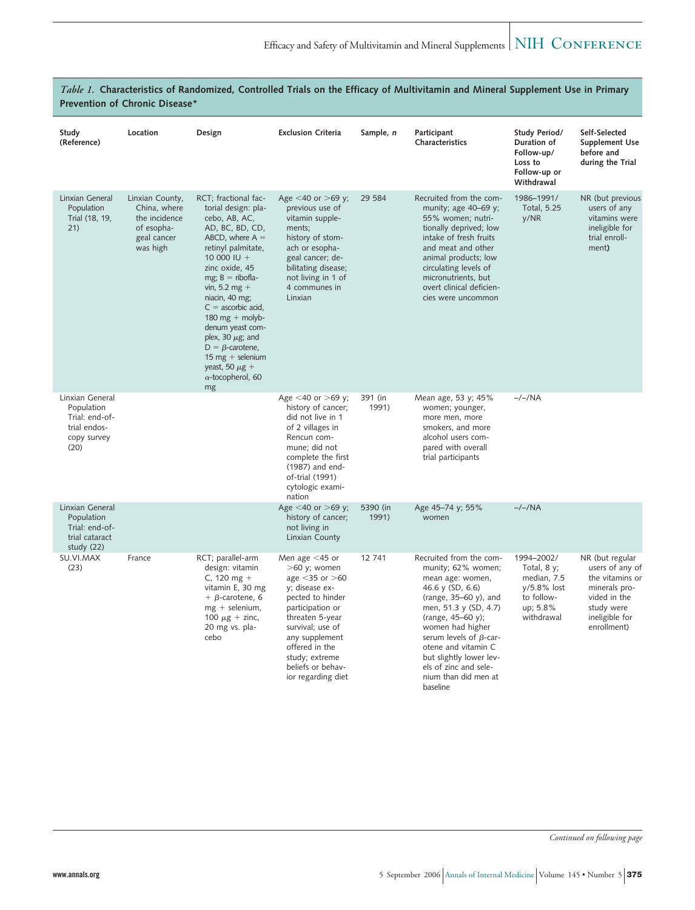| Study<br>(Reference)                                                                   | Location                                                                                  | Design                                                                                                                                                                                                                                                                                                                                                                                                               | <b>Exclusion Criteria</b>                                                                                                                                                                                                                                     | Sample, n         | Participant<br>Characteristics                                                                                                                                                                                                                                                                                                     | Study Period/<br>Duration of<br>Follow-up/<br>Loss to<br>Follow-up or<br>Withdrawal               | Self-Selected<br><b>Supplement Use</b><br>before and<br>during the Trial                                                              |
|----------------------------------------------------------------------------------------|-------------------------------------------------------------------------------------------|----------------------------------------------------------------------------------------------------------------------------------------------------------------------------------------------------------------------------------------------------------------------------------------------------------------------------------------------------------------------------------------------------------------------|---------------------------------------------------------------------------------------------------------------------------------------------------------------------------------------------------------------------------------------------------------------|-------------------|------------------------------------------------------------------------------------------------------------------------------------------------------------------------------------------------------------------------------------------------------------------------------------------------------------------------------------|---------------------------------------------------------------------------------------------------|---------------------------------------------------------------------------------------------------------------------------------------|
| Linxian General<br>Population<br>Trial (18, 19,<br>21)                                 | Linxian County,<br>China, where<br>the incidence<br>of esopha-<br>geal cancer<br>was high | RCT; fractional fac-<br>torial design: pla-<br>cebo, AB, AC,<br>AD, BC, BD, CD,<br>ABCD, where $A =$<br>retinyl palmitate,<br>10 000 IU +<br>zinc oxide, 45<br>mg; $B = ribofla$ -<br>vin, 5.2 mg +<br>niacin, 40 mg;<br>$C =$ ascorbic acid,<br>180 mg + molyb-<br>denum yeast com-<br>plex, 30 $\mu$ g; and<br>$D = \beta$ -carotene,<br>15 mg + selenium<br>yeast, 50 $\mu$ g +<br>$\alpha$ -tocopherol, 60<br>mg | Age $<$ 40 or $>$ 69 y;<br>previous use of<br>vitamin supple-<br>ments;<br>history of stom-<br>ach or esopha-<br>geal cancer; de-<br>bilitating disease;<br>not living in 1 of<br>4 communes in<br>Linxian                                                    | 29 5 84           | Recruited from the com-<br>munity; age 40-69 y;<br>55% women; nutri-<br>tionally deprived; low<br>intake of fresh fruits<br>and meat and other<br>animal products; low<br>circulating levels of<br>micronutrients, but<br>overt clinical deficien-<br>cies were uncommon                                                           | 1986-1991/<br>Total, 5.25<br>y/NR                                                                 | NR (but previous<br>users of any<br>vitamins were<br>ineligible for<br>trial enroll-<br>ment)                                         |
| Linxian General<br>Population<br>Trial: end-of-<br>trial endos-<br>copy survey<br>(20) |                                                                                           |                                                                                                                                                                                                                                                                                                                                                                                                                      | Age <40 or >69 y;<br>history of cancer;<br>did not live in 1<br>of 2 villages in<br>Rencun com-<br>mune; did not<br>complete the first<br>(1987) and end-<br>of-trial (1991)<br>cytologic exami-<br>nation                                                    | 391 (in<br>1991)  | Mean age, 53 y; 45%<br>women; younger,<br>more men, more<br>smokers, and more<br>alcohol users com-<br>pared with overall<br>trial participants                                                                                                                                                                                    | $-/-/NA$                                                                                          |                                                                                                                                       |
| Linxian General<br>Population<br>Trial: end-of-<br>trial cataract<br>study (22)        |                                                                                           |                                                                                                                                                                                                                                                                                                                                                                                                                      | Age <40 or >69 y;<br>history of cancer;<br>not living in<br>Linxian County                                                                                                                                                                                    | 5390 (in<br>1991) | Age 45-74 y; 55%<br>women                                                                                                                                                                                                                                                                                                          | $-/-/NA$                                                                                          |                                                                                                                                       |
| SU.VI.MAX<br>(23)                                                                      | France                                                                                    | RCT; parallel-arm<br>design: vitamin<br>C, 120 mg +<br>vitamin E, 30 mg<br>$+ \beta$ -carotene, 6<br>$mg +$ selenium,<br>100 $\mu$ g + zinc,<br>20 mg vs. pla-<br>cebo                                                                                                                                                                                                                                               | Men age $<$ 45 or<br>$>60$ y; women<br>age $<$ 35 or $>$ 60<br>y; disease ex-<br>pected to hinder<br>participation or<br>threaten 5-year<br>survival; use of<br>any supplement<br>offered in the<br>study; extreme<br>beliefs or behav-<br>ior regarding diet | 12 741            | Recruited from the com-<br>munity; 62% women;<br>mean age: women,<br>46.6 y (SD, 6.6)<br>(range, $35-60$ y), and<br>men, 51.3 y (SD, 4.7)<br>(range, 45-60 y);<br>women had higher<br>serum levels of $\beta$ -car-<br>otene and vitamin C<br>but slightly lower lev-<br>els of zinc and sele-<br>nium than did men at<br>haseline | 1994-2002/<br>Total, $8y$ ;<br>median, 7.5<br>y/5.8% lost<br>to follow-<br>up; 5.8%<br>withdrawal | NR (but regular<br>users of any of<br>the vitamins or<br>minerals pro-<br>vided in the<br>study were<br>ineligible for<br>enrollment) |

*Table 1.* **Characteristics of Randomized, Controlled Trials on the Efficacy of Multivitamin and Mineral Supplement Use in Primary Prevention of Chronic Disease\***

*Continued on following page*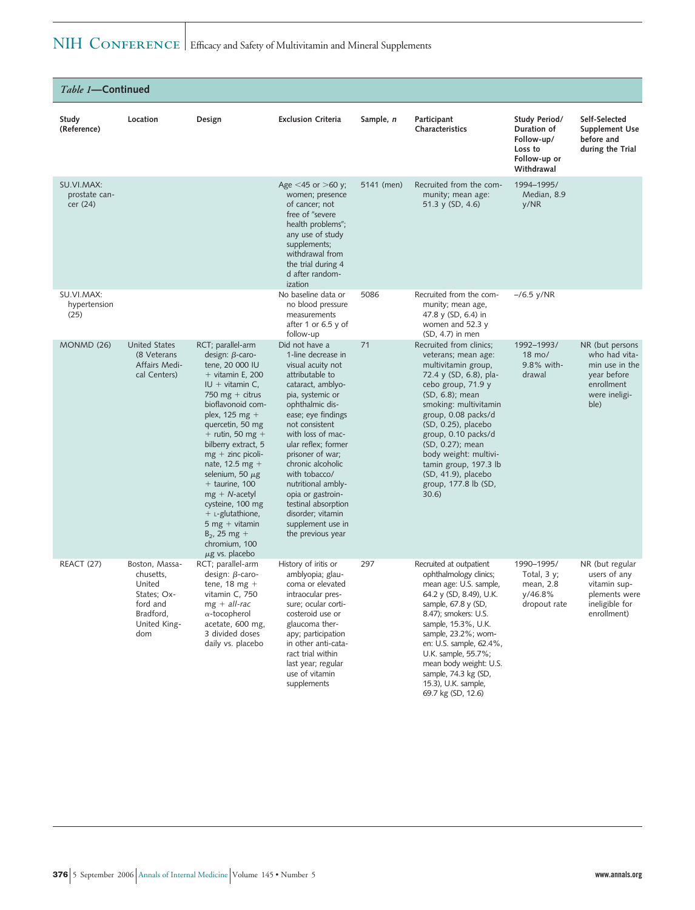# NIH CONFERENCE Efficacy and Safety of Multivitamin and Mineral Supplements

| Table 1-Continued                       |                                                                                                      |                                                                                                                                                                                                                                                                                                                                                                                                                                                                             |                                                                                                                                                                                                                                                                                                                                                                                                                         |            |                                                                                                                                                                                                                                                                                                                                                                      |                                                                                     |                                                                                                          |
|-----------------------------------------|------------------------------------------------------------------------------------------------------|-----------------------------------------------------------------------------------------------------------------------------------------------------------------------------------------------------------------------------------------------------------------------------------------------------------------------------------------------------------------------------------------------------------------------------------------------------------------------------|-------------------------------------------------------------------------------------------------------------------------------------------------------------------------------------------------------------------------------------------------------------------------------------------------------------------------------------------------------------------------------------------------------------------------|------------|----------------------------------------------------------------------------------------------------------------------------------------------------------------------------------------------------------------------------------------------------------------------------------------------------------------------------------------------------------------------|-------------------------------------------------------------------------------------|----------------------------------------------------------------------------------------------------------|
| Study<br>(Reference)                    | Location                                                                                             | Design                                                                                                                                                                                                                                                                                                                                                                                                                                                                      | <b>Exclusion Criteria</b>                                                                                                                                                                                                                                                                                                                                                                                               | Sample, n  | Participant<br>Characteristics                                                                                                                                                                                                                                                                                                                                       | Study Period/<br>Duration of<br>Follow-up/<br>Loss to<br>Follow-up or<br>Withdrawal | Self-Selected<br>Supplement Use<br>before and<br>during the Trial                                        |
| SU.VI.MAX:<br>prostate can-<br>cer (24) |                                                                                                      |                                                                                                                                                                                                                                                                                                                                                                                                                                                                             | Age $<$ 45 or $>$ 60 y;<br>women; presence<br>of cancer; not<br>free of "severe<br>health problems";<br>any use of study<br>supplements;<br>withdrawal from<br>the trial during 4<br>d after random-<br>ization                                                                                                                                                                                                         | 5141 (men) | Recruited from the com-<br>munity; mean age:<br>51.3 y (SD, 4.6)                                                                                                                                                                                                                                                                                                     | 1994-1995/<br>Median, 8.9<br>y/NR                                                   |                                                                                                          |
| SU.VI.MAX:<br>hypertension<br>(25)      |                                                                                                      |                                                                                                                                                                                                                                                                                                                                                                                                                                                                             | No baseline data or<br>no blood pressure<br>measurements<br>after 1 or 6.5 $y$ of<br>follow-up                                                                                                                                                                                                                                                                                                                          | 5086       | Recruited from the com-<br>munity; mean age,<br>47.8 y (SD, 6.4) in<br>women and 52.3 y<br>(SD, 4.7) in men                                                                                                                                                                                                                                                          | $-$ /6.5 y/NR                                                                       |                                                                                                          |
| MONMD (26)                              | <b>United States</b><br>(8 Veterans<br>Affairs Medi-<br>cal Centers)                                 | RCT; parallel-arm<br>design: $\beta$ -caro-<br>tene, 20 000 IU<br>$+$ vitamin E, 200<br>$IU + vitamin C,$<br>750 mg + citrus<br>bioflavonoid com-<br>plex, 125 mg $+$<br>quercetin, 50 mg<br>$+$ rutin, 50 mg +<br>bilberry extract, 5<br>$mg + zinc$ picoli-<br>nate, 12.5 mg $+$<br>selenium, 50 $\mu$ g<br>$+$ taurine, 100<br>$mg + N$ -acetyl<br>cysteine, 100 mg<br>$+$ L-glutathione,<br>$5$ mg + vitamin<br>$B_2$ , 25 mg +<br>chromium, 100<br>$\mu$ g vs. placebo | Did not have a<br>1-line decrease in<br>visual acuity not<br>attributable to<br>cataract, amblyo-<br>pia, systemic or<br>ophthalmic dis-<br>ease; eye findings<br>not consistent<br>with loss of mac-<br>ular reflex; former<br>prisoner of war;<br>chronic alcoholic<br>with tobacco/<br>nutritional ambly-<br>opia or gastroin-<br>testinal absorption<br>disorder; vitamin<br>supplement use in<br>the previous year | 71         | Recruited from clinics;<br>veterans; mean age:<br>multivitamin group,<br>72.4 y (SD, 6.8), pla-<br>cebo group, 71.9 y<br>(SD, 6.8); mean<br>smoking: multivitamin<br>group, 0.08 packs/d<br>(SD, 0.25), placebo<br>group, 0.10 packs/d<br>(SD, 0.27); mean<br>body weight: multivi-<br>tamin group, 197.3 lb<br>(SD, 41.9), placebo<br>group, 177.8 lb (SD,<br>30.6) | 1992-1993/<br>18 mo/<br>9.8% with-<br>drawal                                        | NR (but persons<br>who had vita-<br>min use in the<br>year before<br>enrollment<br>were ineligi-<br>ble) |
| <b>REACT (27)</b>                       | Boston, Massa-<br>chusetts,<br>United<br>States; Ox-<br>ford and<br>Bradford,<br>United King-<br>dom | RCT; parallel-arm<br>design: $\beta$ -caro-<br>tene, $18$ mg +<br>vitamin C, 750<br>$mg + all-rac$<br>$\alpha$ -tocopherol<br>acetate, 600 mg,<br>3 divided doses<br>daily vs. placebo                                                                                                                                                                                                                                                                                      | History of iritis or<br>amblyopia; glau-<br>coma or elevated<br>intraocular pres-<br>sure; ocular corti-<br>costeroid use or<br>glaucoma ther-<br>apy; participation<br>in other anti-cata-<br>ract trial within<br>last year; regular<br>use of vitamin<br>supplements                                                                                                                                                 | 297        | Recruited at outpatient<br>ophthalmology clinics;<br>mean age: U.S. sample,<br>64.2 y (SD, 8.49), U.K.<br>sample, 67.8 y (SD,<br>8.47); smokers: U.S.<br>sample, 15.3%, U.K.<br>sample, 23.2%; wom-<br>en: U.S. sample, 62.4%,<br>U.K. sample, 55.7%;<br>mean body weight: U.S.<br>sample, 74.3 kg (SD,<br>15.3), U.K. sample,                                       | 1990-1995/<br>Total, $3y$ ;<br>mean, 2.8<br>y/46.8%<br>dropout rate                 | NR (but regular<br>users of any<br>vitamin sup-<br>plements were<br>ineligible for<br>enrollment)        |

69.7 kg (SD, 12.6)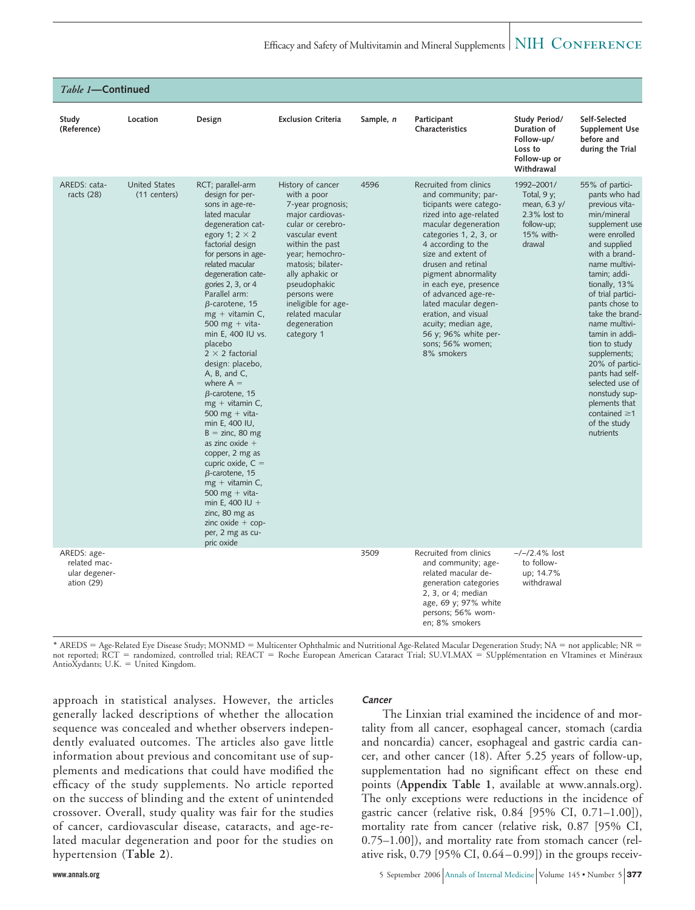| Table 1-Continued                                            |                                      |                                                                                                                                                                                                                                                                                                                                                                                                                                                                                                                                                                                                                                                                                                                                                                                              |                                                                                                                                                                                                                                                                                                        |           |                                                                                                                                                                                                                                                                                                                                                                                                                              |                                                                                                     |                                                                                                                                                                                                                                                                                                                                                                                                                                                                    |
|--------------------------------------------------------------|--------------------------------------|----------------------------------------------------------------------------------------------------------------------------------------------------------------------------------------------------------------------------------------------------------------------------------------------------------------------------------------------------------------------------------------------------------------------------------------------------------------------------------------------------------------------------------------------------------------------------------------------------------------------------------------------------------------------------------------------------------------------------------------------------------------------------------------------|--------------------------------------------------------------------------------------------------------------------------------------------------------------------------------------------------------------------------------------------------------------------------------------------------------|-----------|------------------------------------------------------------------------------------------------------------------------------------------------------------------------------------------------------------------------------------------------------------------------------------------------------------------------------------------------------------------------------------------------------------------------------|-----------------------------------------------------------------------------------------------------|--------------------------------------------------------------------------------------------------------------------------------------------------------------------------------------------------------------------------------------------------------------------------------------------------------------------------------------------------------------------------------------------------------------------------------------------------------------------|
| Study<br>(Reference)                                         | Location                             | Design                                                                                                                                                                                                                                                                                                                                                                                                                                                                                                                                                                                                                                                                                                                                                                                       | <b>Exclusion Criteria</b>                                                                                                                                                                                                                                                                              | Sample, n | Participant<br>Characteristics                                                                                                                                                                                                                                                                                                                                                                                               | Study Period/<br>Duration of<br>Follow-up/<br>Loss to<br>Follow-up or<br>Withdrawal                 | Self-Selected<br>Supplement Use<br>before and<br>during the Trial                                                                                                                                                                                                                                                                                                                                                                                                  |
| AREDS: cata-<br>racts $(28)$                                 | <b>United States</b><br>(11 centers) | RCT; parallel-arm<br>design for per-<br>sons in age-re-<br>lated macular<br>degeneration cat-<br>egory 1; $2 \times 2$<br>factorial design<br>for persons in age-<br>related macular<br>degeneration cate-<br>gories 2, 3, or 4<br>Parallel arm:<br>$\beta$ -carotene, 15<br>$mg + vitamin C$ ,<br>500 mg + vita-<br>min E, 400 IU vs.<br>placebo<br>$2 \times 2$ factorial<br>design: placebo,<br>$A$ , $B$ , and $C$ ,<br>where $A =$<br>$\beta$ -carotene, 15<br>$mg + vitamin C$ ,<br>500 mg + vita-<br>min E, 400 IU,<br>$B = \text{zinc}, 80 \text{ mg}$<br>as zinc oxide $+$<br>copper, 2 mg as<br>cupric oxide, $C =$<br>$\beta$ -carotene, 15<br>$mg + vitamin C$ ,<br>500 mg + vita-<br>min E, 400 IU +<br>zinc, 80 mg as<br>zinc oxide $+$ cop-<br>per, 2 mg as cu-<br>pric oxide | History of cancer<br>with a poor<br>7-year prognosis;<br>major cardiovas-<br>cular or cerebro-<br>vascular event<br>within the past<br>year; hemochro-<br>matosis; bilater-<br>ally aphakic or<br>pseudophakic<br>persons were<br>ineligible for age-<br>related macular<br>degeneration<br>category 1 | 4596      | Recruited from clinics<br>and community; par-<br>ticipants were catego-<br>rized into age-related<br>macular degeneration<br>categories 1, 2, 3, or<br>4 according to the<br>size and extent of<br>drusen and retinal<br>pigment abnormality<br>in each eye, presence<br>of advanced age-re-<br>lated macular degen-<br>eration, and visual<br>acuity; median age,<br>56 y; 96% white per-<br>sons; 56% women;<br>8% smokers | 1992-2001/<br>Total, $9y$ ;<br>mean, 6.3 y/<br>$2.3\%$ lost to<br>follow-up;<br>15% with-<br>drawal | 55% of partici-<br>pants who had<br>previous vita-<br>min/mineral<br>supplement use<br>were enrolled<br>and supplied<br>with a brand-<br>name multivi-<br>tamin; addi-<br>tionally, 13%<br>of trial partici-<br>pants chose to<br>take the brand<br>name multivi-<br>tamin in addi-<br>tion to study<br>supplements;<br>20% of partici-<br>pants had self-<br>selected use of<br>nonstudy sup-<br>plements that<br>contained $\geq$ 1<br>of the study<br>nutrients |
| AREDS: age-<br>related mac-<br>ular degener-<br>ation $(29)$ |                                      |                                                                                                                                                                                                                                                                                                                                                                                                                                                                                                                                                                                                                                                                                                                                                                                              |                                                                                                                                                                                                                                                                                                        | 3509      | Recruited from clinics<br>and community; age-<br>related macular de-<br>generation categories<br>2, 3, or 4; median<br>age, 69 y; 97% white<br>persons; 56% wom-<br>en; 8% smokers                                                                                                                                                                                                                                           | $-/-/2.4\%$ lost<br>to follow-<br>up; 14.7%<br>withdrawal                                           |                                                                                                                                                                                                                                                                                                                                                                                                                                                                    |

\* AREDS = Age-Related Eye Disease Study; MONMD = Multicenter Ophthalmic and Nutritional Age-Related Macular Degeneration Study; NA = not applicable; NR =<br>not reported; RCT = randomized, controlled trial; REACT = Roche Euro AntioXydants; U.K. = United Kingdom.

approach in statistical analyses. However, the articles generally lacked descriptions of whether the allocation sequence was concealed and whether observers independently evaluated outcomes. The articles also gave little information about previous and concomitant use of supplements and medications that could have modified the efficacy of the study supplements. No article reported on the success of blinding and the extent of unintended crossover. Overall, study quality was fair for the studies of cancer, cardiovascular disease, cataracts, and age-related macular degeneration and poor for the studies on hypertension (**Table 2**).

#### **Cancer**

The Linxian trial examined the incidence of and mortality from all cancer, esophageal cancer, stomach (cardia and noncardia) cancer, esophageal and gastric cardia cancer, and other cancer (18). After 5.25 years of follow-up, supplementation had no significant effect on these end points (**Appendix Table 1**, available at www.annals.org). The only exceptions were reductions in the incidence of gastric cancer (relative risk, 0.84 [95% CI, 0.71–1.00]), mortality rate from cancer (relative risk, 0.87 [95% CI, 0.75–1.00]), and mortality rate from stomach cancer (relative risk, 0.79 [95% CI, 0.64–0.99]) in the groups receiv-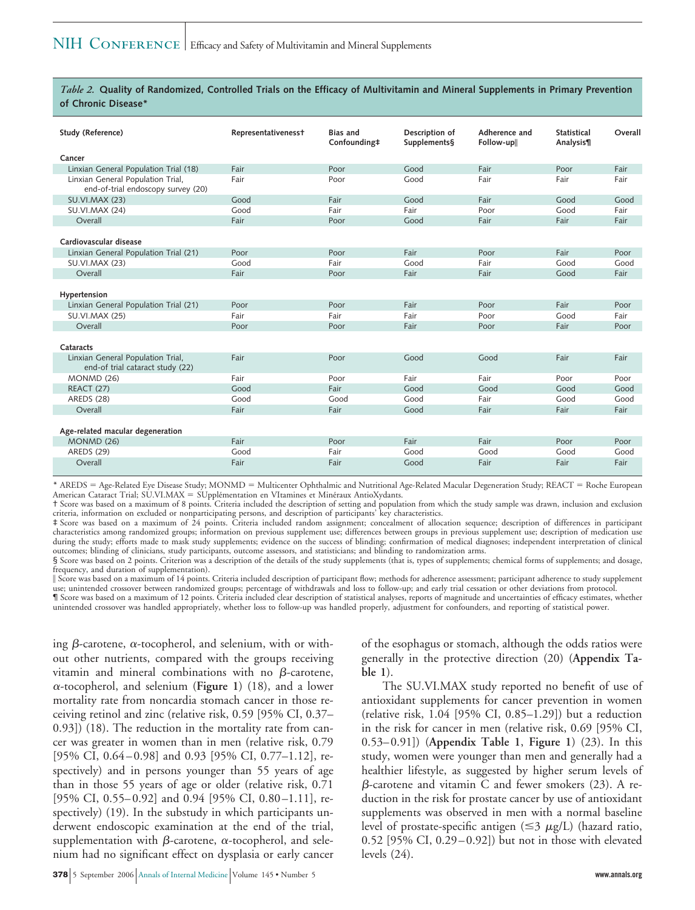#### *Table 2.* **Quality of Randomized, Controlled Trials on the Efficacy of Multivitamin and Mineral Supplements in Primary Prevention of Chronic Disease\***

| Study (Reference)                                                       | Representativeness+ | <b>Bias and</b><br>Confounding‡ | Description of<br>Supplements§ | Adherence and<br>Follow-up | <b>Statistical</b><br>Analysis¶ | Overall      |
|-------------------------------------------------------------------------|---------------------|---------------------------------|--------------------------------|----------------------------|---------------------------------|--------------|
| Cancer                                                                  |                     |                                 |                                |                            |                                 |              |
| Linxian General Population Trial (18)                                   | Fair                | Poor                            | Good                           | Fair                       | Poor                            | Fair         |
| Linxian General Population Trial,<br>end-of-trial endoscopy survey (20) | Fair                | Poor                            | Good                           | Fair                       | Fair                            | Fair         |
| <b>SU.VI.MAX (23)</b>                                                   | Good                | Fair                            | Good                           | Fair                       | Good                            | Good         |
| <b>SU.VI.MAX (24)</b>                                                   | Good                | Fair                            | Fair                           | Poor                       | Good                            | Fair         |
| Overall                                                                 | Fair                | Poor                            | Good                           | Fair                       | Fair                            | Fair         |
| Cardiovascular disease                                                  |                     |                                 |                                |                            |                                 |              |
| Linxian General Population Trial (21)                                   | Poor<br>Good        | Poor<br>Fair                    | Fair<br>Good                   | Poor<br>Fair               | Fair<br>Good                    | Poor<br>Good |
| <b>SU.VI.MAX (23)</b><br>Overall                                        | Fair                | Poor                            | Fair                           | Fair                       | Good                            | Fair         |
|                                                                         |                     |                                 |                                |                            |                                 |              |
| Hypertension                                                            |                     |                                 |                                |                            |                                 |              |
| Linxian General Population Trial (21)                                   | Poor                | Poor                            | Fair                           | Poor                       | Fair                            | Poor         |
| <b>SU.VI.MAX (25)</b>                                                   | Fair                | Fair                            | Fair                           | Poor                       | Good                            | Fair         |
| Overall                                                                 | Poor                | Poor                            | Fair                           | Poor                       | Fair                            | Poor         |
| Cataracts                                                               |                     |                                 |                                |                            |                                 |              |
| Linxian General Population Trial,<br>end-of trial cataract study (22)   | Fair                | Poor                            | Good                           | Good                       | Fair                            | Fair         |
| MONMD (26)                                                              | Fair                | Poor                            | Fair                           | Fair                       | Poor                            | Poor         |
| <b>REACT (27)</b>                                                       | Good                | Fair                            | Good                           | Good                       | Good                            | Good         |
| <b>AREDS (28)</b>                                                       | Good                | Good                            | Good                           | Fair                       | Good                            | Good         |
| Overall                                                                 | Fair                | Fair                            | Good                           | Fair                       | Fair                            | Fair         |
| Age-related macular degeneration                                        |                     |                                 |                                |                            |                                 |              |
| <b>MONMD (26)</b>                                                       | Fair                | Poor                            | Fair                           | Fair                       | Poor                            | Poor         |
| AREDS (29)                                                              | Good                | Fair                            | Good                           | Good                       | Good                            | Good         |
| Overall                                                                 | Fair                | Fair                            | Good                           | Fair                       | Fair                            | Fair         |

\* AREDS = Age-Related Eye Disease Study; MONMD = Multicenter Ophthalmic and Nutritional Age-Related Macular Degeneration Study; REACT = Roche European American Cataract Trial; SU.VI.MAX = SUpplémentation en VItamines et Minéraux AntioXydants.

† Score was based on a maximum of 8 points. Criteria included the description of setting and population from which the study sample was drawn, inclusion and exclusion criteria, information on excluded or nonparticipating persons, and description of participants' key characteristics.

‡ Score was based on a maximum of 24 points. Criteria included random assignment; concealment of allocation sequence; description of differences in participant characteristics among randomized groups; information on previous supplement use; differences between groups in previous supplement use; description of medication use during the study; efforts made to mask study supplements; evidence on the success of blinding; confirmation of medical diagnoses; independent interpretation of clinical outcomes; blinding of clinicians, study participants, outcome assessors, and statisticians; and blinding to randomization arms.

§ Score was based on 2 points. Criterion was a description of the details of the study supplements (that is, types of supplements; chemical forms of supplements; and dosage, frequency, and duration of supplementation).

- Score was based on a maximum of 14 points. Criteria included description of participant flow; methods for adherence assessment; participant adherence to study supplement use; unintended crossover between randomized groups; percentage of withdrawals and loss to follow-up; and early trial cessation or other deviations from protocol. ¶ Score was based on a maximum of 12 points. Criteria included clear description of statistical analyses, reports of magnitude and uncertainties of efficacy estimates, whether

unintended crossover was handled appropriately, whether loss to follow-up was handled properly, adjustment for confounders, and reporting of statistical power.

ing  $\beta$ -carotene,  $\alpha$ -tocopherol, and selenium, with or without other nutrients, compared with the groups receiving vitamin and mineral combinations with no  $\beta$ -carotene, --tocopherol, and selenium (**Figure 1**) (18), and a lower mortality rate from noncardia stomach cancer in those receiving retinol and zinc (relative risk, 0.59 [95% CI, 0.37– 0.93]) (18). The reduction in the mortality rate from cancer was greater in women than in men (relative risk, 0.79 [95% CI, 0.64–0.98] and 0.93 [95% CI, 0.77–1.12], respectively) and in persons younger than 55 years of age than in those 55 years of age or older (relative risk, 0.71 [95% CI, 0.55–0.92] and 0.94 [95% CI, 0.80–1.11], respectively) (19). In the substudy in which participants underwent endoscopic examination at the end of the trial, supplementation with  $\beta$ -carotene,  $\alpha$ -tocopherol, and selenium had no significant effect on dysplasia or early cancer

of the esophagus or stomach, although the odds ratios were generally in the protective direction (20) (**Appendix Table 1**).

The SU.VI.MAX study reported no benefit of use of antioxidant supplements for cancer prevention in women (relative risk, 1.04 [95% CI, 0.85–1.29]) but a reduction in the risk for cancer in men (relative risk, 0.69 [95% CI, 0.53–0.91]) (**Appendix Table 1**, **Figure 1**) (23). In this study, women were younger than men and generally had a healthier lifestyle, as suggested by higher serum levels of  $\beta$ -carotene and vitamin C and fewer smokers (23). A reduction in the risk for prostate cancer by use of antioxidant supplements was observed in men with a normal baseline level of prostate-specific antigen ( $\leq$ 3  $\mu$ g/L) (hazard ratio, 0.52 [95% CI, 0.29–0.92]) but not in those with elevated levels (24).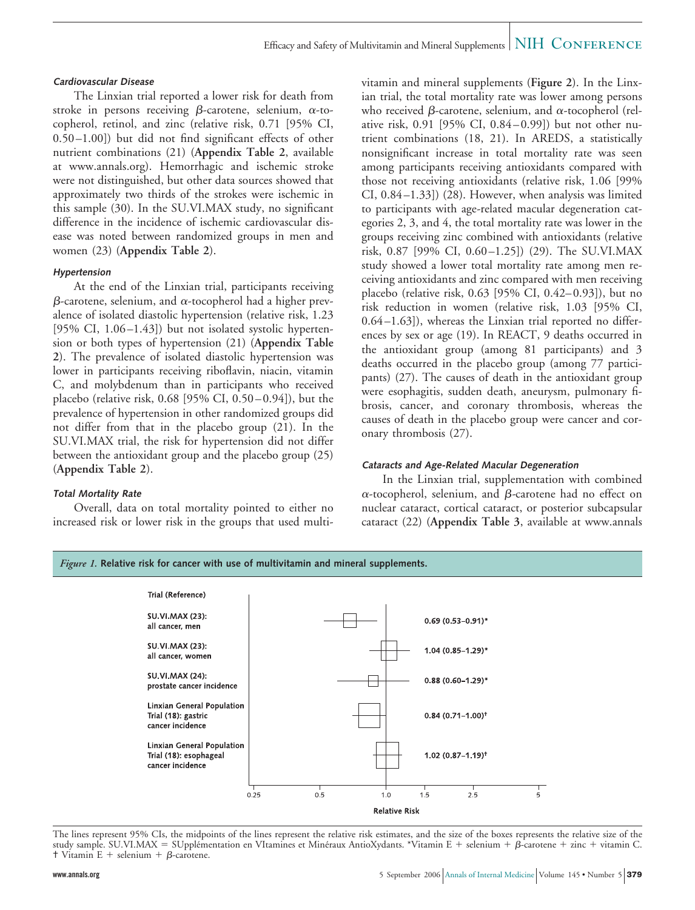#### **Cardiovascular Disease**

The Linxian trial reported a lower risk for death from stroke in persons receiving  $\beta$ -carotene, selenium,  $\alpha$ -tocopherol, retinol, and zinc (relative risk, 0.71 [95% CI, 0.50–1.00]) but did not find significant effects of other nutrient combinations (21) (**Appendix Table 2**, available at www.annals.org). Hemorrhagic and ischemic stroke were not distinguished, but other data sources showed that approximately two thirds of the strokes were ischemic in this sample (30). In the SU.VI.MAX study, no significant difference in the incidence of ischemic cardiovascular disease was noted between randomized groups in men and women (23) (**Appendix Table 2**).

#### **Hypertension**

At the end of the Linxian trial, participants receiving β-carotene, selenium, and α-tocopherol had a higher prevalence of isolated diastolic hypertension (relative risk, 1.23 [95% CI, 1.06–1.43]) but not isolated systolic hypertension or both types of hypertension (21) (**Appendix Table 2**). The prevalence of isolated diastolic hypertension was lower in participants receiving riboflavin, niacin, vitamin C, and molybdenum than in participants who received placebo (relative risk, 0.68 [95% CI, 0.50–0.94]), but the prevalence of hypertension in other randomized groups did not differ from that in the placebo group (21). In the SU.VI.MAX trial, the risk for hypertension did not differ between the antioxidant group and the placebo group (25) (**Appendix Table 2**).

#### **Total Mortality Rate**

Overall, data on total mortality pointed to either no increased risk or lower risk in the groups that used multivitamin and mineral supplements (**Figure 2**). In the Linxian trial, the total mortality rate was lower among persons who received  $\beta$ -carotene, selenium, and  $\alpha$ -tocopherol (relative risk, 0.91 [95% CI, 0.84–0.99]) but not other nutrient combinations (18, 21). In AREDS, a statistically nonsignificant increase in total mortality rate was seen among participants receiving antioxidants compared with those not receiving antioxidants (relative risk, 1.06 [99% CI, 0.84–1.33]) (28). However, when analysis was limited to participants with age-related macular degeneration categories 2, 3, and 4, the total mortality rate was lower in the groups receiving zinc combined with antioxidants (relative risk, 0.87 [99% CI, 0.60–1.25]) (29). The SU.VI.MAX study showed a lower total mortality rate among men receiving antioxidants and zinc compared with men receiving placebo (relative risk, 0.63 [95% CI, 0.42–0.93]), but no risk reduction in women (relative risk, 1.03 [95% CI, 0.64–1.63]), whereas the Linxian trial reported no differences by sex or age (19). In REACT, 9 deaths occurred in the antioxidant group (among 81 participants) and 3 deaths occurred in the placebo group (among 77 participants) (27). The causes of death in the antioxidant group were esophagitis, sudden death, aneurysm, pulmonary fibrosis, cancer, and coronary thrombosis, whereas the causes of death in the placebo group were cancer and coronary thrombosis (27).

#### **Cataracts and Age-Related Macular Degeneration**

In the Linxian trial, supplementation with combined α-tocopherol, selenium, and β-carotene had no effect on nuclear cataract, cortical cataract, or posterior subcapsular cataract (22) (**Appendix Table 3**, available at www.annals





The lines represent 95% CIs, the midpoints of the lines represent the relative risk estimates, and the size of the boxes represents the relative size of the study sample. SU.VI.MAX = SUpplémentation en VItamines et Minéraux AntioXydants. \*Vitamin E + selenium + β-carotene + zinc + vitamin C.  $\dagger$  Vitamin E + selenium +  $\beta$ -carotene.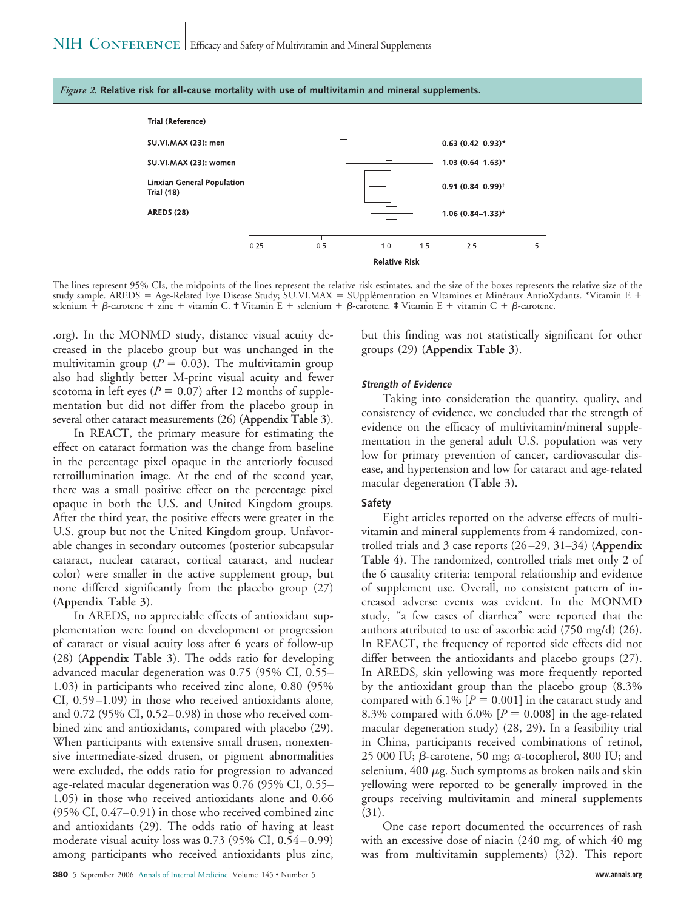



The lines represent 95% CIs, the midpoints of the lines represent the relative risk estimates, and the size of the boxes represents the relative size of the study sample. AREDS = Age-Related Eye Disease Study; SU.VI.MAX = SUpplémentation en VItamines et Minéraux AntioXydants. \*Vitamin E + selenium +  $\beta$ -carotene + zinc + vitamin C. † Vitamin E + selenium +  $\beta$ -carotene. ‡ Vitamin E + vitamin C +  $\beta$ -carotene.

.org). In the MONMD study, distance visual acuity decreased in the placebo group but was unchanged in the multivitamin group ( $P = 0.03$ ). The multivitamin group also had slightly better M-print visual acuity and fewer scotoma in left eyes ( $P = 0.07$ ) after 12 months of supplementation but did not differ from the placebo group in several other cataract measurements (26) (**Appendix Table 3**).

In REACT, the primary measure for estimating the effect on cataract formation was the change from baseline in the percentage pixel opaque in the anteriorly focused retroillumination image. At the end of the second year, there was a small positive effect on the percentage pixel opaque in both the U.S. and United Kingdom groups. After the third year, the positive effects were greater in the U.S. group but not the United Kingdom group. Unfavorable changes in secondary outcomes (posterior subcapsular cataract, nuclear cataract, cortical cataract, and nuclear color) were smaller in the active supplement group, but none differed significantly from the placebo group (27) (**Appendix Table 3**).

In AREDS, no appreciable effects of antioxidant supplementation were found on development or progression of cataract or visual acuity loss after 6 years of follow-up (28) (**Appendix Table 3**). The odds ratio for developing advanced macular degeneration was 0.75 (95% CI, 0.55– 1.03) in participants who received zinc alone, 0.80 (95% CI, 0.59–1.09) in those who received antioxidants alone, and 0.72 (95% CI, 0.52–0.98) in those who received combined zinc and antioxidants, compared with placebo (29). When participants with extensive small drusen, nonextensive intermediate-sized drusen, or pigment abnormalities were excluded, the odds ratio for progression to advanced age-related macular degeneration was 0.76 (95% CI, 0.55– 1.05) in those who received antioxidants alone and 0.66 (95% CI, 0.47–0.91) in those who received combined zinc and antioxidants (29). The odds ratio of having at least moderate visual acuity loss was 0.73 (95% CI, 0.54–0.99) among participants who received antioxidants plus zinc,

but this finding was not statistically significant for other groups (29) (**Appendix Table 3**).

#### **Strength of Evidence**

Taking into consideration the quantity, quality, and consistency of evidence, we concluded that the strength of evidence on the efficacy of multivitamin/mineral supplementation in the general adult U.S. population was very low for primary prevention of cancer, cardiovascular disease, and hypertension and low for cataract and age-related macular degeneration (**Table 3**).

#### **Safety**

Eight articles reported on the adverse effects of multivitamin and mineral supplements from 4 randomized, controlled trials and 3 case reports (26–29, 31–34) (**Appendix Table 4**). The randomized, controlled trials met only 2 of the 6 causality criteria: temporal relationship and evidence of supplement use. Overall, no consistent pattern of increased adverse events was evident. In the MONMD study, "a few cases of diarrhea" were reported that the authors attributed to use of ascorbic acid (750 mg/d) (26). In REACT, the frequency of reported side effects did not differ between the antioxidants and placebo groups (27). In AREDS, skin yellowing was more frequently reported by the antioxidant group than the placebo group (8.3% compared with  $6.1\%$   $[P = 0.001]$  in the cataract study and 8.3% compared with  $6.0\%$  [ $P = 0.008$ ] in the age-related macular degeneration study) (28, 29). In a feasibility trial in China, participants received combinations of retinol, 25 000 IU;  $\beta$ -carotene, 50 mg;  $\alpha$ -tocopherol, 800 IU; and selenium,  $400 \mu$ g. Such symptoms as broken nails and skin yellowing were reported to be generally improved in the groups receiving multivitamin and mineral supplements (31).

One case report documented the occurrences of rash with an excessive dose of niacin (240 mg, of which 40 mg was from multivitamin supplements) (32). This report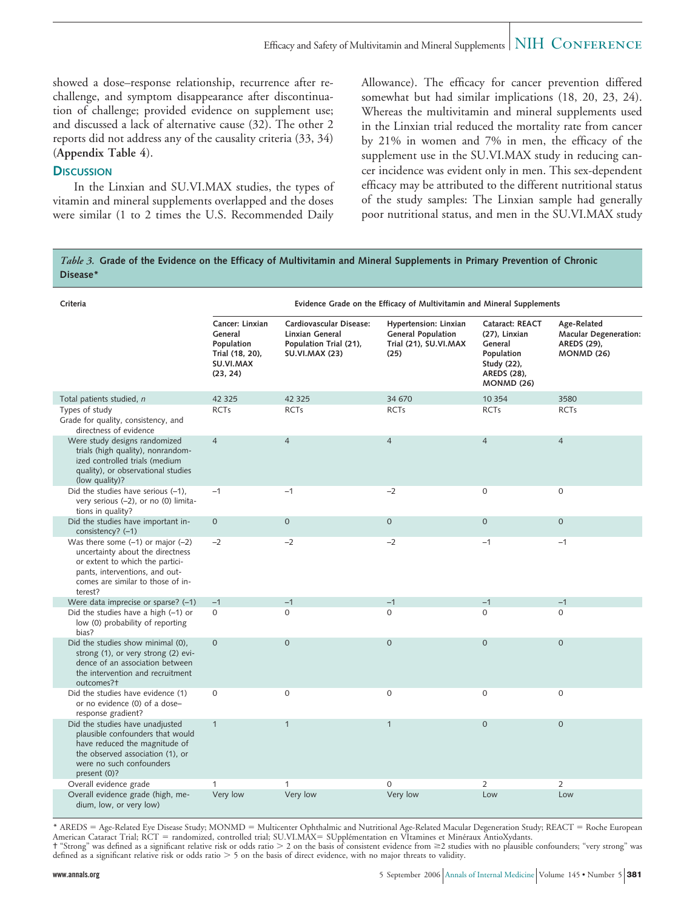showed a dose–response relationship, recurrence after rechallenge, and symptom disappearance after discontinuation of challenge; provided evidence on supplement use; and discussed a lack of alternative cause (32). The other 2 reports did not address any of the causality criteria (33, 34) (**Appendix Table 4**).

### **DISCUSSION**

In the Linxian and SU.VI.MAX studies, the types of vitamin and mineral supplements overlapped and the doses were similar (1 to 2 times the U.S. Recommended Daily Allowance). The efficacy for cancer prevention differed somewhat but had similar implications (18, 20, 23, 24). Whereas the multivitamin and mineral supplements used in the Linxian trial reduced the mortality rate from cancer by 21% in women and 7% in men, the efficacy of the supplement use in the SU.VI.MAX study in reducing cancer incidence was evident only in men. This sex-dependent efficacy may be attributed to the different nutritional status of the study samples: The Linxian sample had generally poor nutritional status, and men in the SU.VI.MAX study

#### *Table 3.* **Grade of the Evidence on the Efficacy of Multivitamin and Mineral Supplements in Primary Prevention of Chronic Disease\***

| Criteria                                                                                                                                                                                       |                                                                                      |                                                                                               | Evidence Grade on the Efficacy of Multivitamin and Mineral Supplements              |                                                                                                              |                                                                                 |
|------------------------------------------------------------------------------------------------------------------------------------------------------------------------------------------------|--------------------------------------------------------------------------------------|-----------------------------------------------------------------------------------------------|-------------------------------------------------------------------------------------|--------------------------------------------------------------------------------------------------------------|---------------------------------------------------------------------------------|
|                                                                                                                                                                                                | Cancer: Linxian<br>General<br>Population<br>Trial (18, 20),<br>SU.VI.MAX<br>(23, 24) | Cardiovascular Disease:<br>Linxian General<br>Population Trial (21),<br><b>SU.VI.MAX (23)</b> | Hypertension: Linxian<br><b>General Population</b><br>Trial (21), SU.VI.MAX<br>(25) | Cataract: REACT<br>(27), Linxian<br>General<br>Population<br>Study (22),<br>AREDS (28),<br><b>MONMD (26)</b> | Age-Related<br><b>Macular Degeneration:</b><br>AREDS (29),<br><b>MONMD (26)</b> |
| Total patients studied, n                                                                                                                                                                      | 42 3 25                                                                              | 42 3 25                                                                                       | 34 670                                                                              | 10 3 54                                                                                                      | 3580                                                                            |
| Types of study<br>Grade for quality, consistency, and<br>directness of evidence                                                                                                                | <b>RCTs</b>                                                                          | <b>RCTs</b>                                                                                   | <b>RCTs</b>                                                                         | <b>RCTs</b>                                                                                                  | <b>RCTs</b>                                                                     |
| Were study designs randomized<br>trials (high quality), nonrandom-<br>ized controlled trials (medium<br>quality), or observational studies<br>(low quality)?                                   | $\overline{4}$                                                                       | $\overline{4}$                                                                                | $\overline{4}$                                                                      | $\overline{4}$                                                                                               | $\overline{4}$                                                                  |
| Did the studies have serious (-1),<br>very serious (-2), or no (0) limita-<br>tions in quality?                                                                                                | $-1$                                                                                 | $-1$                                                                                          | $-2$                                                                                | $\mathbf{0}$                                                                                                 | $\mathbf 0$                                                                     |
| Did the studies have important in-<br>consistency? (-1)                                                                                                                                        | $\mathbf{O}$                                                                         | $\Omega$                                                                                      | $\overline{0}$                                                                      | $\Omega$                                                                                                     | $\Omega$                                                                        |
| Was there some $(-1)$ or major $(-2)$<br>uncertainty about the directness<br>or extent to which the partici-<br>pants, interventions, and out-<br>comes are similar to those of in-<br>terest? | $-2$                                                                                 | $-2$                                                                                          | $-2$                                                                                | $-1$                                                                                                         | $-1$                                                                            |
| Were data imprecise or sparse? (-1)                                                                                                                                                            | $-1$                                                                                 | $-1$                                                                                          | $-1$                                                                                | $-1$                                                                                                         | $-1$                                                                            |
| Did the studies have a high $(-1)$ or<br>low (0) probability of reporting<br>bias?                                                                                                             | 0                                                                                    | $\Omega$                                                                                      | 0                                                                                   | $\Omega$                                                                                                     | 0                                                                               |
| Did the studies show minimal (0),<br>strong (1), or very strong (2) evi-<br>dence of an association between<br>the intervention and recruitment<br>outcomes?+                                  | $\overline{0}$                                                                       | $\overline{0}$                                                                                | $\Omega$                                                                            | $\Omega$                                                                                                     | $\overline{0}$                                                                  |
| Did the studies have evidence (1)<br>or no evidence (0) of a dose-<br>response gradient?                                                                                                       | $\mathbf 0$                                                                          | $\mathbf 0$                                                                                   | $\mathbf 0$                                                                         | $\mathbf{0}$                                                                                                 | 0                                                                               |
| Did the studies have unadjusted<br>plausible confounders that would<br>have reduced the magnitude of<br>the observed association (1), or<br>were no such confounders<br>present (0)?           | $\mathbf{1}$                                                                         | $\mathbf{1}$                                                                                  | $\mathbf{1}$                                                                        | $\mathbf{O}$                                                                                                 | $\mathbf 0$                                                                     |
| Overall evidence grade                                                                                                                                                                         | 1                                                                                    | 1                                                                                             | $\mathbf{O}$                                                                        | $\overline{2}$                                                                                               | $\overline{2}$                                                                  |
| Overall evidence grade (high, me-<br>dium, low, or very low)                                                                                                                                   | Very low                                                                             | Very low                                                                                      | Very low                                                                            | Low                                                                                                          | Low                                                                             |

\* AREDS = Age-Related Eye Disease Study; MONMD = Multicenter Ophthalmic and Nutritional Age-Related Macular Degeneration Study; REACT = Roche European American Cataract Trial; RCT = randomized, controlled trial; SU.VI.MAX= SUpplémentation en VItamines et Minéraux AntioXydants.  $\dagger$  "Strong" was defined as a significant relative risk or odds ratio  $>$  2 on the basis of consistent evidence from  $\geq$ 2 studies with no plausible confounders; "very strong" was defined as a significant relative risk or odds ratio  $> 5$  on the basis of direct evidence, with no major threats to validity.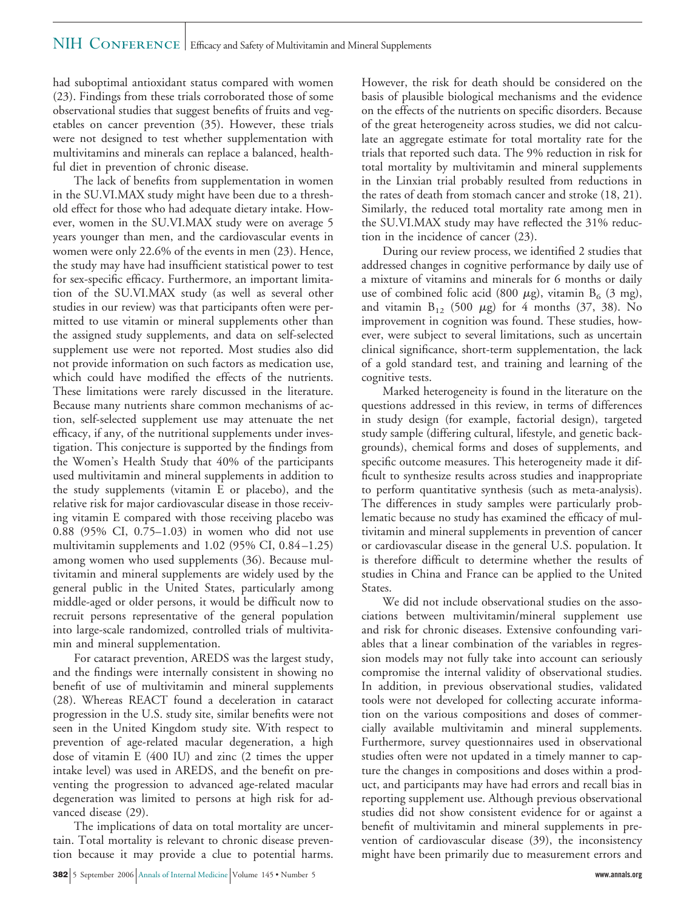### NIH CONFERENCE | Efficacy and Safety of Multivitamin and Mineral Supplements

had suboptimal antioxidant status compared with women (23). Findings from these trials corroborated those of some observational studies that suggest benefits of fruits and vegetables on cancer prevention (35). However, these trials were not designed to test whether supplementation with multivitamins and minerals can replace a balanced, healthful diet in prevention of chronic disease.

The lack of benefits from supplementation in women in the SU.VI.MAX study might have been due to a threshold effect for those who had adequate dietary intake. However, women in the SU.VI.MAX study were on average 5 years younger than men, and the cardiovascular events in women were only 22.6% of the events in men (23). Hence, the study may have had insufficient statistical power to test for sex-specific efficacy. Furthermore, an important limitation of the SU.VI.MAX study (as well as several other studies in our review) was that participants often were permitted to use vitamin or mineral supplements other than the assigned study supplements, and data on self-selected supplement use were not reported. Most studies also did not provide information on such factors as medication use, which could have modified the effects of the nutrients. These limitations were rarely discussed in the literature. Because many nutrients share common mechanisms of action, self-selected supplement use may attenuate the net efficacy, if any, of the nutritional supplements under investigation. This conjecture is supported by the findings from the Women's Health Study that 40% of the participants used multivitamin and mineral supplements in addition to the study supplements (vitamin E or placebo), and the relative risk for major cardiovascular disease in those receiving vitamin E compared with those receiving placebo was 0.88 (95% CI, 0.75–1.03) in women who did not use multivitamin supplements and 1.02 (95% CI, 0.84–1.25) among women who used supplements (36). Because multivitamin and mineral supplements are widely used by the general public in the United States, particularly among middle-aged or older persons, it would be difficult now to recruit persons representative of the general population into large-scale randomized, controlled trials of multivitamin and mineral supplementation.

For cataract prevention, AREDS was the largest study, and the findings were internally consistent in showing no benefit of use of multivitamin and mineral supplements (28). Whereas REACT found a deceleration in cataract progression in the U.S. study site, similar benefits were not seen in the United Kingdom study site. With respect to prevention of age-related macular degeneration, a high dose of vitamin E (400 IU) and zinc (2 times the upper intake level) was used in AREDS, and the benefit on preventing the progression to advanced age-related macular degeneration was limited to persons at high risk for advanced disease (29).

The implications of data on total mortality are uncertain. Total mortality is relevant to chronic disease prevention because it may provide a clue to potential harms. However, the risk for death should be considered on the basis of plausible biological mechanisms and the evidence on the effects of the nutrients on specific disorders. Because of the great heterogeneity across studies, we did not calculate an aggregate estimate for total mortality rate for the trials that reported such data. The 9% reduction in risk for total mortality by multivitamin and mineral supplements in the Linxian trial probably resulted from reductions in the rates of death from stomach cancer and stroke (18, 21). Similarly, the reduced total mortality rate among men in the SU.VI.MAX study may have reflected the 31% reduction in the incidence of cancer (23).

During our review process, we identified 2 studies that addressed changes in cognitive performance by daily use of a mixture of vitamins and minerals for 6 months or daily use of combined folic acid (800  $\mu$ g), vitamin B<sub>6</sub> (3 mg), and vitamin  $B_{12}$  (500  $\mu$ g) for 4 months (37, 38). No improvement in cognition was found. These studies, however, were subject to several limitations, such as uncertain clinical significance, short-term supplementation, the lack of a gold standard test, and training and learning of the cognitive tests.

Marked heterogeneity is found in the literature on the questions addressed in this review, in terms of differences in study design (for example, factorial design), targeted study sample (differing cultural, lifestyle, and genetic backgrounds), chemical forms and doses of supplements, and specific outcome measures. This heterogeneity made it difficult to synthesize results across studies and inappropriate to perform quantitative synthesis (such as meta-analysis). The differences in study samples were particularly problematic because no study has examined the efficacy of multivitamin and mineral supplements in prevention of cancer or cardiovascular disease in the general U.S. population. It is therefore difficult to determine whether the results of studies in China and France can be applied to the United States.

We did not include observational studies on the associations between multivitamin/mineral supplement use and risk for chronic diseases. Extensive confounding variables that a linear combination of the variables in regression models may not fully take into account can seriously compromise the internal validity of observational studies. In addition, in previous observational studies, validated tools were not developed for collecting accurate information on the various compositions and doses of commercially available multivitamin and mineral supplements. Furthermore, survey questionnaires used in observational studies often were not updated in a timely manner to capture the changes in compositions and doses within a product, and participants may have had errors and recall bias in reporting supplement use. Although previous observational studies did not show consistent evidence for or against a benefit of multivitamin and mineral supplements in prevention of cardiovascular disease (39), the inconsistency might have been primarily due to measurement errors and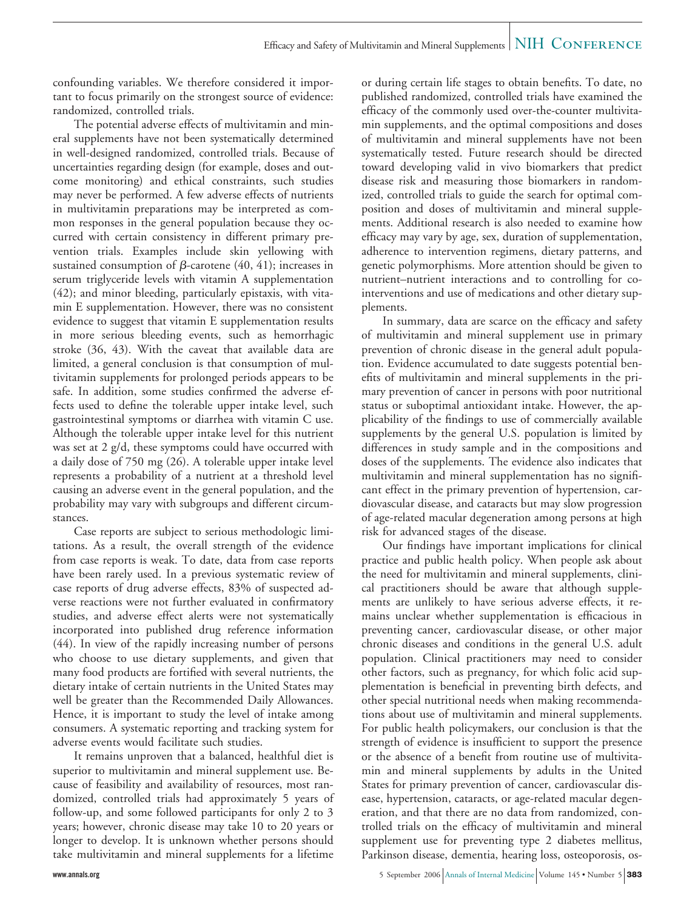confounding variables. We therefore considered it important to focus primarily on the strongest source of evidence: randomized, controlled trials.

The potential adverse effects of multivitamin and mineral supplements have not been systematically determined in well-designed randomized, controlled trials. Because of uncertainties regarding design (for example, doses and outcome monitoring) and ethical constraints, such studies may never be performed. A few adverse effects of nutrients in multivitamin preparations may be interpreted as common responses in the general population because they occurred with certain consistency in different primary prevention trials. Examples include skin yellowing with sustained consumption of  $\beta$ -carotene (40, 41); increases in serum triglyceride levels with vitamin A supplementation (42); and minor bleeding, particularly epistaxis, with vitamin E supplementation. However, there was no consistent evidence to suggest that vitamin E supplementation results in more serious bleeding events, such as hemorrhagic stroke (36, 43). With the caveat that available data are limited, a general conclusion is that consumption of multivitamin supplements for prolonged periods appears to be safe. In addition, some studies confirmed the adverse effects used to define the tolerable upper intake level, such gastrointestinal symptoms or diarrhea with vitamin C use. Although the tolerable upper intake level for this nutrient was set at 2 g/d, these symptoms could have occurred with a daily dose of 750 mg (26). A tolerable upper intake level represents a probability of a nutrient at a threshold level causing an adverse event in the general population, and the probability may vary with subgroups and different circumstances.

Case reports are subject to serious methodologic limitations. As a result, the overall strength of the evidence from case reports is weak. To date, data from case reports have been rarely used. In a previous systematic review of case reports of drug adverse effects, 83% of suspected adverse reactions were not further evaluated in confirmatory studies, and adverse effect alerts were not systematically incorporated into published drug reference information (44). In view of the rapidly increasing number of persons who choose to use dietary supplements, and given that many food products are fortified with several nutrients, the dietary intake of certain nutrients in the United States may well be greater than the Recommended Daily Allowances. Hence, it is important to study the level of intake among consumers. A systematic reporting and tracking system for adverse events would facilitate such studies.

It remains unproven that a balanced, healthful diet is superior to multivitamin and mineral supplement use. Because of feasibility and availability of resources, most randomized, controlled trials had approximately 5 years of follow-up, and some followed participants for only 2 to 3 years; however, chronic disease may take 10 to 20 years or longer to develop. It is unknown whether persons should take multivitamin and mineral supplements for a lifetime or during certain life stages to obtain benefits. To date, no published randomized, controlled trials have examined the efficacy of the commonly used over-the-counter multivitamin supplements, and the optimal compositions and doses of multivitamin and mineral supplements have not been systematically tested. Future research should be directed toward developing valid in vivo biomarkers that predict disease risk and measuring those biomarkers in randomized, controlled trials to guide the search for optimal composition and doses of multivitamin and mineral supplements. Additional research is also needed to examine how efficacy may vary by age, sex, duration of supplementation, adherence to intervention regimens, dietary patterns, and genetic polymorphisms. More attention should be given to nutrient–nutrient interactions and to controlling for cointerventions and use of medications and other dietary supplements.

In summary, data are scarce on the efficacy and safety of multivitamin and mineral supplement use in primary prevention of chronic disease in the general adult population. Evidence accumulated to date suggests potential benefits of multivitamin and mineral supplements in the primary prevention of cancer in persons with poor nutritional status or suboptimal antioxidant intake. However, the applicability of the findings to use of commercially available supplements by the general U.S. population is limited by differences in study sample and in the compositions and doses of the supplements. The evidence also indicates that multivitamin and mineral supplementation has no significant effect in the primary prevention of hypertension, cardiovascular disease, and cataracts but may slow progression of age-related macular degeneration among persons at high risk for advanced stages of the disease.

Our findings have important implications for clinical practice and public health policy. When people ask about the need for multivitamin and mineral supplements, clinical practitioners should be aware that although supplements are unlikely to have serious adverse effects, it remains unclear whether supplementation is efficacious in preventing cancer, cardiovascular disease, or other major chronic diseases and conditions in the general U.S. adult population. Clinical practitioners may need to consider other factors, such as pregnancy, for which folic acid supplementation is beneficial in preventing birth defects, and other special nutritional needs when making recommendations about use of multivitamin and mineral supplements. For public health policymakers, our conclusion is that the strength of evidence is insufficient to support the presence or the absence of a benefit from routine use of multivitamin and mineral supplements by adults in the United States for primary prevention of cancer, cardiovascular disease, hypertension, cataracts, or age-related macular degeneration, and that there are no data from randomized, controlled trials on the efficacy of multivitamin and mineral supplement use for preventing type 2 diabetes mellitus, Parkinson disease, dementia, hearing loss, osteoporosis, os-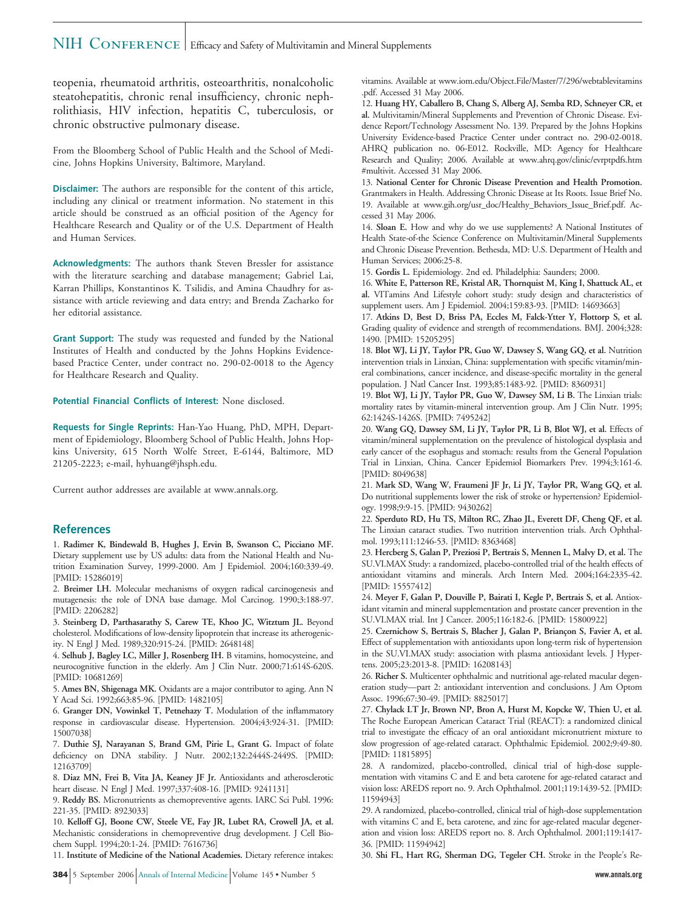## NIH CONFERENCE | Efficacy and Safety of Multivitamin and Mineral Supplements

teopenia, rheumatoid arthritis, osteoarthritis, nonalcoholic steatohepatitis, chronic renal insufficiency, chronic nephrolithiasis, HIV infection, hepatitis C, tuberculosis, or chronic obstructive pulmonary disease.

From the Bloomberg School of Public Health and the School of Medicine, Johns Hopkins University, Baltimore, Maryland.

**Disclaimer:** The authors are responsible for the content of this article, including any clinical or treatment information. No statement in this article should be construed as an official position of the Agency for Healthcare Research and Quality or of the U.S. Department of Health and Human Services.

**Acknowledgments:** The authors thank Steven Bressler for assistance with the literature searching and database management; Gabriel Lai, Karran Phillips, Konstantinos K. Tsilidis, and Amina Chaudhry for assistance with article reviewing and data entry; and Brenda Zacharko for her editorial assistance.

**Grant Support:** The study was requested and funded by the National Institutes of Health and conducted by the Johns Hopkins Evidencebased Practice Center, under contract no. 290-02-0018 to the Agency for Healthcare Research and Quality.

**Potential Financial Conflicts of Interest:** None disclosed.

**Requests for Single Reprints:** Han-Yao Huang, PhD, MPH, Department of Epidemiology, Bloomberg School of Public Health, Johns Hopkins University, 615 North Wolfe Street, E-6144, Baltimore, MD 21205-2223; e-mail, hyhuang@jhsph.edu.

Current author addresses are available at www.annals.org.

#### **References**

1. **Radimer K, Bindewald B, Hughes J, Ervin B, Swanson C, Picciano MF.** Dietary supplement use by US adults: data from the National Health and Nutrition Examination Survey, 1999-2000. Am J Epidemiol. 2004;160:339-49. [PMID: 15286019]

2. **Breimer LH.** Molecular mechanisms of oxygen radical carcinogenesis and mutagenesis: the role of DNA base damage. Mol Carcinog. 1990;3:188-97. [PMID: 2206282]

3. **Steinberg D, Parthasarathy S, Carew TE, Khoo JC, Witztum JL.** Beyond cholesterol. Modifications of low-density lipoprotein that increase its atherogenicity. N Engl J Med. 1989;320:915-24. [PMID: 2648148]

4. **Selhub J, Bagley LC, Miller J, Rosenberg IH.** B vitamins, homocysteine, and neurocognitive function in the elderly. Am J Clin Nutr. 2000;71:614S-620S. [PMID: 10681269]

5. **Ames BN, Shigenaga MK.** Oxidants are a major contributor to aging. Ann N Y Acad Sci. 1992;663:85-96. [PMID: 1482105]

6. **Granger DN, Vowinkel T, Petnehazy T.** Modulation of the inflammatory response in cardiovascular disease. Hypertension. 2004;43:924-31. [PMID: 15007038]

7. **Duthie SJ, Narayanan S, Brand GM, Pirie L, Grant G.** Impact of folate deficiency on DNA stability. J Nutr. 2002;132:2444S-2449S. [PMID: 12163709]

8. **Diaz MN, Frei B, Vita JA, Keaney JF Jr.** Antioxidants and atherosclerotic heart disease. N Engl J Med. 1997;337:408-16. [PMID: 9241131]

9. **Reddy BS.** Micronutrients as chemopreventive agents. IARC Sci Publ. 1996: 221-35. [PMID: 8923033]

10. **Kelloff GJ, Boone CW, Steele VE, Fay JR, Lubet RA, Crowell JA, et al.** Mechanistic considerations in chemopreventive drug development. J Cell Biochem Suppl. 1994;20:1-24. [PMID: 7616736]

11. **Institute of Medicine of the National Academies.** Dietary reference intakes:

vitamins. Available at www.iom.edu/Object.File/Master/7/296/webtablevitamins .pdf. Accessed 31 May 2006.

12. **Huang HY, Caballero B, Chang S, Alberg AJ, Semba RD, Schneyer CR, et al.** Multivitamin/Mineral Supplements and Prevention of Chronic Disease. Evidence Report/Technology Assessment No. 139. Prepared by the Johns Hopkins University Evidence-based Practice Center under contract no. 290-02-0018. AHRQ publication no. 06-E012. Rockville, MD: Agency for Healthcare Research and Quality; 2006. Available at www.ahrq.gov/clinic/evrptpdfs.htm #multivit. Accessed 31 May 2006.

13. **National Center for Chronic Disease Prevention and Health Promotion.** Grantmakers in Health. Addressing Chronic Disease at Its Roots. Issue Brief No. 19. Available at www.gih.org/usr\_doc/Healthy\_Behaviors\_Issue\_Brief.pdf. Accessed 31 May 2006.

14. **Sloan E.** How and why do we use supplements? A National Institutes of Health State-of-the Science Conference on Multivitamin/Mineral Supplements and Chronic Disease Prevention. Bethesda, MD: U.S. Department of Health and Human Services; 2006:25-8.

15. **Gordis L.** Epidemiology. 2nd ed. Philadelphia: Saunders; 2000.

16. **White E, Patterson RE, Kristal AR, Thornquist M, King I, Shattuck AL, et al.** VITamins And Lifestyle cohort study: study design and characteristics of supplement users. Am J Epidemiol. 2004;159:83-93. [PMID: 14693663]

17. **Atkins D, Best D, Briss PA, Eccles M, Falck-Ytter Y, Flottorp S, et al.** Grading quality of evidence and strength of recommendations. BMJ. 2004;328: 1490. [PMID: 15205295]

18. **Blot WJ, Li JY, Taylor PR, Guo W, Dawsey S, Wang GQ, et al.** Nutrition intervention trials in Linxian, China: supplementation with specific vitamin/mineral combinations, cancer incidence, and disease-specific mortality in the general population. J Natl Cancer Inst. 1993;85:1483-92. [PMID: 8360931]

19. **Blot WJ, Li JY, Taylor PR, Guo W, Dawsey SM, Li B.** The Linxian trials: mortality rates by vitamin-mineral intervention group. Am J Clin Nutr. 1995; 62:1424S-1426S. [PMID: 7495242]

20. **Wang GQ, Dawsey SM, Li JY, Taylor PR, Li B, Blot WJ, et al.** Effects of vitamin/mineral supplementation on the prevalence of histological dysplasia and early cancer of the esophagus and stomach: results from the General Population Trial in Linxian, China. Cancer Epidemiol Biomarkers Prev. 1994;3:161-6. [PMID: 8049638]

21. **Mark SD, Wang W, Fraumeni JF Jr, Li JY, Taylor PR, Wang GQ, et al.** Do nutritional supplements lower the risk of stroke or hypertension? Epidemiology. 1998;9:9-15. [PMID: 9430262]

22. **Sperduto RD, Hu TS, Milton RC, Zhao JL, Everett DF, Cheng QF, et al.** The Linxian cataract studies. Two nutrition intervention trials. Arch Ophthalmol. 1993;111:1246-53. [PMID: 8363468]

23. **Hercberg S, Galan P, Preziosi P, Bertrais S, Mennen L, Malvy D, et al.** The SU.VI.MAX Study: a randomized, placebo-controlled trial of the health effects of antioxidant vitamins and minerals. Arch Intern Med. 2004;164:2335-42. [PMID: 15557412]

24. **Meyer F, Galan P, Douville P, Bairati I, Kegle P, Bertrais S, et al.** Antioxidant vitamin and mineral supplementation and prostate cancer prevention in the SU.VI.MAX trial. Int J Cancer. 2005;116:182-6. [PMID: 15800922]

25. Czernichow S, Bertrais S, Blacher J, Galan P, Briançon S, Favier A, et al. Effect of supplementation with antioxidants upon long-term risk of hypertension in the SU.VI.MAX study: association with plasma antioxidant levels. J Hypertens. 2005;23:2013-8. [PMID: 16208143]

26. **Richer S.** Multicenter ophthalmic and nutritional age-related macular degeneration study—part 2: antioxidant intervention and conclusions. J Am Optom Assoc. 1996;67:30-49. [PMID: 8825017]

27. **Chylack LT Jr, Brown NP, Bron A, Hurst M, Kopcke W, Thien U, et al.** The Roche European American Cataract Trial (REACT): a randomized clinical trial to investigate the efficacy of an oral antioxidant micronutrient mixture to slow progression of age-related cataract. Ophthalmic Epidemiol. 2002;9:49-80. [PMID: 11815895]

28. A randomized, placebo-controlled, clinical trial of high-dose supplementation with vitamins C and E and beta carotene for age-related cataract and vision loss: AREDS report no. 9. Arch Ophthalmol. 2001;119:1439-52. [PMID: 11594943]

29. A randomized, placebo-controlled, clinical trial of high-dose supplementation with vitamins C and E, beta carotene, and zinc for age-related macular degeneration and vision loss: AREDS report no. 8. Arch Ophthalmol. 2001;119:1417- 36. [PMID: 11594942]

30. **Shi FL, Hart RG, Sherman DG, Tegeler CH.** Stroke in the People's Re-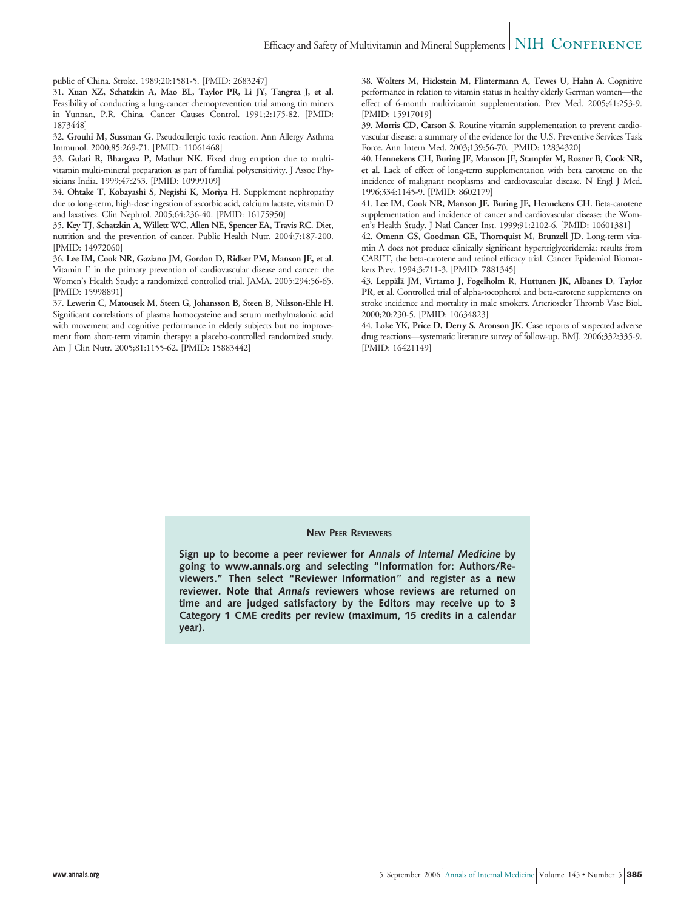### Efficacy and Safety of Multivitamin and Mineral Supplements  $\vert$  NIH  $\,$  CONFERENCE

public of China. Stroke. 1989;20:1581-5. [PMID: 2683247]

31. **Xuan XZ, Schatzkin A, Mao BL, Taylor PR, Li JY, Tangrea J, et al.** Feasibility of conducting a lung-cancer chemoprevention trial among tin miners in Yunnan, P.R. China. Cancer Causes Control. 1991;2:175-82. [PMID: 1873448]

32. **Grouhi M, Sussman G.** Pseudoallergic toxic reaction. Ann Allergy Asthma Immunol. 2000;85:269-71. [PMID: 11061468]

33. **Gulati R, Bhargava P, Mathur NK.** Fixed drug eruption due to multivitamin multi-mineral preparation as part of familial polysensitivity. J Assoc Physicians India. 1999;47:253. [PMID: 10999109]

34. **Ohtake T, Kobayashi S, Negishi K, Moriya H.** Supplement nephropathy due to long-term, high-dose ingestion of ascorbic acid, calcium lactate, vitamin D and laxatives. Clin Nephrol. 2005;64:236-40. [PMID: 16175950]

35. **Key TJ, Schatzkin A, Willett WC, Allen NE, Spencer EA, Travis RC.** Diet, nutrition and the prevention of cancer. Public Health Nutr. 2004;7:187-200. [PMID: 14972060]

36. **Lee IM, Cook NR, Gaziano JM, Gordon D, Ridker PM, Manson JE, et al.** Vitamin E in the primary prevention of cardiovascular disease and cancer: the Women's Health Study: a randomized controlled trial. JAMA. 2005;294:56-65. [PMID: 15998891]

37. **Lewerin C, Matousek M, Steen G, Johansson B, Steen B, Nilsson-Ehle H.** Significant correlations of plasma homocysteine and serum methylmalonic acid with movement and cognitive performance in elderly subjects but no improvement from short-term vitamin therapy: a placebo-controlled randomized study. Am J Clin Nutr. 2005;81:1155-62. [PMID: 15883442]

38. **Wolters M, Hickstein M, Flintermann A, Tewes U, Hahn A.** Cognitive performance in relation to vitamin status in healthy elderly German women—the effect of 6-month multivitamin supplementation. Prev Med. 2005;41:253-9. [PMID: 15917019]

39. **Morris CD, Carson S.** Routine vitamin supplementation to prevent cardiovascular disease: a summary of the evidence for the U.S. Preventive Services Task Force. Ann Intern Med. 2003;139:56-70. [PMID: 12834320]

40. **Hennekens CH, Buring JE, Manson JE, Stampfer M, Rosner B, Cook NR, et al.** Lack of effect of long-term supplementation with beta carotene on the incidence of malignant neoplasms and cardiovascular disease. N Engl J Med. 1996;334:1145-9. [PMID: 8602179]

41. **Lee IM, Cook NR, Manson JE, Buring JE, Hennekens CH.** Beta-carotene supplementation and incidence of cancer and cardiovascular disease: the Women's Health Study. J Natl Cancer Inst. 1999;91:2102-6. [PMID: 10601381]

42. **Omenn GS, Goodman GE, Thornquist M, Brunzell JD.** Long-term vitamin A does not produce clinically significant hypertriglyceridemia: results from CARET, the beta-carotene and retinol efficacy trial. Cancer Epidemiol Biomarkers Prev. 1994;3:711-3. [PMID: 7881345]

43. Leppälä JM, Virtamo J, Fogelholm R, Huttunen JK, Albanes D, Taylor **PR, et al.** Controlled trial of alpha-tocopherol and beta-carotene supplements on stroke incidence and mortality in male smokers. Arterioscler Thromb Vasc Biol. 2000;20:230-5. [PMID: 10634823]

44. **Loke YK, Price D, Derry S, Aronson JK.** Case reports of suspected adverse drug reactions—systematic literature survey of follow-up. BMJ. 2006;332:335-9. [PMID: 16421149]

#### **NEW PEER REVIEWERS**

**Sign up to become a peer reviewer for Annals of Internal Medicine by going to www.annals.org and selecting "Information for: Authors/Reviewers." Then select "Reviewer Information" and register as a new reviewer. Note that Annals reviewers whose reviews are returned on time and are judged satisfactory by the Editors may receive up to 3 Category 1 CME credits per review (maximum, 15 credits in a calendar year).**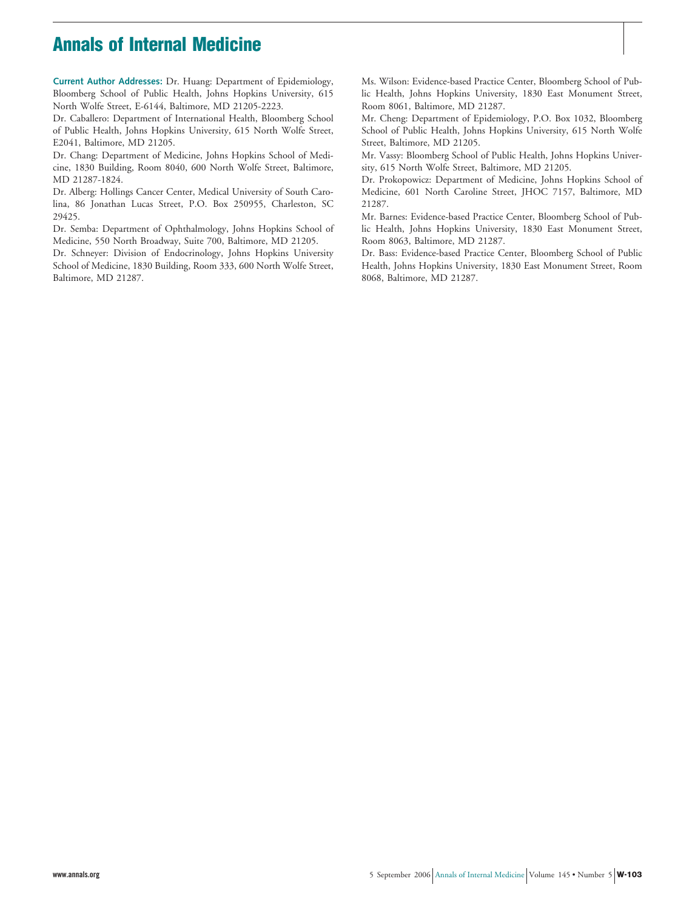# **Annals of Internal Medicine**

**Current Author Addresses:** Dr. Huang: Department of Epidemiology, Bloomberg School of Public Health, Johns Hopkins University, 615 North Wolfe Street, E-6144, Baltimore, MD 21205-2223.

Dr. Caballero: Department of International Health, Bloomberg School of Public Health, Johns Hopkins University, 615 North Wolfe Street, E2041, Baltimore, MD 21205.

Dr. Chang: Department of Medicine, Johns Hopkins School of Medicine, 1830 Building, Room 8040, 600 North Wolfe Street, Baltimore, MD 21287-1824.

Dr. Alberg: Hollings Cancer Center, Medical University of South Carolina, 86 Jonathan Lucas Street, P.O. Box 250955, Charleston, SC 29425.

Dr. Semba: Department of Ophthalmology, Johns Hopkins School of Medicine, 550 North Broadway, Suite 700, Baltimore, MD 21205.

Dr. Schneyer: Division of Endocrinology, Johns Hopkins University School of Medicine, 1830 Building, Room 333, 600 North Wolfe Street, Baltimore, MD 21287.

Ms. Wilson: Evidence-based Practice Center, Bloomberg School of Public Health, Johns Hopkins University, 1830 East Monument Street, Room 8061, Baltimore, MD 21287.

Mr. Cheng: Department of Epidemiology, P.O. Box 1032, Bloomberg School of Public Health, Johns Hopkins University, 615 North Wolfe Street, Baltimore, MD 21205.

Mr. Vassy: Bloomberg School of Public Health, Johns Hopkins University, 615 North Wolfe Street, Baltimore, MD 21205.

Dr. Prokopowicz: Department of Medicine, Johns Hopkins School of Medicine, 601 North Caroline Street, JHOC 7157, Baltimore, MD 21287.

Mr. Barnes: Evidence-based Practice Center, Bloomberg School of Public Health, Johns Hopkins University, 1830 East Monument Street, Room 8063, Baltimore, MD 21287.

Dr. Bass: Evidence-based Practice Center, Bloomberg School of Public Health, Johns Hopkins University, 1830 East Monument Street, Room 8068, Baltimore, MD 21287.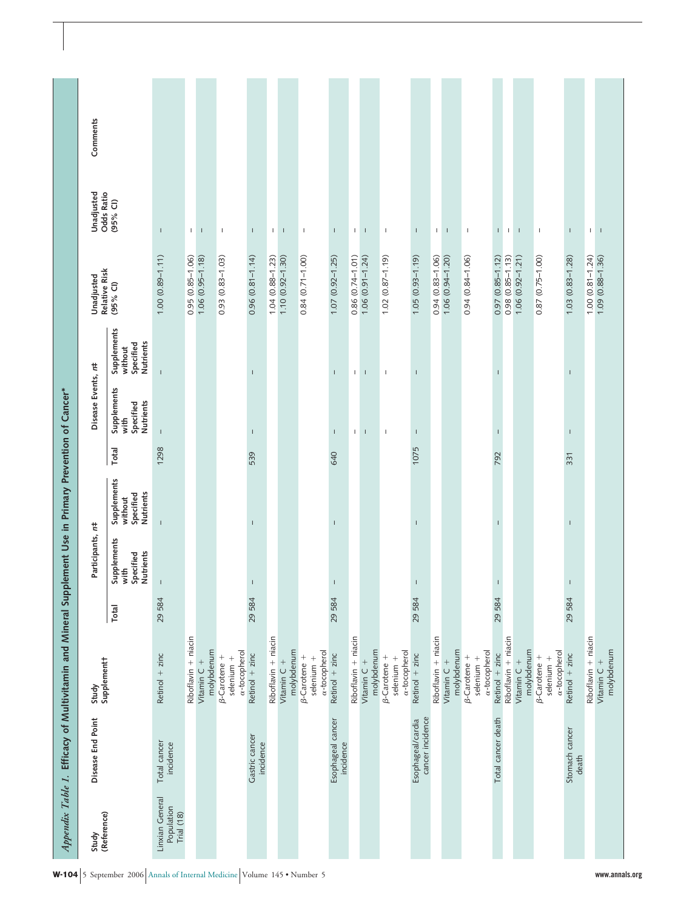| Study                                       | Disease End Point                     | Study                                               |        | Participants, r#                                     |                                                  |       | Disease Events, n#                                   |                                                  | Unadjusted                | Unadjusted                    | Comments |
|---------------------------------------------|---------------------------------------|-----------------------------------------------------|--------|------------------------------------------------------|--------------------------------------------------|-------|------------------------------------------------------|--------------------------------------------------|---------------------------|-------------------------------|----------|
| (Reference)                                 |                                       | Supplementt                                         | Total  | Supplements<br><b>Nutrients</b><br>Specified<br>with | Supplements<br>Nutrients<br>Specified<br>without | Total | Supplements<br><b>Nutrients</b><br>Specified<br>with | Supplements<br>Nutrients<br>Specified<br>without | Relative Risk<br>(95% CI) | <b>Odds Ratio</b><br>(95% CI) |          |
| Linxian General<br>Population<br>Trial (18) | Total cancer<br>incidence             | Retinol $+$ zinc                                    | 29 584 |                                                      | $\mathbf{I}$                                     | 1298  | $\overline{1}$                                       | $\mathbf{I}$                                     | $1.00(0.89 - 1.11)$       | $\mathbf{I}$                  |          |
|                                             |                                       | Riboflavin + niacin                                 |        |                                                      |                                                  |       |                                                      |                                                  | $0.95(0.85 - 1.06)$       | $\mathbf{L}$                  |          |
|                                             |                                       | molybdenum<br>Vitamin C +                           |        |                                                      |                                                  |       |                                                      |                                                  | $1.06(0.95 - 1.18)$       | $\mathsf I$                   |          |
|                                             |                                       | a-tocopherol<br><b>B-Carotene</b> +<br>$selenium +$ |        |                                                      |                                                  |       |                                                      |                                                  | $0.93(0.83 - 1.03)$       | $\mathsf I$                   |          |
|                                             | Gastric cancer<br>incidence           | Retinol $+$ zinc                                    | 29584  | $\mathbf{I}$                                         | т                                                | 539   | $\mathsf I$                                          | $\mathsf{I}$                                     | $0.96$ $(0.81 - 1.14)$    | $\mathbf{I}$                  |          |
|                                             |                                       | Riboflavin + niacin                                 |        |                                                      |                                                  |       |                                                      |                                                  | $1.04(0.88 - 1.23)$       | $\mathsf I$                   |          |
|                                             |                                       | molybdenum<br>Vitamin C +                           |        |                                                      |                                                  |       |                                                      |                                                  | $1.10(0.92 - 1.30)$       | $\mathsf{I}$                  |          |
|                                             |                                       | a-tocopherol<br>$\beta$ -Carotene +<br>selenium +   |        |                                                      |                                                  |       |                                                      |                                                  | $0.84(0.71 - 1.00)$       | $\overline{\phantom{a}}$      |          |
|                                             | Esophageal cancer<br>incidence        | Retinol $+$ zinc                                    | 29584  | $\mathsf I$                                          | $\mathbf{I}$                                     | 640   | $\mathbf{I}$                                         | $\mathbf{I}$                                     | $1.07(0.92 - 1.25)$       | $\mathsf{I}$                  |          |
|                                             |                                       | Riboflavin + niacin                                 |        |                                                      |                                                  |       | $\mathbb{L}$                                         | $\mathbb{L}$                                     | $0.86(0.74 - 1.01)$       | $\mathbb{L}$                  |          |
|                                             |                                       | molybdenum<br>Vitamin $C +$                         |        |                                                      |                                                  |       | $\mathbf I$                                          | $\mathbf I$                                      | $1.06(0.91 - 1.24)$       | $\overline{\phantom{a}}$      |          |
|                                             |                                       | <b>B-Carotene</b> +<br>selenium +                   |        |                                                      |                                                  |       | $\mathsf I$                                          | $\mathbb T$                                      | $1.02(0.87 - 1.19)$       | $\mathsf I$                   |          |
|                                             |                                       | a-tocopherol                                        |        |                                                      |                                                  |       |                                                      |                                                  |                           |                               |          |
|                                             | cancer incidence<br>Esophageal/cardia | Retinol $+$ zinc                                    | 29584  | $\mathsf I$                                          | $\mathbf{I}$                                     | 1075  | $\mathsf I$                                          | $\mathbf{I}$                                     | $(61.1-50.05)$            | $\mathsf I$                   |          |
|                                             |                                       | Riboflavin + niacin                                 |        |                                                      |                                                  |       |                                                      |                                                  | $0.94(0.83 - 1.06)$       | $\mathbb{F}_q$                |          |
|                                             |                                       | molybdenum<br>Vitamin C +                           |        |                                                      |                                                  |       |                                                      |                                                  | $1.06(0.94 - 1.20)$       | $\mathsf I$                   |          |
|                                             |                                       | a-tocopherol<br><b>B-Carotene</b> +<br>$selenium +$ |        |                                                      |                                                  |       |                                                      |                                                  | $0.94(0.84 - 1.06)$       | $\mathsf I$                   |          |
|                                             | Total cancer death                    | Retinol $+$ zinc                                    | 29584  | т                                                    |                                                  | 792   | $\mathbf{I}$                                         | т                                                | $0.97(0.85 - 1.12)$       | T.                            |          |
|                                             |                                       | Riboflavin + niacin                                 |        |                                                      |                                                  |       |                                                      |                                                  | $0.98(0.85 - 1.13)$       | $\mathbf{L}$                  |          |
|                                             |                                       | molybdenum<br>Vitamin C +                           |        |                                                      |                                                  |       |                                                      |                                                  | $1.06(0.92 - 1.21)$       | $\mathsf I$                   |          |
|                                             |                                       | a-tocopherol<br><b>B-Carotene</b> +<br>$selenium +$ |        |                                                      |                                                  |       |                                                      |                                                  | 0.87 (0.75-1.00)          | $\mathsf I$                   |          |
|                                             | Stomach cancer<br>death               | Retinol $+$ zinc                                    | 29584  | $\mathsf I$                                          | т                                                | 331   | T                                                    | I                                                | $1.03(0.83 - 1.28)$       | $\mathbf{I}$                  |          |
|                                             |                                       | Riboflavin + niacin                                 |        |                                                      |                                                  |       |                                                      |                                                  | $1.00(0.81 - 1.24)$       | $\mathsf I$                   |          |
|                                             |                                       | molybdenum<br>Vitamin $C +$                         |        |                                                      |                                                  |       |                                                      |                                                  | $1.09(0.88 - 1.36)$       | $\mathsf I$                   |          |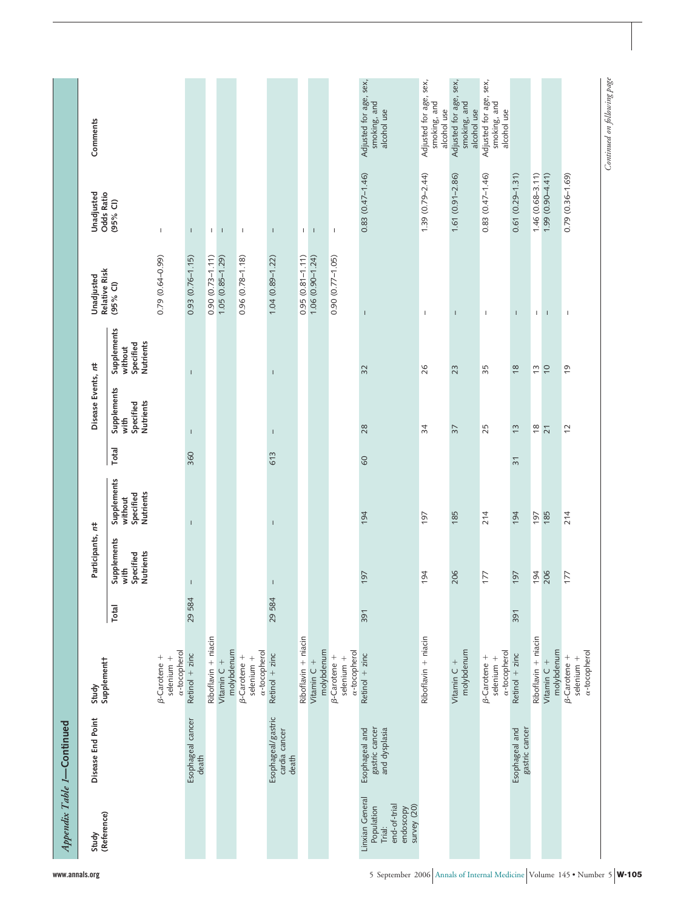| (Reference)                                                                         | Disease End Point                                 | Supplementt<br>Study                                      |              | Participants, r#                                     |                                                  |                | Disease Events, n#                            |                                                  | Relative Risk<br>Unadjusted | Unadjusted<br><b>Odds Ratio</b> | Comments                                              |
|-------------------------------------------------------------------------------------|---------------------------------------------------|-----------------------------------------------------------|--------------|------------------------------------------------------|--------------------------------------------------|----------------|-----------------------------------------------|--------------------------------------------------|-----------------------------|---------------------------------|-------------------------------------------------------|
|                                                                                     |                                                   |                                                           | <b>Total</b> | Supplements<br><b>Nutrients</b><br>Specified<br>with | Supplements<br>Nutrients<br>Specified<br>without | Total          | Supplements<br>Specified<br>Nutrients<br>with | Supplements<br>Specified<br>Nutrients<br>without | $(95%$ CI)                  | (95% CI)                        |                                                       |
|                                                                                     |                                                   | $\alpha$ -tocopherol<br><b>B-Carotene</b> +<br>selenium + |              |                                                      |                                                  |                |                                               |                                                  | $0.79(0.64 - 0.99)$         | $\mathsf I$                     |                                                       |
|                                                                                     | Esophageal cancer<br>death                        | Retinol $+$ zinc                                          | 29584        | $\mathbf{I}$                                         | $\mathbf{I}$                                     | 360            | $\mathsf I$                                   | $\mathbf{I}$                                     | $0.93(0.76 - 1.15)$         | $\mathsf I$                     |                                                       |
|                                                                                     |                                                   | Riboflavin + niacin                                       |              |                                                      |                                                  |                |                                               |                                                  | $0.90(0.73 - 1.11)$         |                                 |                                                       |
|                                                                                     |                                                   | molybdenum<br>Vitamin C +                                 |              |                                                      |                                                  |                |                                               |                                                  | $1.05(0.85 - 1.29)$         | $1 - 1$                         |                                                       |
|                                                                                     |                                                   | a-tocopherol<br><b>B-Carotene</b> +<br>selenium +         |              |                                                      |                                                  |                |                                               |                                                  | $0.96(0.78 - 1.18)$         | $\mathsf I$                     |                                                       |
|                                                                                     | Esophageal/gastric<br>cardia cancer<br>death      | Retinol $+$ zinc                                          | 29584        | $\mathbf{I}$                                         | $\overline{\phantom{a}}$                         | 613            | $\mathbf{I}$                                  | $\mathbf{I}$                                     | $1.04(0.89 - 1.22)$         | $\mathbf{I}$                    |                                                       |
|                                                                                     |                                                   | Riboflavin + niacin                                       |              |                                                      |                                                  |                |                                               |                                                  | $0.95(0.81 - 1.11)$         | $\mathbb{L}$                    |                                                       |
|                                                                                     |                                                   | molybdenum<br>Vitamin C +                                 |              |                                                      |                                                  |                |                                               |                                                  | $1.06(0.90 - 1.24)$         | $\mathsf I$                     |                                                       |
|                                                                                     |                                                   | a-tocopherol<br>$\beta$ -Carotene +<br>selenium +         |              |                                                      |                                                  |                |                                               |                                                  | $0.90(0.77 - 1.05)$         | $\mathsf I$                     |                                                       |
| Linxian General<br>end-of-trial<br>survey (20)<br>Population<br>endoscopy<br>Trial: | gastric cancer<br>and dysplasia<br>Esophageal and | Retinol $+$ zinc                                          | 391          | 197                                                  | 194                                              | $60$           | 28                                            | 32                                               | T                           | $0.83(0.47 - 1.46)$             | Adjusted for age, sex,<br>smoking, and<br>alcohol use |
|                                                                                     |                                                   | Riboflavin + niacin                                       |              | 194                                                  | 197                                              |                | 34                                            | 26                                               | $\mathbf{I}$                | $1.39(0.79 - 2.44)$             | Adjusted for age, sex,<br>smoking, and<br>alcohol use |
|                                                                                     |                                                   | molybdenum<br>Vitamin $C +$                               |              | 206                                                  | 185                                              |                | $\overline{37}$                               | 23                                               | $\overline{1}$              | 1.61 (0.91-2.86)                | Adjusted for age, sex,<br>smoking, and<br>alcohol use |
|                                                                                     |                                                   | a-tocopherol<br>$\beta$ -Carotene +<br>selenium +         |              | 177                                                  | 214                                              |                | 25                                            | 35                                               | $\mathbf I$                 | 0.83 (0.47-1.46)                | Adjusted for age, sex,<br>smoking, and<br>alcohol use |
|                                                                                     | gastric cancer<br>Esophageal and                  | Retinol $+$ zinc                                          | 391          | 197                                                  | 194                                              | $\overline{3}$ | $\frac{1}{2}$                                 | $\frac{8}{2}$                                    | $\mathbf{I}$                | $0.61(0.29 - 1.31)$             |                                                       |
|                                                                                     |                                                   | Riboflavin + niacin                                       |              | 194                                                  | 197                                              |                | $\overset{\infty}{\sim}$                      | $\frac{10}{2}$                                   | $\mathbb{L}$                | $1.46(0.68 - 3.11)$             |                                                       |
|                                                                                     |                                                   | molybdenum<br>Vitamin C +                                 |              | 206                                                  | 185                                              |                | $\overline{21}$                               |                                                  | $\mathsf I$                 | 1.99 (0.90-4.41)                |                                                       |
|                                                                                     |                                                   | a-tocopherol<br><b>B-Carotene</b> +<br>selenium +         |              | 177                                                  | 214                                              |                | 12                                            | 6                                                | $\overline{\phantom{a}}$    | $0.79(0.36 - 1.69)$             |                                                       |

**www.annals.org** 5 September 2006 Annals of Internal Medicine Volume 145 • Number 5 **W-105**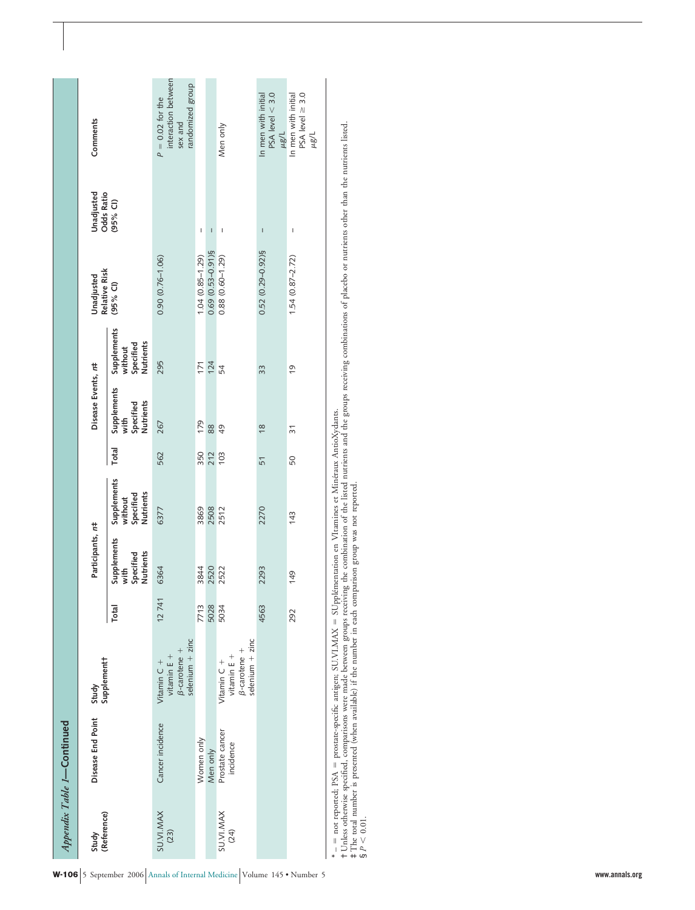|                          | Appendix Table 1-Continued                                                                                                                                                                                                                                                                                                                                |                                                                          |              |                                                      |                                                  |       |                                               |                                                  |                             |                                                                                                                                                                                                                                                                                                                                                                                                                |                                                                          |
|--------------------------|-----------------------------------------------------------------------------------------------------------------------------------------------------------------------------------------------------------------------------------------------------------------------------------------------------------------------------------------------------------|--------------------------------------------------------------------------|--------------|------------------------------------------------------|--------------------------------------------------|-------|-----------------------------------------------|--------------------------------------------------|-----------------------------|----------------------------------------------------------------------------------------------------------------------------------------------------------------------------------------------------------------------------------------------------------------------------------------------------------------------------------------------------------------------------------------------------------------|--------------------------------------------------------------------------|
| (Reference)<br>Study     | Disease End Point                                                                                                                                                                                                                                                                                                                                         | Supplementt<br>Study                                                     |              | Participants, r#                                     |                                                  |       | Disease Events, n#                            |                                                  | Relative Risk<br>Unadjusted | <b>Odds Ratio</b><br>Unadjusted                                                                                                                                                                                                                                                                                                                                                                                | Comments                                                                 |
|                          |                                                                                                                                                                                                                                                                                                                                                           |                                                                          | <b>Total</b> | Supplements<br><b>Nutrients</b><br>Specified<br>with | Supplements<br>Nutrients<br>Specified<br>without | Total | Supplements<br>Nutrients<br>Specified<br>with | Supplements<br>Nutrients<br>Specified<br>without | $(95%$ CI)                  | $(95%$ Cl)                                                                                                                                                                                                                                                                                                                                                                                                     |                                                                          |
| <b>SU.VI.MAX</b><br>(23) | Cancer incidence                                                                                                                                                                                                                                                                                                                                          | $selenium + zinc$<br>$\beta$ -carotene +<br>vitamin $E +$<br>Vitamin C + | 12741        | 6364                                                 | 6377                                             | 562   | 267                                           | 295                                              | $0.90(0.76 - 1.06)$         |                                                                                                                                                                                                                                                                                                                                                                                                                | interaction between<br>randomized group<br>$P = 0.02$ for the<br>sex and |
|                          | Women only                                                                                                                                                                                                                                                                                                                                                |                                                                          | 7713         | 3844                                                 | 3869                                             | 350   | 179                                           | 171                                              | $1.04(0.85 - 1.29)$         | I                                                                                                                                                                                                                                                                                                                                                                                                              |                                                                          |
|                          | Men only                                                                                                                                                                                                                                                                                                                                                  |                                                                          | 5028         | 2520                                                 | 2508                                             | 212   | 88                                            | 124                                              | $0.69(0.53 - 0.91)$ §       | $\begin{array}{c} \rule{0pt}{2.5ex} \rule{0pt}{2.5ex} \rule{0pt}{2.5ex} \rule{0pt}{2.5ex} \rule{0pt}{2.5ex} \rule{0pt}{2.5ex} \rule{0pt}{2.5ex} \rule{0pt}{2.5ex} \rule{0pt}{2.5ex} \rule{0pt}{2.5ex} \rule{0pt}{2.5ex} \rule{0pt}{2.5ex} \rule{0pt}{2.5ex} \rule{0pt}{2.5ex} \rule{0pt}{2.5ex} \rule{0pt}{2.5ex} \rule{0pt}{2.5ex} \rule{0pt}{2.5ex} \rule{0pt}{2.5ex} \rule{0$                               |                                                                          |
| <b>SU.VI.MAX</b><br>(24) | Prostate cancer<br>incidence                                                                                                                                                                                                                                                                                                                              | $selenium + zinc$<br>$\beta$ -carotene +<br>vitamin $E +$<br>Vitamin C + | 5034         | 2522                                                 | 2512                                             | 103   | 49                                            | 54                                               | $0.88(0.60 - 1.29)$         | $\begin{array}{c} \rule{0pt}{2ex} \rule{0pt}{2ex} \rule{0pt}{2ex} \rule{0pt}{2ex} \rule{0pt}{2ex} \rule{0pt}{2ex} \rule{0pt}{2ex} \rule{0pt}{2ex} \rule{0pt}{2ex} \rule{0pt}{2ex} \rule{0pt}{2ex} \rule{0pt}{2ex} \rule{0pt}{2ex} \rule{0pt}{2ex} \rule{0pt}{2ex} \rule{0pt}{2ex} \rule{0pt}{2ex} \rule{0pt}{2ex} \rule{0pt}{2ex} \rule{0pt}{2ex} \rule{0pt}{2ex} \rule{0pt}{2ex} \rule{0pt}{2ex} \rule{0pt}{$ | Men only                                                                 |
|                          |                                                                                                                                                                                                                                                                                                                                                           |                                                                          | 4563         | 2293                                                 | 2270                                             | 51    | $\frac{8}{2}$                                 | 33                                               | $0.52(0.29 - 0.92)$ §       | $\overline{1}$                                                                                                                                                                                                                                                                                                                                                                                                 | $PSA$ level $< 3.0$<br>In men with initial<br>$\mu$ g/L                  |
|                          |                                                                                                                                                                                                                                                                                                                                                           |                                                                          | 292          | 149                                                  | 143                                              | 50    | $\overline{3}$                                | <u>o</u>                                         | $1.54(0.87 - 2.72)$         | I                                                                                                                                                                                                                                                                                                                                                                                                              | $PSA$ level $\geq 3.0$<br>In men with initial<br>$\mu$ g/L               |
| $S$ $P$ < 0.01.          | †Unless otherwise specified, comparisons were made between groups receiving the combination of the listed nutrients and the groups receiving combinations of placebo or nutrients other than the nutrients listed.<br>‡The total<br>– = not reported; PSA = prostate-specific antigen; SU.VI.MAX = SUpplémentation en VItamines et Minéraux AntioXydants. |                                                                          |              |                                                      |                                                  |       |                                               |                                                  |                             |                                                                                                                                                                                                                                                                                                                                                                                                                |                                                                          |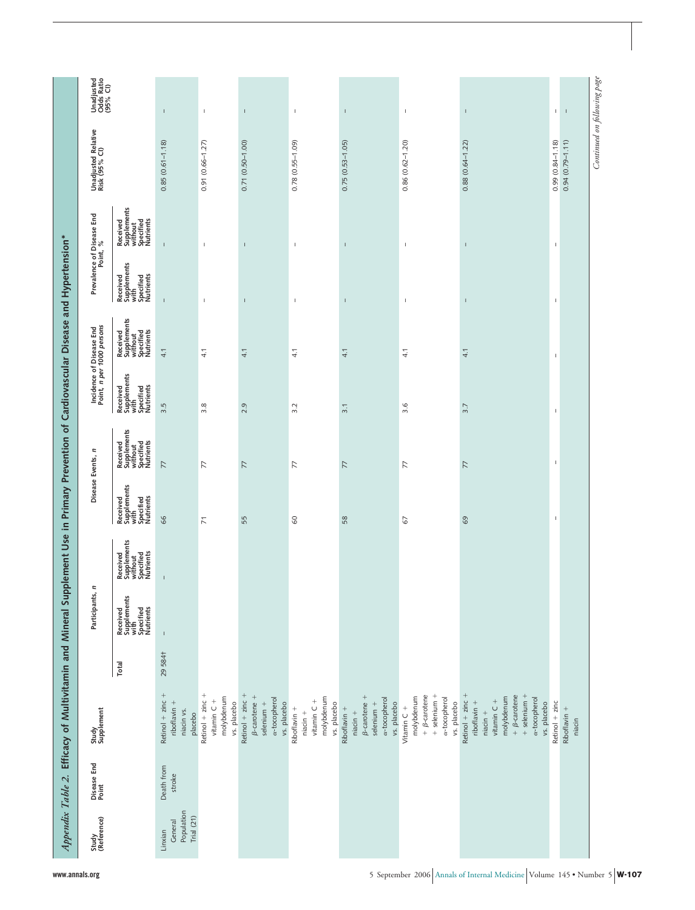|                                       |                      | Appendix Table 2. Efficacy of Multivitamin and Mineral Supplement Use in Primary Prevention of Cardiovascular Disease and Hypertension*                     |        |                                                           |                                                              |                                                           |                                                              |                                                           |                                                              |                                                           |                                                              |                                            |                                      |
|---------------------------------------|----------------------|-------------------------------------------------------------------------------------------------------------------------------------------------------------|--------|-----------------------------------------------------------|--------------------------------------------------------------|-----------------------------------------------------------|--------------------------------------------------------------|-----------------------------------------------------------|--------------------------------------------------------------|-----------------------------------------------------------|--------------------------------------------------------------|--------------------------------------------|--------------------------------------|
| Study<br>(Reference)                  | Disease End<br>Point | Study<br>Supplement                                                                                                                                         |        | Participants, n                                           |                                                              | Disease Events,                                           | E                                                            |                                                           | Incidence of Disease End<br>Point, n per 1000 persons        |                                                           | Prevalence of Disease End<br>Point, %                        | Unadjusted Relative<br>Risk (95% Cl)       | Unadjusted<br>Odds Ratio<br>(95% CI) |
|                                       |                      |                                                                                                                                                             | Total  | Received<br>Supplements<br>with<br>Specified<br>Nutrients | Received<br>Supplements<br>without<br>Specified<br>Nutrients | Supplements<br>with<br>Specified<br>Nutrients<br>Received | Received<br>Supplements<br>without<br>Specified<br>Nutrients | Received<br>Supplements<br>with<br>Specified<br>Nutrients | Received<br>Supplements<br>without<br>Specified<br>Nutrients | Received<br>Supplements<br>with<br>Specified<br>Nutrients | Received<br>Supplements<br>without<br>Specified<br>Nutrients |                                            |                                      |
| Population<br>Trial $(21)$<br>General | Death from<br>stroke | Retinol $+$ zinc $+$<br>riboflavin +<br>niacin vs.<br>placebo                                                                                               | 295841 | $\mathbf{I}$                                              | $\mathbf{I}$                                                 | 66                                                        | 77                                                           | 3.5                                                       | 4.1                                                          | $\overline{1}$                                            | $\mathbf{I}$                                                 | $0.85(0.61 - 1.18)$                        | $\mathsf I$                          |
|                                       |                      | Retinol + zinc +<br>molybdenum<br>vitamin $C +$<br>vs. placebo                                                                                              |        |                                                           |                                                              | $\overline{7}$                                            | 77                                                           | 3.8                                                       | 4.1                                                          | $\mathbb{I}$                                              | 1                                                            | $0.91(0.66 - 1.27)$                        | $\mathbb I$                          |
|                                       |                      | Retinol $+$ zinc $+$<br>$\beta$ -carotene +<br>a-tocopherol<br>$selenium +$<br>vs. placebo                                                                  |        |                                                           |                                                              | 55                                                        | 77                                                           | 2.9                                                       | 4.1                                                          | $\mathsf I$                                               | $\mathsf I$                                                  | $0.71(0.50 - 1.00)$                        | $\mathsf I$                          |
|                                       |                      | molybdenum<br>vitamin $C +$<br>vs. placebo<br>Riboflavin +<br>$niacin +$                                                                                    |        |                                                           |                                                              | 8                                                         | 77                                                           | 3.2                                                       | 4.1                                                          | $\mathsf I$                                               | $\mathsf I$                                                  | $0.78(0.55-1.09)$                          | $\mathsf I$                          |
|                                       |                      | $\beta$ -carotene +<br>a-tocopherol<br>selenium +<br>vs. placebo<br>Riboflavin +<br>$niacin +$                                                              |        |                                                           |                                                              | 58                                                        | 77                                                           | 3.1                                                       | 4.1                                                          | $\mathbb{I}$                                              | $\mathbb{I}$                                                 | $0.75(0.53 - 1.05)$                        | $\mathbb{I}$                         |
|                                       |                      | $+ \beta$ -carotene<br>$+$ selenium $+$<br>molybdenum<br>a-tocopherol<br>vs. placebo<br>Vitamin C +                                                         |        |                                                           |                                                              | $\mathcal{Q}$                                             | $\overline{7}$                                               | 3.6                                                       | 4.1                                                          | $\,$ I                                                    | $\mathsf I$                                                  | $0.86(0.62 - 1.20)$                        | $\,$ $\,$                            |
|                                       |                      | Retinol $+$ zinc $+$<br>$+ \beta$ -carotene<br>$+$ selenium $+$<br>molybdenum<br>a-tocopherol<br>vitamin $C +$<br>riboflavin +<br>vs. placebo<br>$niacin +$ |        |                                                           |                                                              | 69                                                        | 77                                                           | 3.7                                                       | 4.1                                                          | $\mathbf{I}$                                              | $\mathbf{I}$                                                 | $0.88(0.64 - 1.22)$                        | J.                                   |
|                                       |                      | Retinol + zinc<br>Riboflavin +<br>niacin                                                                                                                    |        |                                                           |                                                              | $\overline{\phantom{a}}$                                  | $\overline{\phantom{a}}$                                     | $\overline{\phantom{a}}$                                  | $\overline{\phantom{a}}$                                     | $\overline{\phantom{a}}$                                  | $\overline{\phantom{a}}$                                     | $0.99(0.84 - 1.18)$<br>$0.94(0.79 - 1.11)$ | $\mathbb{L}$<br>$\mathbf{I}$         |
|                                       |                      |                                                                                                                                                             |        |                                                           |                                                              |                                                           |                                                              |                                                           |                                                              |                                                           |                                                              | Continued on following page                |                                      |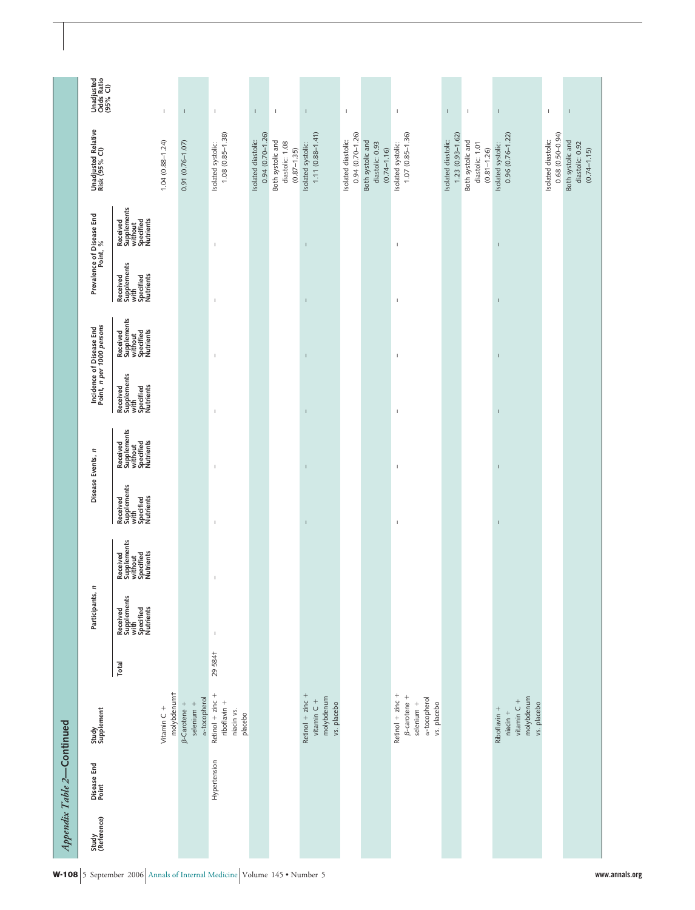|                      | Appendix Table 2-Continued |                                                                                          |        |                                                           |                                                              |                                                           |                                                              |                                                                                                                                                                                                                                                                                                                                                                                                                |                                                              |                                                           |                                                              |                                                         |                                                                                                                                                                                                                                                                                                                                                                                  |
|----------------------|----------------------------|------------------------------------------------------------------------------------------|--------|-----------------------------------------------------------|--------------------------------------------------------------|-----------------------------------------------------------|--------------------------------------------------------------|----------------------------------------------------------------------------------------------------------------------------------------------------------------------------------------------------------------------------------------------------------------------------------------------------------------------------------------------------------------------------------------------------------------|--------------------------------------------------------------|-----------------------------------------------------------|--------------------------------------------------------------|---------------------------------------------------------|----------------------------------------------------------------------------------------------------------------------------------------------------------------------------------------------------------------------------------------------------------------------------------------------------------------------------------------------------------------------------------|
| Study<br>(Reference) | Disease End<br>Point       | Study<br>Supplement                                                                      |        | Participants, n                                           |                                                              | Disease Events, n                                         |                                                              | Incidence of Disease End<br>Point, n per 1000 persons                                                                                                                                                                                                                                                                                                                                                          |                                                              | Prevalence of Disease End<br>Point, %                     |                                                              | Unadjusted Relative<br>Risk (95% CI)                    | Unadjusted<br>Odds Ratio<br>(95% CI)                                                                                                                                                                                                                                                                                                                                             |
|                      |                            |                                                                                          | Total  | Received<br>Supplements<br>with<br>Specified<br>Nutrients | Supplements<br>without<br>Specified<br>Nutrients<br>Received | Supplements<br>with<br>Specified<br>Nutrients<br>Received | Supplements<br>without<br>Specified<br>Nutrients<br>Received | Supplements<br>with<br>Specified<br>Nutrients<br>Received                                                                                                                                                                                                                                                                                                                                                      | Received<br>Supplements<br>without<br>Specified<br>Nutrients | Supplements<br>with<br>Specified<br>Nutrients<br>Received | Supplements<br>without<br>Specified<br>Nutrients<br>Received |                                                         |                                                                                                                                                                                                                                                                                                                                                                                  |
|                      |                            | molybdenumt<br>Vitamin C +                                                               |        |                                                           |                                                              |                                                           |                                                              |                                                                                                                                                                                                                                                                                                                                                                                                                |                                                              |                                                           |                                                              | $1.04(0.88 - 1.24)$                                     | 1                                                                                                                                                                                                                                                                                                                                                                                |
|                      |                            | a-tocopherol<br>$selenium +$<br>$\beta$ -Carotene +                                      |        |                                                           |                                                              |                                                           |                                                              |                                                                                                                                                                                                                                                                                                                                                                                                                |                                                              |                                                           |                                                              | $0.91(0.76 - 1.07)$                                     | $\mathsf I$                                                                                                                                                                                                                                                                                                                                                                      |
|                      | Hypertension               | Retinol $+$ zinc $+$<br>riboflavin +<br>niacin vs.<br>placebo                            | 295841 | $\mathbb I$                                               | $\mathsf I$                                                  | $\mathsf I$                                               | $\mathsf I$                                                  | $\begin{array}{c} \rule{0pt}{2ex} \rule{0pt}{2ex} \rule{0pt}{2ex} \rule{0pt}{2ex} \rule{0pt}{2ex} \rule{0pt}{2ex} \rule{0pt}{2ex} \rule{0pt}{2ex} \rule{0pt}{2ex} \rule{0pt}{2ex} \rule{0pt}{2ex} \rule{0pt}{2ex} \rule{0pt}{2ex} \rule{0pt}{2ex} \rule{0pt}{2ex} \rule{0pt}{2ex} \rule{0pt}{2ex} \rule{0pt}{2ex} \rule{0pt}{2ex} \rule{0pt}{2ex} \rule{0pt}{2ex} \rule{0pt}{2ex} \rule{0pt}{2ex} \rule{0pt}{$ | $\mathsf I$                                                  | I                                                         | $\mathbb{I}$                                                 | $1.08$ $(0.85 - 1.38)$<br>Isolated systolic:            | $\mathbb{I}$                                                                                                                                                                                                                                                                                                                                                                     |
|                      |                            |                                                                                          |        |                                                           |                                                              |                                                           |                                                              |                                                                                                                                                                                                                                                                                                                                                                                                                |                                                              |                                                           |                                                              | $0.94(0.70 - 1.26)$<br>Isolated diastolic:              | T.                                                                                                                                                                                                                                                                                                                                                                               |
|                      |                            |                                                                                          |        |                                                           |                                                              |                                                           |                                                              |                                                                                                                                                                                                                                                                                                                                                                                                                |                                                              |                                                           |                                                              | Both systolic and<br>diastolic: 1.08<br>$(0.87 - 1.35)$ | $\mathsf I$                                                                                                                                                                                                                                                                                                                                                                      |
|                      |                            | Retinol $+$ zinc $+$<br>molybdenum<br>vitamin $C +$<br>vs. placebo                       |        |                                                           |                                                              | I                                                         | Ţ                                                            | Ţ                                                                                                                                                                                                                                                                                                                                                                                                              | Ţ                                                            | I                                                         | I                                                            | $1.11(0.88 - 1.41)$<br>Isolated systolic:               | I                                                                                                                                                                                                                                                                                                                                                                                |
|                      |                            |                                                                                          |        |                                                           |                                                              |                                                           |                                                              |                                                                                                                                                                                                                                                                                                                                                                                                                |                                                              |                                                           |                                                              | $0.94(0.70 - 1.26)$<br>Isolated diastolic:              | $\mathbb I$                                                                                                                                                                                                                                                                                                                                                                      |
|                      |                            |                                                                                          |        |                                                           |                                                              |                                                           |                                                              |                                                                                                                                                                                                                                                                                                                                                                                                                |                                                              |                                                           |                                                              | Both systolic and<br>diastolic: 0.93<br>$(0.74 - 1.16)$ |                                                                                                                                                                                                                                                                                                                                                                                  |
|                      |                            | Retinol $+$ zinc $+$<br><b>B-carotene</b> +<br>a-tocopherol<br>selenium +<br>vs. placebo |        |                                                           |                                                              | 1                                                         | 1                                                            | 1                                                                                                                                                                                                                                                                                                                                                                                                              | 1                                                            | $\mathbf{I}$                                              | 1                                                            | $1.07(0.85 - 1.36)$<br>Isolated systolic:               | $\mathbb{I}$                                                                                                                                                                                                                                                                                                                                                                     |
|                      |                            |                                                                                          |        |                                                           |                                                              |                                                           |                                                              |                                                                                                                                                                                                                                                                                                                                                                                                                |                                                              |                                                           |                                                              | $1.23$ $(0.93 - 1.62)$<br>Isolated diastolic:           | $\mathbf{I}$                                                                                                                                                                                                                                                                                                                                                                     |
|                      |                            |                                                                                          |        |                                                           |                                                              |                                                           |                                                              |                                                                                                                                                                                                                                                                                                                                                                                                                |                                                              |                                                           |                                                              | Both systolic and<br>diastolic: 1.01<br>$(0.81 - 1.26)$ | $\mathsf I$                                                                                                                                                                                                                                                                                                                                                                      |
|                      |                            | molybdenum<br>vitamin $C +$<br>vs. placebo<br>Riboflavin +<br>$niacin +$                 |        |                                                           |                                                              | $\mathbf{I}$                                              | $\overline{1}$                                               | I                                                                                                                                                                                                                                                                                                                                                                                                              | I                                                            | I                                                         | $\mathbf{I}$                                                 | $0.96(0.76 - 1.22)$<br>Isolated systolic:               | $\begin{array}{c} \rule{0pt}{2.5ex} \rule{0pt}{2.5ex} \rule{0pt}{2.5ex} \rule{0pt}{2.5ex} \rule{0pt}{2.5ex} \rule{0pt}{2.5ex} \rule{0pt}{2.5ex} \rule{0pt}{2.5ex} \rule{0pt}{2.5ex} \rule{0pt}{2.5ex} \rule{0pt}{2.5ex} \rule{0pt}{2.5ex} \rule{0pt}{2.5ex} \rule{0pt}{2.5ex} \rule{0pt}{2.5ex} \rule{0pt}{2.5ex} \rule{0pt}{2.5ex} \rule{0pt}{2.5ex} \rule{0pt}{2.5ex} \rule{0$ |
|                      |                            |                                                                                          |        |                                                           |                                                              |                                                           |                                                              |                                                                                                                                                                                                                                                                                                                                                                                                                |                                                              |                                                           |                                                              | $0.68$ $(0.50 - 0.94)$<br>Isolated diastolic:           | $\mathsf I$                                                                                                                                                                                                                                                                                                                                                                      |
|                      |                            |                                                                                          |        |                                                           |                                                              |                                                           |                                                              |                                                                                                                                                                                                                                                                                                                                                                                                                |                                                              |                                                           |                                                              | Both systolic and<br>diastolic: 0.92<br>$(0.74 - 1.15)$ | $\mathsf I$                                                                                                                                                                                                                                                                                                                                                                      |
|                      |                            |                                                                                          |        |                                                           |                                                              |                                                           |                                                              |                                                                                                                                                                                                                                                                                                                                                                                                                |                                                              |                                                           |                                                              |                                                         |                                                                                                                                                                                                                                                                                                                                                                                  |

W-108 5 September 2006 Annals of Internal Medicine Volume 145 • Number 5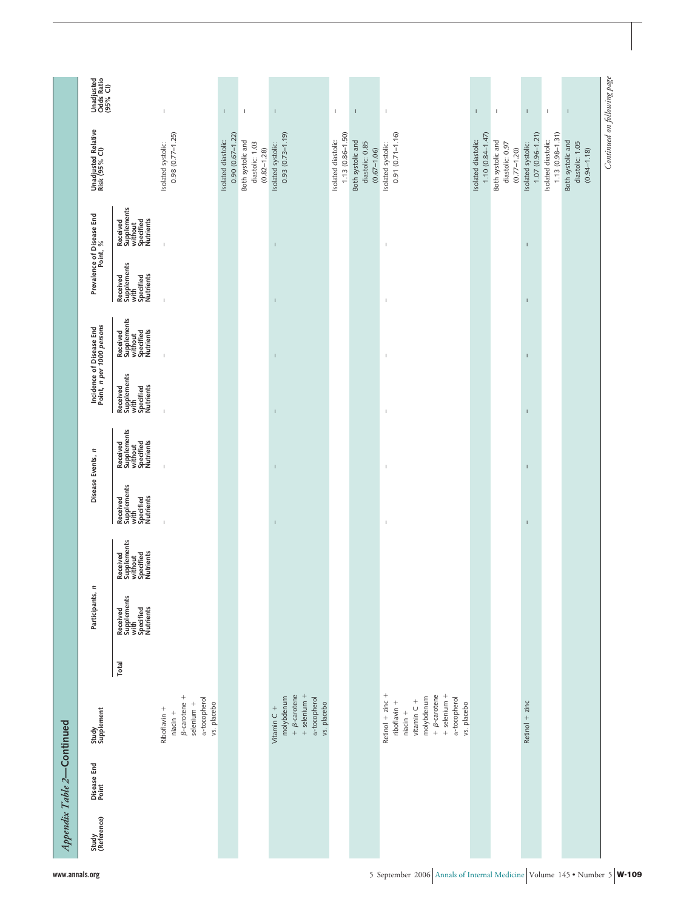|                            | Unadjusted<br>Odds Ratio<br>(95% CI)                  |                                                              | $\mathfrak l$                                                                                  | $\mathbf{I}$                               | $\mathbf{I}$                                            | $\mathbf{I}$                                                                                          | $\mathsf I$                             | $\bar{\rm I}$                                           | $\mathbb{I}$                                                                                                                                                | $\mathbb{I}$                               | $\mathsf I$                                             | T.                                        | $\mathsf I$                             | $\mathbf{I}$                                            |                             |
|----------------------------|-------------------------------------------------------|--------------------------------------------------------------|------------------------------------------------------------------------------------------------|--------------------------------------------|---------------------------------------------------------|-------------------------------------------------------------------------------------------------------|-----------------------------------------|---------------------------------------------------------|-------------------------------------------------------------------------------------------------------------------------------------------------------------|--------------------------------------------|---------------------------------------------------------|-------------------------------------------|-----------------------------------------|---------------------------------------------------------|-----------------------------|
|                            | Unadjusted Relative<br>Risk (95% CI)                  |                                                              | $0.98$ $(0.77 - 1.25)$<br>Isolated systolic:                                                   | $0.90(0.67 - 1.22)$<br>Isolated diastolic: | Both systolic and<br>diastolic: 1.03<br>$(0.82 - 1.28)$ | $0.93(0.73 - 1.19)$<br>Isolated systolic:                                                             | 1.13 (0.86-1.50)<br>Isolated diastolic: | Both systolic and<br>diastolic: 0.85<br>$(0.67 - 1.06)$ | $0.91(0.71 - 1.16)$<br>Isolated systolic:                                                                                                                   | $1.10(0.84 - 1.47)$<br>Isolated diastolic: | Both systolic and<br>diastolic: 0.97<br>$(0.77 - 1.20)$ | $1.07(0.96 - 1.21)$<br>Isolated systolic: | 1.13 (0.98-1.31)<br>Isolated diastolic: | Both systolic and<br>diastolic: 1.05<br>$(0.94 - 1.18)$ | Continued on following page |
|                            | Prevalence of Disease End<br>Point, %                 | Received<br>Supplements<br>without<br>Specified<br>Nutrients | $\overline{1}$                                                                                 |                                            |                                                         |                                                                                                       |                                         |                                                         | $\overline{1}$                                                                                                                                              |                                            |                                                         | T                                         |                                         |                                                         |                             |
|                            |                                                       | Received<br>Supplements<br>with<br>Specified<br>Nutrients    | $\mathfrak l$                                                                                  |                                            |                                                         |                                                                                                       |                                         |                                                         | $\mathsf I$                                                                                                                                                 |                                            |                                                         | T                                         |                                         |                                                         |                             |
|                            | Incidence of Disease End<br>Point, n per 1000 persons | Received<br>Supplements<br>without<br>Specified<br>Nutrients | $\overline{1}$                                                                                 |                                            |                                                         |                                                                                                       |                                         |                                                         | $\mathsf I$                                                                                                                                                 |                                            |                                                         | J.                                        |                                         |                                                         |                             |
|                            |                                                       | Received<br>Supplements<br>with<br>Specified<br>Nutrients    | $\mathbf{I}$                                                                                   |                                            |                                                         |                                                                                                       |                                         |                                                         | $\mathsf I$                                                                                                                                                 |                                            |                                                         | J.                                        |                                         |                                                         |                             |
|                            |                                                       | Received<br>Supplements<br>without<br>Specified<br>Nutrients | $\overline{1}$                                                                                 |                                            |                                                         |                                                                                                       |                                         |                                                         | $\mathsf I$                                                                                                                                                 |                                            |                                                         |                                           |                                         |                                                         |                             |
|                            | Disease Events, n                                     | Supplements<br>with<br>Specified<br>Nutrients<br>Received    | $\mathbf{I}$                                                                                   |                                            |                                                         |                                                                                                       |                                         |                                                         | $\mathsf I$                                                                                                                                                 |                                            |                                                         |                                           |                                         |                                                         |                             |
|                            |                                                       | Received<br>Supplements<br>without<br>Specified<br>Nutrients |                                                                                                |                                            |                                                         |                                                                                                       |                                         |                                                         |                                                                                                                                                             |                                            |                                                         |                                           |                                         |                                                         |                             |
|                            | Participants, n                                       | Received<br>Supplements<br>with<br>Specified<br>Nutrients    |                                                                                                |                                            |                                                         |                                                                                                       |                                         |                                                         |                                                                                                                                                             |                                            |                                                         |                                           |                                         |                                                         |                             |
|                            |                                                       | Total                                                        |                                                                                                |                                            |                                                         |                                                                                                       |                                         |                                                         |                                                                                                                                                             |                                            |                                                         |                                           |                                         |                                                         |                             |
|                            | Study<br>Supplement                                   |                                                              | $\beta$ -carotene +<br>a-tocopherol<br>selenium +<br>vs. placebo<br>Riboflavin +<br>$niacin +$ |                                            |                                                         | $+$ selenium $+$<br>$+ \beta$ -carotene<br>molybdenum<br>a-tocopherol<br>vs. placebo<br>Vitamin $C +$ |                                         |                                                         | Retinol $+$ zinc $+$<br>$+$ selenium $+$<br>$+ \beta$ -carotene<br>a-tocopherol<br>molybdenum<br>vitamin $C +$<br>riboflavin +<br>vs. placebo<br>$niacin +$ |                                            |                                                         | Retinol $+$ zinc                          |                                         |                                                         |                             |
| Appendix Table 2-Continued | Disease End<br>Point                                  |                                                              |                                                                                                |                                            |                                                         |                                                                                                       |                                         |                                                         |                                                                                                                                                             |                                            |                                                         |                                           |                                         |                                                         |                             |
|                            | Study<br>(Reference)                                  |                                                              |                                                                                                |                                            |                                                         |                                                                                                       |                                         |                                                         |                                                                                                                                                             |                                            |                                                         |                                           |                                         |                                                         |                             |

**www.annals.org** 5 September 2006 Annals of Internal Medicine Volume 145 • Number 5 **W-109**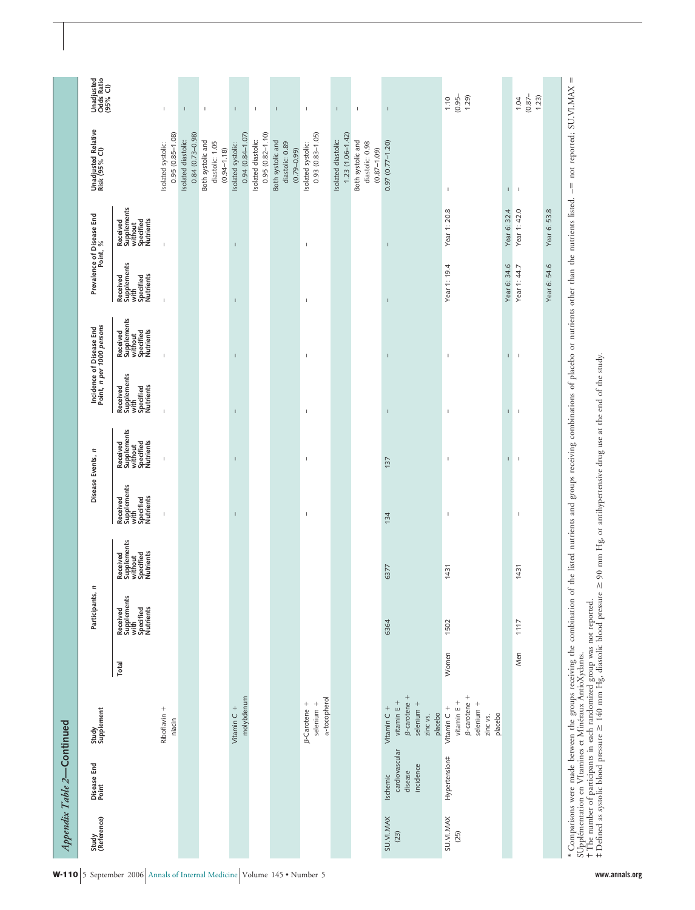| Study<br>(Reference)     | Disease End<br>Point                               | Study<br>Supplement                                                                      |       | Participants, n                                           |                                                              |                                                           | Disease Events, n                                            |                                                           | Incidence of Disease End<br>Point, n per 1000 persons        |                                                           | Prevalence of Disease End<br>Point, %                        | Unadjusted Relative<br>Risk (95% Cl)                    | Unadjusted<br>Odds Ratio<br>(95% Cl) |
|--------------------------|----------------------------------------------------|------------------------------------------------------------------------------------------|-------|-----------------------------------------------------------|--------------------------------------------------------------|-----------------------------------------------------------|--------------------------------------------------------------|-----------------------------------------------------------|--------------------------------------------------------------|-----------------------------------------------------------|--------------------------------------------------------------|---------------------------------------------------------|--------------------------------------|
|                          |                                                    |                                                                                          | Total | Received<br>Supplements<br>with<br>Specified<br>Nutrients | Received<br>Supplements<br>without<br>Specified<br>Nutrients | Supplements<br>with<br>Specified<br>Nutrients<br>Received | Received<br>Supplements<br>without<br>Specified<br>Nutrients | Received<br>Supplements<br>with<br>Specified<br>Nutrients | Received<br>Supplements<br>without<br>Specified<br>Nutrients | Received<br>Supplements<br>with<br>Specified<br>Nutrients | Received<br>Supplements<br>without<br>Specified<br>Nutrients |                                                         |                                      |
|                          |                                                    | Riboflavin +<br>niacin                                                                   |       |                                                           |                                                              | $\mathbf{I}$                                              | $\overline{1}$                                               | $\mathbf{I}$                                              | $\mathbf{I}$                                                 | $\overline{1}$                                            | $\mathbf{I}$                                                 | $0.95(0.85 - 1.08)$<br>Isolated systolic:               | $\mathbb{I}$                         |
|                          |                                                    |                                                                                          |       |                                                           |                                                              |                                                           |                                                              |                                                           |                                                              |                                                           |                                                              | $0.84(0.73 - 0.98)$<br>Isolated diastolic:              | $\overline{1}$                       |
|                          |                                                    |                                                                                          |       |                                                           |                                                              |                                                           |                                                              |                                                           |                                                              |                                                           |                                                              | Both systolic and<br>diastolic: 1.05<br>$(0.94 - 1.18)$ | $\overline{1}$                       |
|                          |                                                    | molybdenum<br>Vitamin C +                                                                |       |                                                           |                                                              | $\mathsf I$                                               | $\mathsf I$                                                  | $\mathsf I$                                               | $\mathsf I$                                                  | $\mathsf I$                                               | $\mathsf I$                                                  | $0.94(0.84 - 1.07)$<br>Isolated systolic:               | $\mathsf I$                          |
|                          |                                                    |                                                                                          |       |                                                           |                                                              |                                                           |                                                              |                                                           |                                                              |                                                           |                                                              | $0.95(0.82 - 1.10)$<br>Isolated diastolic:              | $\mathbb T$                          |
|                          |                                                    |                                                                                          |       |                                                           |                                                              |                                                           |                                                              |                                                           |                                                              |                                                           |                                                              | Both systolic and<br>diastolic: 0.89<br>$(0.79 - 0.99)$ | $\mathbf{I}$                         |
|                          |                                                    | a-tocopherol<br>selenium +<br>$\beta$ -Carotene +                                        |       |                                                           |                                                              | $\mathsf I$                                               | $\mathsf I$                                                  | $\mathsf I$                                               | $\mathsf I$                                                  | $\mathbb T$                                               | $\mathsf I$                                                  | $0.93(0.83 - 1.05)$<br>Isolated systolic:               | $\mathbb{I}$                         |
|                          |                                                    |                                                                                          |       |                                                           |                                                              |                                                           |                                                              |                                                           |                                                              |                                                           |                                                              | $1.23(1.06 - 1.42)$<br>Isolated diastolic:              | $\mathsf{L}$                         |
|                          |                                                    |                                                                                          |       |                                                           |                                                              |                                                           |                                                              |                                                           |                                                              |                                                           |                                                              | Both systolic and<br>diastolic: 0.98<br>$(0.87 - 1.09)$ | $\,$ I                               |
| SU.VI.MAX<br>(23)        | cardiovascular<br>incidence<br>disease<br>Ischemic | $\beta$ -carotene +<br>vitamin $E +$<br>selenium +<br>Vitamin C +<br>placebo<br>zinc vs. |       | 6364                                                      | 6377                                                         | 134                                                       | 137                                                          | $\mathbf{I}$                                              | $\mathbf{I}$                                                 | $\overline{1}$                                            | $\mathbf{I}$                                                 | $0.97(0.77 - 1.20)$                                     | $\mathsf I$                          |
| <b>SU.VI.MAX</b><br>(25) | Hypertension#                                      | $\beta$ -carotene +<br>vitamin $E +$<br>selenium +<br>Vitamin C +<br>placebo<br>zinc vs. | Women | 1502                                                      | 1431                                                         | 1                                                         | 1                                                            | $\mathbf{I}$                                              | J.                                                           | Year 1: 19.4                                              | Year 1: 20.8                                                 | $\mathbb{I}$                                            | $(0.95 -$<br>(62.1)<br>1.10          |
|                          |                                                    |                                                                                          |       |                                                           |                                                              |                                                           | $\mathsf I$                                                  | $\mathbb{I}$                                              | $\bar{1}$                                                    | Year 6: 34.6                                              | Year 6: 32.4                                                 | L                                                       |                                      |
|                          |                                                    |                                                                                          | Men   | 1117                                                      | 1431                                                         | $\overline{1}$                                            | $\overline{\phantom{a}}$                                     | $\overline{\phantom{a}}$                                  | $\overline{\phantom{a}}$                                     | Year 1: 44.7                                              | Year 1: 42.0                                                 | $\mathsf I$                                             | $(0.87 -$<br>1.23)<br>1.04           |
|                          |                                                    |                                                                                          |       |                                                           |                                                              |                                                           |                                                              |                                                           |                                                              | Year 6: 54.6                                              | Year 6: 53.8                                                 |                                                         |                                      |

Ĺ, Comparisons were made between the groups receiving the combination of the listed nutrients and groups receiving combinations of placebo or nutrients other than the nutrients listed. –-SUpple´mentation en VItamines et Mine´raux AntioXydants. †‡

The number of participants in each randomized group was not reported.

Defined as systolic blood pressure 140 mm Hg, diastolic blood pressure 90 mm Hg, or antihypertensive drug use at the end of the study.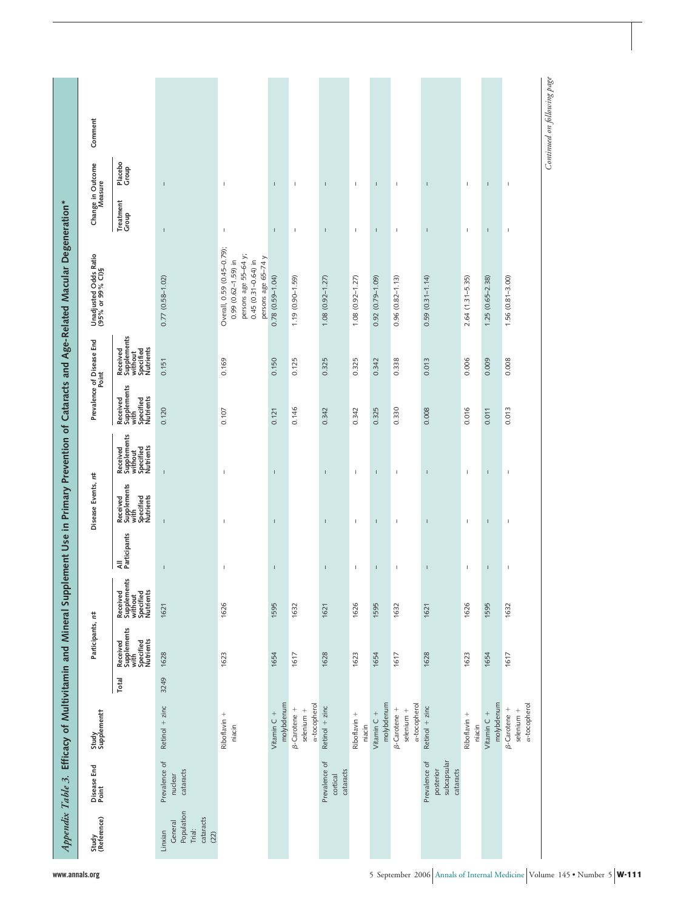| Study<br>(Reference)                                            | Disease End<br>Point                                   | Study<br>Supplement t                      |       | Participants, r#                                          |                                                              |                     | Disease Events, n#                                        |                                                              |                                                           | Prevalence of Disease End<br>Point                           | Unadjusted Odds Ratio<br>(95% or 99% CI)§                                                                                        | Change in Outcome<br>Measure           | Comment                     |  |
|-----------------------------------------------------------------|--------------------------------------------------------|--------------------------------------------|-------|-----------------------------------------------------------|--------------------------------------------------------------|---------------------|-----------------------------------------------------------|--------------------------------------------------------------|-----------------------------------------------------------|--------------------------------------------------------------|----------------------------------------------------------------------------------------------------------------------------------|----------------------------------------|-----------------------------|--|
|                                                                 |                                                        |                                            | Total | Received<br>Supplements<br>with<br>Specified<br>Nutrients | Received<br>Supplements<br>without<br>Specified<br>Nutrients | All<br>Participants | Received<br>Supplements<br>with<br>Specified<br>Nutrients | Received<br>Supplements<br>without<br>Specified<br>Nutrients | Received<br>Supplements<br>with<br>Specified<br>Nutrients | Received<br>Supplements<br>without<br>Specified<br>Nutrients |                                                                                                                                  | Placebo<br>Group<br>Treatment<br>Group |                             |  |
| Population<br>cataracts<br>General<br>Trial:<br>Linxian<br>(22) | Prevalence of<br>cataracts<br>nuclear                  | Retinol $+$ zinc                           | 3249  | 1628                                                      | 1621                                                         | $\mathbf{I}$        | $\mathbf{I}$                                              | $\mathbf{I}$                                                 | 0.120                                                     | 0.151                                                        | $0.77(0.58 - 1.02)$                                                                                                              | $\mathbf{I}$<br>$\mathbf{I}$           |                             |  |
|                                                                 |                                                        | Riboflavin +<br>niacin                     |       | 1623                                                      | 1626                                                         | $\mathsf I$         | $\overline{1}$                                            | $\overline{1}$                                               | 0.107                                                     | 0.169                                                        | Overall, 0.59 (0.45-0.79);<br>persons age 55-64 y;<br>persons age 65-74 y<br>$0.99$ $(0.62 - 1.59)$ in<br>$0.45(0.31 - 0.64)$ in | $\mathbb{I}$<br>$\,$ I                 |                             |  |
|                                                                 |                                                        | molybdenum<br>Vitamin C +                  |       | 1654                                                      | 1595                                                         | T                   | $\mathsf I$                                               | T                                                            | 0.121                                                     | 0.150                                                        | $0.78(0.59 - 1.04)$                                                                                                              | $\mathsf I$<br>$\mathbb{I}$            |                             |  |
|                                                                 |                                                        | a-tocopherol<br>β-Carotene +<br>selenium + |       | 1617                                                      | 1632                                                         |                     |                                                           |                                                              | 0.146                                                     | 0.125                                                        | $1.19(0.90 - 1.59)$                                                                                                              | $\mathsf I$<br>I                       |                             |  |
|                                                                 | Prevalence of<br>cataracts<br>cortical                 | Retinol $+$ zinc                           |       | 1628                                                      | 1621                                                         | т                   | т                                                         | т                                                            | 0.342                                                     | 0.325                                                        | $1.08(0.92 - 1.27)$                                                                                                              | J.<br>т                                |                             |  |
|                                                                 |                                                        | Riboflavin +<br>niacin                     |       | 1623                                                      | 1626                                                         | $\,$ I              | $\,$ I                                                    | $\,$ I                                                       | 0.342                                                     | 0.325                                                        | $1.08(0.92 - 1.27)$                                                                                                              | $\,$ I<br>$\,$ I                       |                             |  |
|                                                                 |                                                        | molybdenum<br>Vitamin C +                  |       | 1654                                                      | 1595                                                         | T.                  | J.                                                        | T.                                                           | 0.325                                                     | 0.342                                                        | $0.92(0.79 - 1.09)$                                                                                                              | T.<br>J.                               |                             |  |
|                                                                 |                                                        | a-tocopherol<br>β-Carotene +<br>selenium + |       | 1617                                                      | 1632                                                         | -1                  | $\mathsf I$                                               | $\mathbf{I}$                                                 | 0.330                                                     | 0.338                                                        | $0.96(0.82 - 1.13)$                                                                                                              | $\mathbb{I}$<br>$\overline{1}$         |                             |  |
|                                                                 | subcapsular<br>Prevalence of<br>cataracts<br>posterior | Retinol $+$ zinc                           |       | 1628                                                      | 1621                                                         | $\overline{1}$      | $\overline{1}$                                            | $\overline{1}$                                               | 0.008                                                     | 0.013                                                        | $0.59(0.31 - 1.14)$                                                                                                              | $\overline{1}$<br>$\overline{1}$       |                             |  |
|                                                                 |                                                        | Riboflavin +<br>niacin                     |       | 1623                                                      | 1626                                                         | 1                   | 1                                                         | $\mathbb{I}$                                                 | 0.016                                                     | 0.006                                                        | $2.64(1.31 - 5.35)$                                                                                                              | $\mathbb I$<br>1                       |                             |  |
|                                                                 |                                                        | molybdenum<br>Vitamin C +                  |       | 1654                                                      | 1595                                                         | $\mathsf I$         | $\sf I$                                                   | $\mathsf I$                                                  | 0.011                                                     | 0.009                                                        | $1.25(0.65 - 2.38)$                                                                                                              | $\mathsf I$<br>$\mathsf I$             |                             |  |
|                                                                 |                                                        | a-tocopherol<br>β-Carotene +<br>selenium + |       | 1617                                                      | 1632                                                         | $\mathsf I$         | $\mathsf I$                                               | $\mathsf I$                                                  | 0.013                                                     | 0.008                                                        | $1.56(0.81 - 3.00)$                                                                                                              | $\mathsf I$<br>$\mathbb{I}$            |                             |  |
|                                                                 |                                                        |                                            |       |                                                           |                                                              |                     |                                                           |                                                              |                                                           |                                                              |                                                                                                                                  |                                        | Continued on following page |  |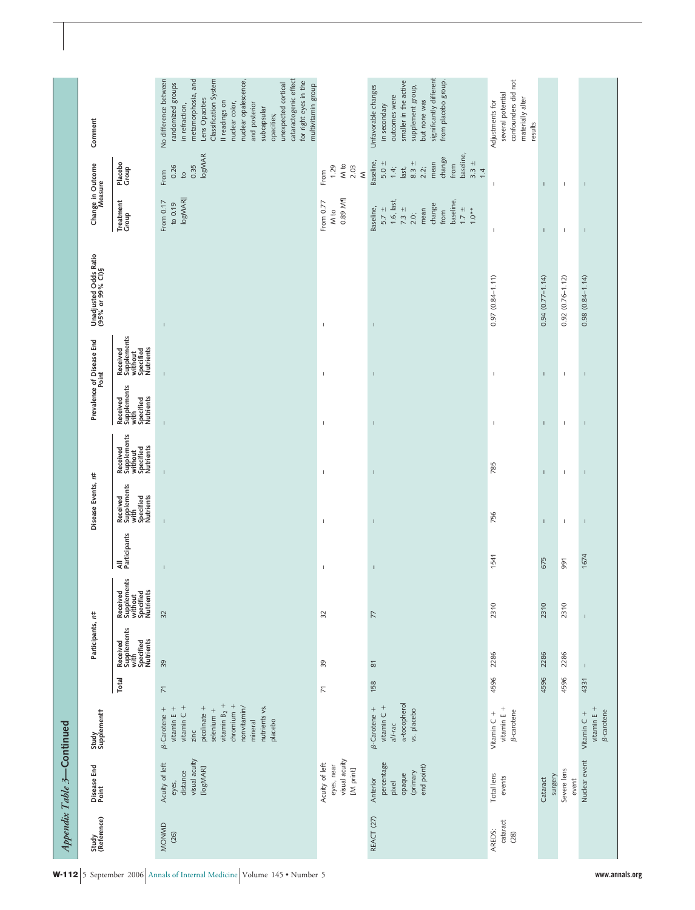|                            |                                           |                                                              | No difference between<br>cataractogenic effect<br>metamorphosia, and<br>Classification System<br>nuclear opalescence,<br>for right eyes in the<br>unexpected cortical<br>randomized groups<br>multivitamin group<br>Lens Opacities<br>Il readings on<br>nuclear color,<br>and posterior<br>in refraction,<br>subcapsular |                                                            | significantly different<br>from placebo group.<br>smaller in the active<br>Unfavorable changes<br>supplement group,<br>outcomes were<br>but none was<br>in secondary | confounders did not<br>several potential<br>materially alter<br>Adjustments for |                     |                      |                                                          |
|----------------------------|-------------------------------------------|--------------------------------------------------------------|--------------------------------------------------------------------------------------------------------------------------------------------------------------------------------------------------------------------------------------------------------------------------------------------------------------------------|------------------------------------------------------------|----------------------------------------------------------------------------------------------------------------------------------------------------------------------|---------------------------------------------------------------------------------|---------------------|----------------------|----------------------------------------------------------|
|                            | Comment                                   |                                                              | opacities;                                                                                                                                                                                                                                                                                                               |                                                            |                                                                                                                                                                      | results                                                                         |                     |                      |                                                          |
|                            |                                           | Placebo<br>Group                                             | logMAR<br>0.26<br>0.35<br>From<br>$\frac{1}{2}$                                                                                                                                                                                                                                                                          | M to<br>1.29<br>2.03<br>$\leq$<br>From                     | baseline,<br>change<br>Baseline,<br>$3.3 +$<br>$5.0 \pm$<br>$8.3 +$<br>mean<br>from<br>2.2<br>$1.4$<br>last,<br>1.4                                                  | J.                                                                              | $\mathbf{I}$        | $\mathbf{I}$         | $\mathbf{I}$                                             |
|                            | Change in Outcome<br>Measure              | Treatment<br>Group                                           | logMAR  <br>From 0.17<br>to $0.19$                                                                                                                                                                                                                                                                                       | 0.89 M1<br>From 0.77<br>M to                               | $1.6$ , last,<br>baseline,<br>change<br>Baseline,<br>$7.3 +$<br>$\pm$ 1.7<br>mean<br>$5.7 \pm$<br>$1.0**$<br>from<br>2.0                                             | $\mathbb{I}$                                                                    | $\overline{1}$      | $\mathbf{I}$         | $\mathbf{I}$                                             |
|                            | Unadjusted Odds Ratio<br>(95% or 99% Cl)§ |                                                              | $\mathbf{I}$                                                                                                                                                                                                                                                                                                             | I                                                          | $\mathsf I$                                                                                                                                                          | $0.97(0.84 - 1.11)$                                                             | $0.94(0.77 - 1.14)$ | $0.92(0.76 - 1.12)$  | $0.98(0.84 - 1.14)$                                      |
|                            | Prevalence of Disease End<br>Point        | Received<br>Supplements<br>without<br>Specified<br>Nutrients | Ï                                                                                                                                                                                                                                                                                                                        | I                                                          | $\overline{\phantom{a}}$                                                                                                                                             | $\mathbf{I}$                                                                    | $\overline{1}$      | $\mathbf{I}$         | $\mathbf{I}$                                             |
|                            |                                           | Received<br>Supplements<br>with<br>Specified<br>Nutrients    | $\overline{1}$                                                                                                                                                                                                                                                                                                           | I                                                          | $\overline{\phantom{a}}$                                                                                                                                             | $\mathbb{I}$                                                                    | $\mathbf{I}$        | $\mathbf{I}$         | $\mathbf{I}$                                             |
|                            |                                           | Received<br>Supplements<br>without<br>Specified<br>Nutrients | Ï                                                                                                                                                                                                                                                                                                                        | I                                                          | $\mathbf{I}$                                                                                                                                                         | 785                                                                             | $\mathbf{I}$        | $\mathbf{I}$         | $\mathbf{I}$                                             |
|                            | Disease Events, r#                        | Received<br>Supplements<br>with<br>Specified<br>Nutrients    | $\overline{1}$                                                                                                                                                                                                                                                                                                           | I                                                          | $\overline{1}$                                                                                                                                                       | 756                                                                             | $\mathbf{I}$        | $\mathsf I$          | $\mathfrak l$                                            |
|                            |                                           | All<br>Participants                                          | $\overline{1}$                                                                                                                                                                                                                                                                                                           | $\mathbb{I}$                                               | $\mathsf I$                                                                                                                                                          | 1541                                                                            | 675                 | 991                  | 1674                                                     |
|                            |                                           | Received<br>Supplements<br>without<br>Specified<br>Nutrients | 32                                                                                                                                                                                                                                                                                                                       | 32                                                         | $\overline{7}$                                                                                                                                                       | 2310                                                                            | 2310                | 2310                 | $\mathbf{I}$                                             |
|                            | Participants, r#                          | Received<br>Supplements<br>with<br>Specified<br>Nutrients    | 39                                                                                                                                                                                                                                                                                                                       | 39                                                         | $\approx$                                                                                                                                                            | 2286                                                                            | 2286                | 2286                 |                                                          |
|                            |                                           | Total                                                        | $\overline{\phantom{1}}$                                                                                                                                                                                                                                                                                                 | $\overline{7}$                                             | 158                                                                                                                                                                  | 4596                                                                            | 4596                | 4596                 | 4331                                                     |
|                            | Study<br>Supplement t                     |                                                              | vitamin $B_2$ +<br>$chromium +$<br>nutrients vs.<br>vitamin $C +$<br>picolinate +<br>$\beta$ -Carotene +<br>vitamin $E +$<br>nonvitamin/<br>$selenium +$<br>mineral<br>placebo<br>zinc                                                                                                                                   |                                                            | a-tocopherol<br>vitamin $C +$<br>$\beta$ -Carotene +<br>vs. placebo<br>all-rac                                                                                       | vitamin $E +$<br><b>B-carotene</b><br>Vitamin C +                               |                     |                      | vitamin $E +$<br><b><i>B</i>-carotene</b><br>Vitamin C + |
| Appendix Table 3-Continued | Disease End<br>Point                      |                                                              | visual acuity<br>Acuity of left<br>[logMAR]<br>distance<br>eyes,                                                                                                                                                                                                                                                         | visual acuity<br>Acuity of left<br>eyes, near<br>[M print] | percentage<br>end point)<br>(primary<br>opaque<br>Anterior<br>pixel                                                                                                  | Total lens<br>events                                                            | surgery<br>Cataract | Severe lens<br>event | Nuclear event                                            |
|                            | Study<br>(Reference)                      |                                                              | MONMD<br>(26)                                                                                                                                                                                                                                                                                                            |                                                            | REACT (27)                                                                                                                                                           | cataract<br>AREDS:<br>(28)                                                      |                     |                      |                                                          |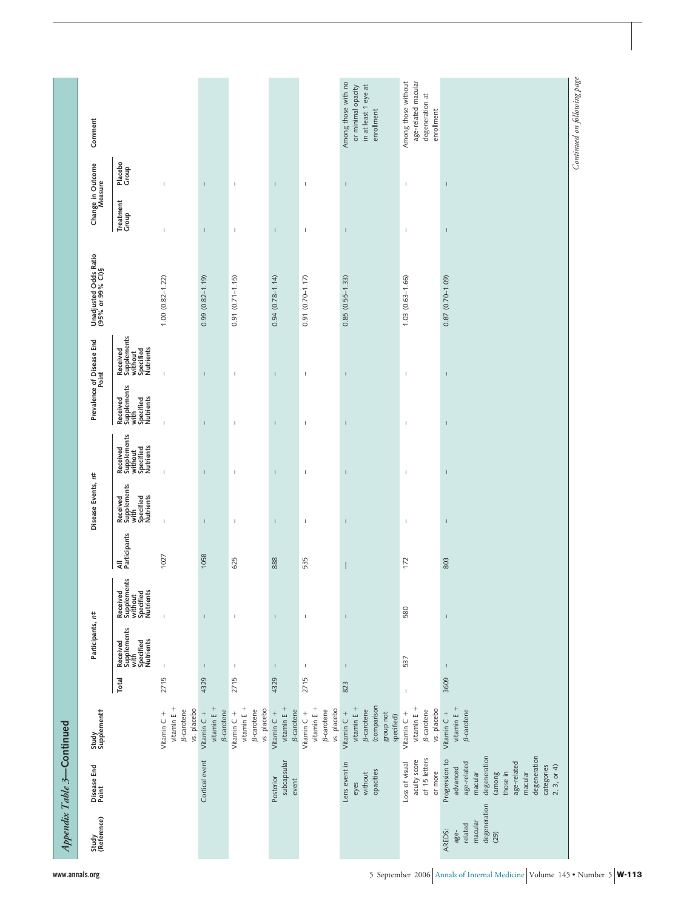| Comment                                   |                                                                                                                                      |                                                                                                                                                                                        |                                                          |                                                        |                                   |                                                     | enrollment                                                                    | enrollment                                                                       |                                                                                                                                                                  |                                                            |
|-------------------------------------------|--------------------------------------------------------------------------------------------------------------------------------------|----------------------------------------------------------------------------------------------------------------------------------------------------------------------------------------|----------------------------------------------------------|--------------------------------------------------------|-----------------------------------|-----------------------------------------------------|-------------------------------------------------------------------------------|----------------------------------------------------------------------------------|------------------------------------------------------------------------------------------------------------------------------------------------------------------|------------------------------------------------------------|
|                                           | Placebo<br>Group                                                                                                                     | $\mathbf{I}$                                                                                                                                                                           | $\mathbf{I}$                                             | $\mathbf{I}$                                           | $\mathbf{I}$                      | $\mathsf I$                                         | $\mathsf I$                                                                   | $\,$ I                                                                           | I                                                                                                                                                                |                                                            |
|                                           | Treatment<br>Group                                                                                                                   | I,                                                                                                                                                                                     | $\mathbf{I}$                                             | $\mathbf{I}$                                           | $\mathbf{I}$                      | $\mathbb I$                                         | $\mathsf I$                                                                   | $\mathbf{I}$                                                                     | Ţ                                                                                                                                                                |                                                            |
| Unadjusted Odds Ratio<br>(95% or 99% CI)§ |                                                                                                                                      | $1.00(0.82 - 1.22)$                                                                                                                                                                    | $0.99(0.82 - 1.19)$                                      | $0.91(0.71 - 1.15)$                                    | $0.94(0.78 - 1.14)$               | 0.91 (0.70-1.17)                                    | $0.85(0.55 - 1.33)$                                                           | $1.03(0.63 - 1.66)$                                                              | 0.87 (0.70-1.09)                                                                                                                                                 |                                                            |
|                                           | Received<br>Supplements<br>without<br>Specified<br>Nutrients                                                                         | $\mathbf{I}$                                                                                                                                                                           | $\mathbf{I}$                                             | $\mathbf{I}$                                           | $\mathbf{I}$                      | $\mathbb I$                                         | $\mathsf I$                                                                   | $\,$ I                                                                           | Ţ                                                                                                                                                                |                                                            |
|                                           |                                                                                                                                      | Ţ                                                                                                                                                                                      | Ï                                                        | $\mathbf{I}$                                           |                                   | $\mathbb I$                                         | $\mathsf I$                                                                   | $\,$ I                                                                           | Ţ                                                                                                                                                                |                                                            |
|                                           | Supplements<br>without<br>Specified<br>Specified<br>Nutrients<br>Received                                                            | $\mathbf{I}$                                                                                                                                                                           | $\mathbf{I}$                                             | $\mathbb{I}$                                           | $\overline{1}$                    | $\mathbb I$                                         | $\mathsf I$                                                                   | $\,$ I                                                                           | Ţ                                                                                                                                                                |                                                            |
|                                           | Received<br>Supplements<br>with<br>Specified<br>Nutrients                                                                            | $\mathbf{I}$                                                                                                                                                                           | $\mathbf{I}$                                             | $\mathbb{I}$                                           | $\overline{1}$                    | $\mathsf I$                                         | $\mathsf I$                                                                   | $\mathsf I$                                                                      | I                                                                                                                                                                |                                                            |
|                                           | All<br>Participants                                                                                                                  | 1027                                                                                                                                                                                   | 1058                                                     | 625                                                    | 888                               | 535                                                 | $\mathsf{I}$                                                                  | 172                                                                              | 803                                                                                                                                                              |                                                            |
|                                           |                                                                                                                                      | $\mathbb I$                                                                                                                                                                            | $\mathbf{I}$                                             | $\mathbb{I}$                                           | $\mathsf I$                       | $\mathsf I$                                         | $\mathbf{I}$                                                                  | 580                                                                              | Ï                                                                                                                                                                |                                                            |
|                                           |                                                                                                                                      | $\overline{1}$                                                                                                                                                                         | $\mathbf{I}$                                             | $\mathsf I$                                            | $\mathbf{I}$                      | $\mathsf I$                                         | $\mathsf I$                                                                   | 537                                                                              | $\mathbb{I}$                                                                                                                                                     |                                                            |
|                                           | Total                                                                                                                                |                                                                                                                                                                                        | 4329                                                     |                                                        | 4329                              |                                                     | 823                                                                           | $\mathbf{I}$                                                                     | 3609                                                                                                                                                             |                                                            |
| Study<br>Supplement t                     |                                                                                                                                      | vitamin $E +$<br><b>B-carotene</b><br>Vitamin $C +$                                                                                                                                    | vitamin $E +$<br><b><i>B</i>-carotene</b><br>Vitamin C + | vitamin E +<br><b><i>B</i>-carotene</b><br>Vitamin C + | vitamin $E +$<br>Vitamin C +      | vitamin $E +$<br><b>B-carotene</b><br>Vitamin $C +$ | (comparison<br>vitamin $E +$<br><b>B-carotene</b><br>Vitamin C +<br>group not | vitamin $E +$<br><b><i>B</i>-carotene</b><br>Vitamin C +                         | vitamin $E +$<br><b><i>B</i></b> -carotene<br>Vitamin C +                                                                                                        |                                                            |
|                                           |                                                                                                                                      |                                                                                                                                                                                        | Cortical event                                           |                                                        | subcapsular<br>Posterior<br>event |                                                     | Lens event in<br>opacities<br>without<br>eyes                                 | of 15 letters<br>acuity score<br>Loss of visual<br>or more                       | degeneration<br>degeneration<br>Progression to<br>age-related<br>age-related<br>categories<br>2, 3, or 4<br>advanced<br>macular<br>macular<br>those in<br>(among |                                                            |
| Study<br>(Reference)                      |                                                                                                                                      |                                                                                                                                                                                        |                                                          |                                                        |                                   |                                                     |                                                                               |                                                                                  | macular<br>related<br>AREDS:<br>age-<br>(29)                                                                                                                     |                                                            |
|                                           | Change in Outcome<br>Measure<br>Prevalence of Disease End<br>Point<br>Disease Events, r#<br>Participants, r#<br>Disease End<br>Point | Received<br>Supplements<br>with<br>Specified<br>Nutrients<br>Received<br>Supplements<br>without<br>Specified<br>Nutrients<br>Received<br>Supplements<br>with<br>Specified<br>Nutrients | 2715                                                     | vs. placebo                                            | 2715                              | vs. placebo                                         | 2715<br><b><i>B</i>-carotene</b>                                              | Among those with no<br>in at least 1 eye at<br>or minimal opacity<br>vs. placebo | Among those without<br>age-related macular<br>degeneration at<br>specified)                                                                                      | Continued on following page<br>vs. placebo<br>degeneration |

**www.annals.org** 5 September 2006 Annals of Internal Medicine Volume 145 • Number 5 **W-113**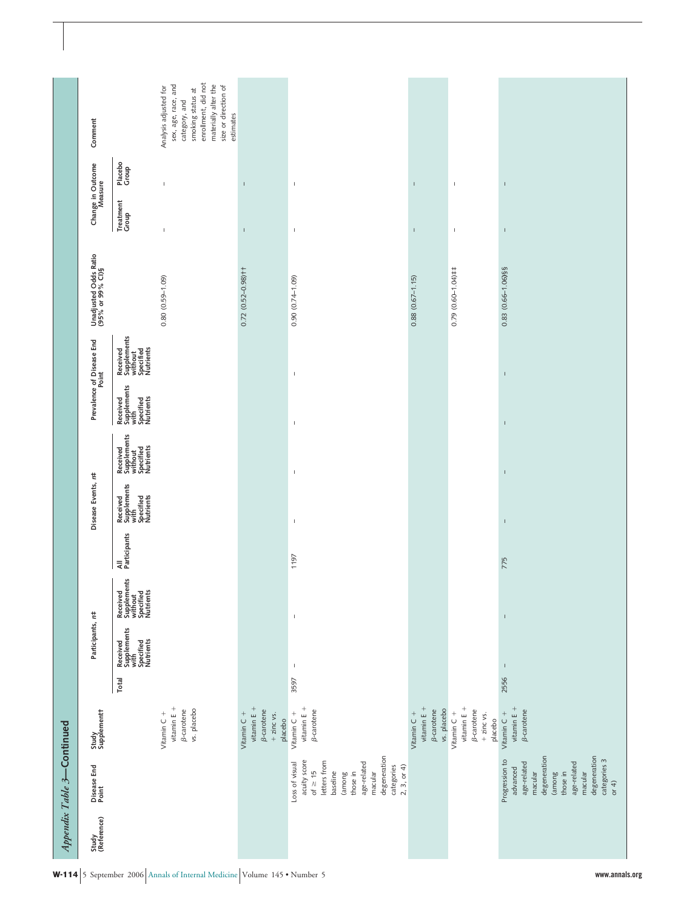|                      | Appendix Table 3-Continued                                                                                                                                                |                                                                                       |       |                                                                                                                                                                                                                                                                                                                                                                                  |                                                              |                     |                                                           |                                                              |                                                           |                                                              |                                           |                              |                  |                                                                                                                                                                        |
|----------------------|---------------------------------------------------------------------------------------------------------------------------------------------------------------------------|---------------------------------------------------------------------------------------|-------|----------------------------------------------------------------------------------------------------------------------------------------------------------------------------------------------------------------------------------------------------------------------------------------------------------------------------------------------------------------------------------|--------------------------------------------------------------|---------------------|-----------------------------------------------------------|--------------------------------------------------------------|-----------------------------------------------------------|--------------------------------------------------------------|-------------------------------------------|------------------------------|------------------|------------------------------------------------------------------------------------------------------------------------------------------------------------------------|
| Study<br>(Reference) | Disease End<br>Point                                                                                                                                                      | Study<br>Supplement†                                                                  |       | Participants, r#                                                                                                                                                                                                                                                                                                                                                                 |                                                              |                     | Disease Events, n#                                        |                                                              |                                                           | Prevalence of Disease End                                    | Unadjusted Odds Ratio<br>(95% or 99% Cl)§ | Change in Outcome<br>Measure |                  | Comment                                                                                                                                                                |
|                      |                                                                                                                                                                           |                                                                                       | Total | Received<br>Supplements<br>with<br>Specified<br>Nutrients                                                                                                                                                                                                                                                                                                                        | Received<br>Supplements<br>without<br>Specified<br>Nutrients | All<br>Participants | Received<br>Supplements<br>with<br>Specified<br>Nutrients | Received<br>Supplements<br>without<br>Specified<br>Nutrients | Received<br>Supplements<br>with<br>Specified<br>Nutrients | Received<br>Supplements<br>without<br>Specified<br>Nutrients |                                           | Treatment<br>Group           | Placebo<br>Group |                                                                                                                                                                        |
|                      |                                                                                                                                                                           | vitamin $E +$<br><b>B-carotene</b><br>vs. placebo<br>Vitamin C +                      |       |                                                                                                                                                                                                                                                                                                                                                                                  |                                                              |                     |                                                           |                                                              |                                                           |                                                              | $0.80(0.59 - 1.09)$                       | $\mathbf{I}$                 | $\mathbb{I}$     | enrollment, did not<br>materially alter the<br>sex, age, race, and<br>size or direction of<br>Analysis adjusted for<br>smoking status at<br>category, and<br>estimates |
|                      |                                                                                                                                                                           | vitamin $E +$<br><b><i>B</i>-carotene</b><br>Vitamin $C +$<br>$+$ zinc vs.<br>placebo |       |                                                                                                                                                                                                                                                                                                                                                                                  |                                                              |                     |                                                           |                                                              |                                                           |                                                              | $0.72(0.52 - 0.98)$ † †                   | $\mathsf{I}$                 | $\mathsf I$      |                                                                                                                                                                        |
|                      | degeneration<br>acuity score<br>letters from<br>age-related<br>Loss of visual<br>categories<br>$2, 3,$ or 4)<br>of $\geq 15$<br>baseline<br>macular<br>those in<br>(among | vitamin $E +$<br><b><i>B</i>-carotene</b><br>Vitamin C +                              | 3597  | T                                                                                                                                                                                                                                                                                                                                                                                | $\mathbf I$                                                  | 1197                | $\mathbb I$                                               | $\mathbb I$                                                  | $\mathbb I$                                               | $\mathbb{I}$                                                 | $0.90(0.74 - 1.09)$                       | $\mathbb I$                  | $\mathbb I$      |                                                                                                                                                                        |
|                      |                                                                                                                                                                           | vitamin $E +$<br>β-carotene<br>vs. placebo<br>Vitamin C +                             |       |                                                                                                                                                                                                                                                                                                                                                                                  |                                                              |                     |                                                           |                                                              |                                                           |                                                              | $0.88(0.67 - 1.15)$                       | $\mathsf I$                  | $\bar{\rm I}$    |                                                                                                                                                                        |
|                      |                                                                                                                                                                           | vitamin $E +$<br><b>B-carotene</b><br>Vitamin C +<br>$+$ zinc vs.<br>placebo          |       |                                                                                                                                                                                                                                                                                                                                                                                  |                                                              |                     |                                                           |                                                              |                                                           |                                                              | $0.79(0.60 - 1.04)$ ##                    | $\,$ $\,$                    | $\,$ $\,$        |                                                                                                                                                                        |
|                      | degeneration<br>degeneration<br>Progression to<br>categories 3<br>age-related<br>age-related<br>advanced<br>(among<br>macular<br>macular<br>those in<br>or 4)             | vitamin $E +$<br><b><i>B</i>-carotene</b><br>Vitamin $C +$                            | 2556  | $\begin{array}{c} \rule{0pt}{2.5ex} \rule{0pt}{2.5ex} \rule{0pt}{2.5ex} \rule{0pt}{2.5ex} \rule{0pt}{2.5ex} \rule{0pt}{2.5ex} \rule{0pt}{2.5ex} \rule{0pt}{2.5ex} \rule{0pt}{2.5ex} \rule{0pt}{2.5ex} \rule{0pt}{2.5ex} \rule{0pt}{2.5ex} \rule{0pt}{2.5ex} \rule{0pt}{2.5ex} \rule{0pt}{2.5ex} \rule{0pt}{2.5ex} \rule{0pt}{2.5ex} \rule{0pt}{2.5ex} \rule{0pt}{2.5ex} \rule{0$ | $\mathsf I$                                                  | 775                 | $\mathsf I$                                               | $\mathsf I$                                                  | $\mathsf I$                                               | $\mathsf I$                                                  | 0.83 (0.66-1.06)§§                        | $\mathsf I$                  | $\mathsf I$      |                                                                                                                                                                        |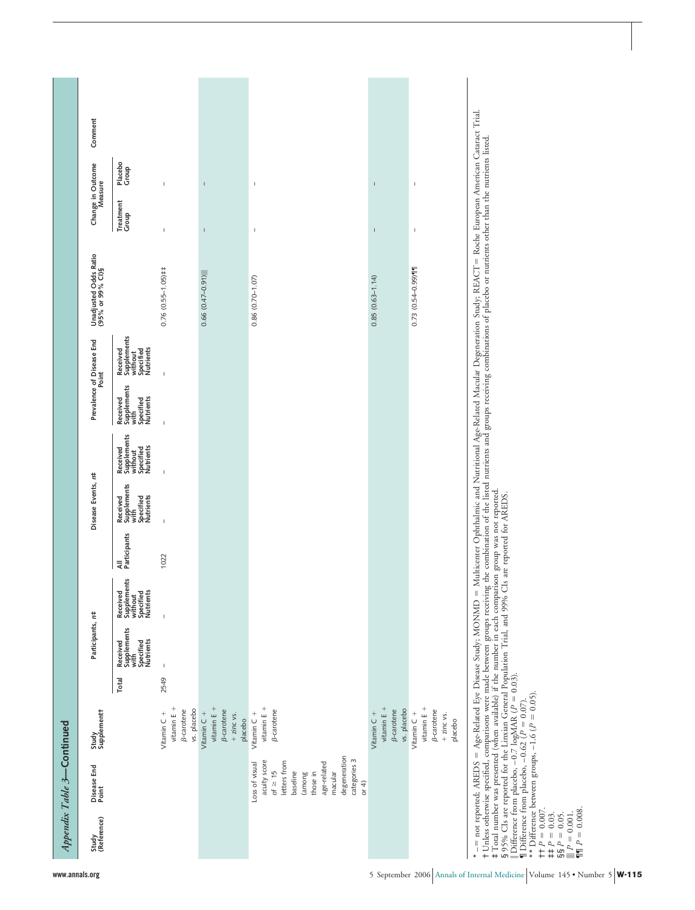|                                                                                                                                               | Appendix Table 3-Continued                                                                                                                                            |                                                                                                                                                                 |       |                                                           |                                                              |                     |                                                           |                                                              |                                                           |                                                              |                                                                                                                                                                                                                                                                                                                                                                                                                                   |                                           |         |
|-----------------------------------------------------------------------------------------------------------------------------------------------|-----------------------------------------------------------------------------------------------------------------------------------------------------------------------|-----------------------------------------------------------------------------------------------------------------------------------------------------------------|-------|-----------------------------------------------------------|--------------------------------------------------------------|---------------------|-----------------------------------------------------------|--------------------------------------------------------------|-----------------------------------------------------------|--------------------------------------------------------------|-----------------------------------------------------------------------------------------------------------------------------------------------------------------------------------------------------------------------------------------------------------------------------------------------------------------------------------------------------------------------------------------------------------------------------------|-------------------------------------------|---------|
| Study<br>(Reference)                                                                                                                          | Disease End<br>Point                                                                                                                                                  | Study<br>Supplement†                                                                                                                                            |       | Participants, r#                                          |                                                              |                     | Disease Events, r#                                        |                                                              |                                                           | Prevalence of Disease End<br>Point                           | Unadjusted Odds Ratio<br>(95% or 99% Cl)§                                                                                                                                                                                                                                                                                                                                                                                         | Change in Outcome<br>Measure              | Comment |
|                                                                                                                                               |                                                                                                                                                                       |                                                                                                                                                                 | Total | Supplements<br>with<br>Specified<br>Nutrients<br>Received | Supplements<br>without<br>Specified<br>Nutrients<br>Received | All<br>Participants | Supplements<br>with<br>Specified<br>Nutrients<br>Received | Received<br>Supplements<br>without<br>Specified<br>Nutrients | Supplements<br>with<br>Specified<br>Nutrients<br>Received | Received<br>Supplements<br>without<br>Specified<br>Nutrients |                                                                                                                                                                                                                                                                                                                                                                                                                                   | Placebo<br>Group<br>Treatment<br>Group    |         |
|                                                                                                                                               |                                                                                                                                                                       | vitamin E +<br>vs. placebo<br><b>B-carotene</b><br>Vitamin C +                                                                                                  | 2549  | $\mathsf I$                                               | $\overline{1}$                                               | 1022                | $\mathbf{I}$                                              | Ï                                                            | $\mathbf{I}$                                              | $\overline{1}$                                               | $0.76(0.55 - 1.05)$ ##                                                                                                                                                                                                                                                                                                                                                                                                            | $\mathbf{I}$<br>I,                        |         |
|                                                                                                                                               |                                                                                                                                                                       | vitamin $E +$<br><b><i>B</i>-carotene</b><br>Vitamin C +<br>$+$ zinc vs.<br>placebo                                                                             |       |                                                           |                                                              |                     |                                                           |                                                              |                                                           |                                                              | 0.66 (0.47-0.91)                                                                                                                                                                                                                                                                                                                                                                                                                  | Ţ<br>I                                    |         |
|                                                                                                                                               | degeneration<br>categories 3<br>acuity score<br>letters from<br>age-related<br>Loss of visual<br>of $\geq$ 15<br>baseline<br>those in<br>(among<br>macular<br>or $4)$ | $vitamin E +$<br><b>B-carotene</b><br>Vitamin C +                                                                                                               |       |                                                           |                                                              |                     |                                                           |                                                              |                                                           |                                                              | $0.86(0.70 - 1.07)$                                                                                                                                                                                                                                                                                                                                                                                                               | $\mathfrak l$<br>$\overline{\phantom{a}}$ |         |
|                                                                                                                                               |                                                                                                                                                                       | vitamin $E +$<br>vs. placebo<br><b><i>B-carotene</i></b><br>Vitamin C +                                                                                         |       |                                                           |                                                              |                     |                                                           |                                                              |                                                           |                                                              | $0.85(0.63 - 1.14)$                                                                                                                                                                                                                                                                                                                                                                                                               |                                           |         |
|                                                                                                                                               |                                                                                                                                                                       | vitamin $E +$<br><b><i>B</i>-carotene</b><br>Vitamin C +<br>$+$ zinc vs.<br>placebo                                                                             |       |                                                           |                                                              |                     |                                                           |                                                              |                                                           |                                                              | $0.73(0.54 - 0.99)$                                                                                                                                                                                                                                                                                                                                                                                                               | $\mathbf{I}$<br>$\mathbf{I}$              |         |
| $H P = 0.007.$<br>$\P\P$ $P = 0.008$<br>$\begin{aligned} \n\text{H} &= p = 0.03. \\ \text{S} &= p = 0.05. \n\end{aligned}$<br>$   P = 0.001.$ |                                                                                                                                                                       | Difference from placebo, -0.7 logMAR ( $P = 0.03$ ).<br>   Difference from placebo, -0.62 ( $P = 0.07$ ).<br>** Difference between groups, -1.6 ( $P = 0.05$ ). |       |                                                           |                                                              |                     |                                                           |                                                              |                                                           |                                                              | = not reported: AREDS = Age-Related Eye Disease Study; MONMD = Multicenter Ophthalmic and Nurtitional Age-Related Macular Degeneration Study; REACT = Roche European American Cataract Trial<br>t Unless otherwise specified, comparisons were made between groups receiving the combination of the listed nutrients and groups receiving combinations of placebo or nutrients other than the nutrients listed.<br># Total number |                                           |         |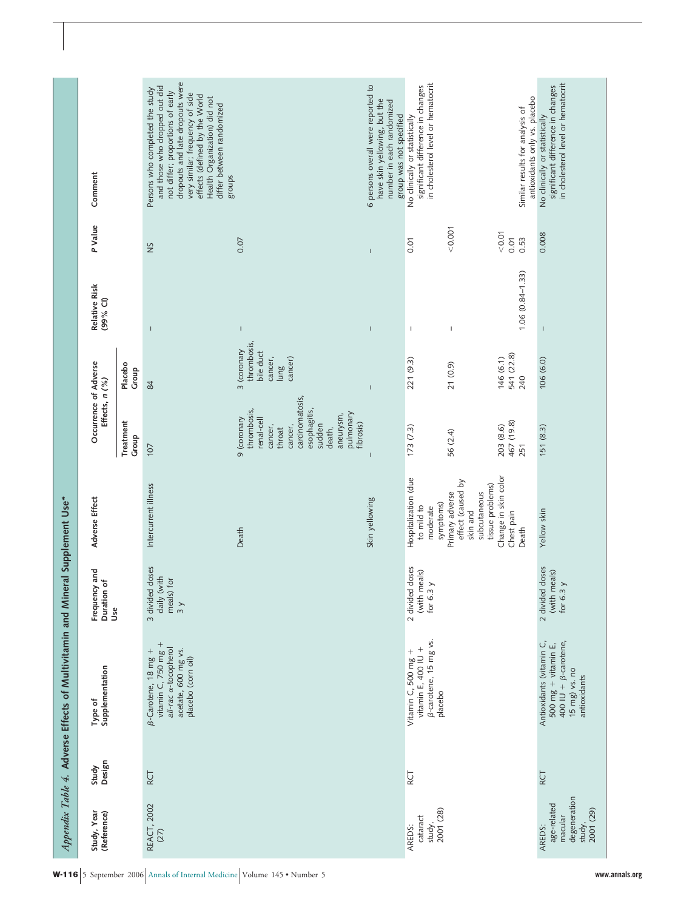|                                                                         |                 | Appendix Table 4. Adverse Effects of Multivitamin and Min                                                            |                                                                | eral Supplement Use*                                                                                         |                                                                                                                                                                        |                                                                       |                                       |                 |                                                                                                                                                                                                                                                                                    |
|-------------------------------------------------------------------------|-----------------|----------------------------------------------------------------------------------------------------------------------|----------------------------------------------------------------|--------------------------------------------------------------------------------------------------------------|------------------------------------------------------------------------------------------------------------------------------------------------------------------------|-----------------------------------------------------------------------|---------------------------------------|-----------------|------------------------------------------------------------------------------------------------------------------------------------------------------------------------------------------------------------------------------------------------------------------------------------|
| Study, Year<br>(Reference)                                              | Design<br>Study | Supplementation<br>Type of                                                                                           | Frequency and<br>Duration of<br>Use                            | Adverse Effect                                                                                               | Occurrence of Adverse<br>Effects, n (%)                                                                                                                                |                                                                       | Relative Risk<br>(99% CI)             | P Value         | Comment                                                                                                                                                                                                                                                                            |
|                                                                         |                 |                                                                                                                      |                                                                |                                                                                                              | Treatment<br>Group                                                                                                                                                     | Placebo<br>Group                                                      |                                       |                 |                                                                                                                                                                                                                                                                                    |
| REACT, 2002<br>(27)                                                     | RCT             | vitamin C, $750$ mg $+$<br>all-rac a-tocopherol<br>β-Carotene, 18 mg +<br>acetate, 600 mg vs.<br>placebo (corn oil)  | 3 divided doses<br>daily (with<br>meals) for<br>$\overline{3}$ | Intercurrent illness                                                                                         | 107                                                                                                                                                                    | 84                                                                    | $\overline{1}$                        | SN              | dropouts and late dropouts were<br>and those who dropped out did<br>Persons who completed the study<br>not differ; proportions of early<br>very similar; frequency of side<br>effects (defined by the World<br>Health Organization) did not<br>differ between randomized<br>groups |
|                                                                         |                 |                                                                                                                      |                                                                | Death                                                                                                        | carcinomatosis,<br>thrombosis,<br>esophagitis,<br>pulmonary<br>aneurysm,<br>9 (coronary<br>renal-cell<br>fibrosis)<br>sudden<br>cancer,<br>cancer,<br>death,<br>throat | thrombosis,<br>3 (coronary<br>bile duct<br>cancer)<br>cancer,<br>lung | $\mathsf I$                           | 0.07            |                                                                                                                                                                                                                                                                                    |
|                                                                         |                 |                                                                                                                      |                                                                | Skin yellowing                                                                                               |                                                                                                                                                                        | $\mathbf{I}$                                                          | $\mathbf{I}$                          | $\mathbf{I}$    | 6 persons overall were reported to<br>have skin yellowing, but the<br>number in each randomized<br>group was not specified                                                                                                                                                         |
| study,<br>$2001(28)$<br>cataract<br>AREDS:                              | RCT             | B-carotene, 15 mg vs.<br>vitamin E, 400 IU +<br>Vitamin $C$ , 500 mg +<br>placebo                                    | 2 divided doses<br>(with meals)<br>for 6.3 $y$                 | Hospitalization (due<br>symptoms)<br>to mild to<br>moderate                                                  | 173(7.3)                                                                                                                                                               | 221 (9.3)                                                             | $\mathbf{I}$                          | 0.01            | in cholesterol level or hematocrit<br>significant difference in changes<br>No clinically or statistically                                                                                                                                                                          |
|                                                                         |                 |                                                                                                                      |                                                                | Change in skin color<br>effect (caused by<br>tissue problems)<br>subcutaneous<br>Primary adverse<br>skin and | 203 (8.6)<br>56 (2.4)                                                                                                                                                  | 146 (6.1)<br>21 (0.9)                                                 | $\begin{array}{c} \hline \end{array}$ | 0.007<br>< 0.01 |                                                                                                                                                                                                                                                                                    |
|                                                                         |                 |                                                                                                                      |                                                                | Chest pain<br>Death                                                                                          | 467 (19.8)<br>251                                                                                                                                                      | 541 (22.8)<br>240                                                     | $1.06(0.84 - 1.33)$                   | 0.01<br>0.53    | antioxidants only vs. placebo<br>Similar results for analysis of                                                                                                                                                                                                                   |
| degeneration<br>age-related<br>2001 (29)<br>macular<br>study,<br>AREDS: | RCT             | Antioxidants (vitamin C,<br>$400$ IU + $\beta$ -carotene,<br>500 $mg + vitamin E$ ,<br>15 mg) vs. no<br>antioxidants | 2 divided doses<br>(with meals)<br>for $6.3$ $y$               | Yellow skin                                                                                                  | 151 (8.3)                                                                                                                                                              | 106(6.0)                                                              | I                                     | 0.008           | in cholesterol level or hematocrit<br>significant difference in changes<br>No clinically or statistically                                                                                                                                                                          |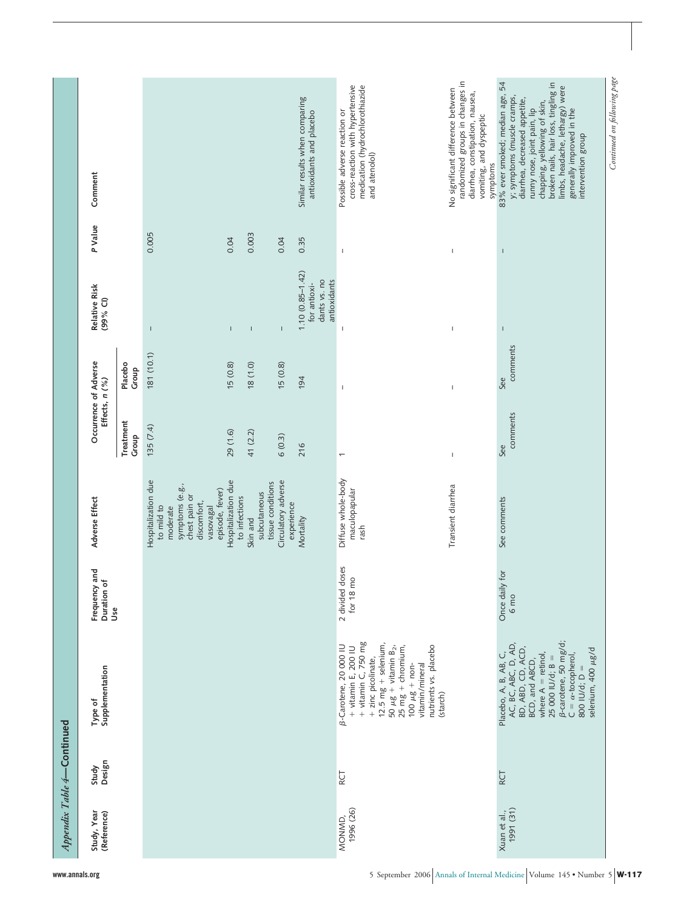|                            | Appendix Table 4-Continued |                                                                                                                                                                                                                                                                              |                                             |                                                                                                                                  |                                         |                  |                                                                     |                |                                                                                                                                                                                                                                                                                              |
|----------------------------|----------------------------|------------------------------------------------------------------------------------------------------------------------------------------------------------------------------------------------------------------------------------------------------------------------------|---------------------------------------------|----------------------------------------------------------------------------------------------------------------------------------|-----------------------------------------|------------------|---------------------------------------------------------------------|----------------|----------------------------------------------------------------------------------------------------------------------------------------------------------------------------------------------------------------------------------------------------------------------------------------------|
| Study, Year<br>(Reference) | Design<br>Study            | Supplementation<br>Type of                                                                                                                                                                                                                                                   | Frequency and<br>Duration of<br>Jse         | Adverse Effect                                                                                                                   | Occurrence of Adverse<br>Effects, n (%) |                  | Relative Risk<br>(99% CI)                                           | P Value        | Comment                                                                                                                                                                                                                                                                                      |
|                            |                            |                                                                                                                                                                                                                                                                              |                                             |                                                                                                                                  | Treatment<br>Group                      | Placebo<br>Group |                                                                     |                |                                                                                                                                                                                                                                                                                              |
|                            |                            |                                                                                                                                                                                                                                                                              |                                             | Hospitalization due<br>symptoms (e.g.,<br>episode, fever)<br>chest pain or<br>discomfort,<br>to mild to<br>vasovagal<br>moderate | 135(7.4)                                | 181 (10.1)       | $\mathsf I$                                                         | 0.005          |                                                                                                                                                                                                                                                                                              |
|                            |                            |                                                                                                                                                                                                                                                                              |                                             | Hospitalization due<br>to infections                                                                                             | 29 (1.6)                                | 15(0.8)          | $\mathsf I$                                                         | 0.04           |                                                                                                                                                                                                                                                                                              |
|                            |                            |                                                                                                                                                                                                                                                                              |                                             | tissue conditions<br>subcutaneous<br>Skin and                                                                                    | 41 (2.2)                                | $(0.1)$ 81       | $\overline{\phantom{a}}$                                            | 0.003          |                                                                                                                                                                                                                                                                                              |
|                            |                            |                                                                                                                                                                                                                                                                              |                                             | Circulatory adverse<br>experience                                                                                                | 6(0.3)                                  | 15(0.8)          | $\mathbf{I}$                                                        | 0.04           |                                                                                                                                                                                                                                                                                              |
|                            |                            |                                                                                                                                                                                                                                                                              |                                             | Mortality                                                                                                                        | 216                                     | 194              | $1.10(0.85 - 1.42)$<br>dants vs. no<br>antioxidants<br>for antioxi- | 0.35           | Similar results when comparing<br>antioxidants and placebo                                                                                                                                                                                                                                   |
| 1996 (26)<br>MONMD,        | RCT                        | + vitamin E, 200 IU<br>+ vitamin C, 750 mg<br>$12.5 \text{ mg} + \text{selenium}$<br>B-Carotene, 20 000 IU<br>50 $\mu$ g + vitamin B <sub>2</sub> ,<br>25 mg + chromium,<br>nutrients vs. placebo<br>+ zinc picolinate,<br>100 $\mu$ g + non-<br>vitamin/mineral<br>(starch) | 2 divided doses<br>8 <sub>mo</sub><br>for 1 | Diffuse whole-body<br>maculopapular<br>rash                                                                                      | $\overline{\phantom{0}}$                | $\mathsf I$      | $\overline{\phantom{a}}$                                            | $\mathsf I$    | cross-reaction with hypertensive<br>medication (hydrochlorothiazide<br>Possible adverse reaction or<br>and atenolol)                                                                                                                                                                         |
|                            |                            |                                                                                                                                                                                                                                                                              |                                             | Transient diarrhea                                                                                                               | $\mathbf{I}$                            | $\mathbf{I}$     | $\overline{1}$                                                      | $\overline{1}$ | randomized groups in changes in<br>No significant difference between<br>diarrhea, constipation, nausea,<br>vomiting, and dyspeptic<br>symptoms                                                                                                                                               |
| 1991 (31)<br>Xuan et al.,  | RCT                        | B-carotene, 50 mg/d;<br>AC, BC, ABC, D, AD,<br>BD, ABD, CD, ACD,<br>selenium, 400 µg/d<br>Placebo, A, B, AB, C,<br>$C = \alpha$ -tocopherol,<br>where $A =$ retinol,<br>$25000$ IU/d; B =<br>BCD, and ABCD,<br>800 IU/d; D                                                   | Once daily for<br>6 <sub>mp</sub>           | See comments                                                                                                                     | comments<br>See                         | comments<br>See  | $\mathbf{I}$                                                        | $\overline{1}$ | 83% ever smoked; median age, 54<br>broken nails, hair loss, tingling in<br>limbs, headache, lethargy) were<br>y; symptoms (muscle cramps,<br>diarrhea, decreased appetite,<br>chapping, yellowing of skin,<br>generally improved in the<br>runny nose, joint pain, lip<br>intervention group |
|                            |                            |                                                                                                                                                                                                                                                                              |                                             |                                                                                                                                  |                                         |                  |                                                                     |                | Continued on following page                                                                                                                                                                                                                                                                  |